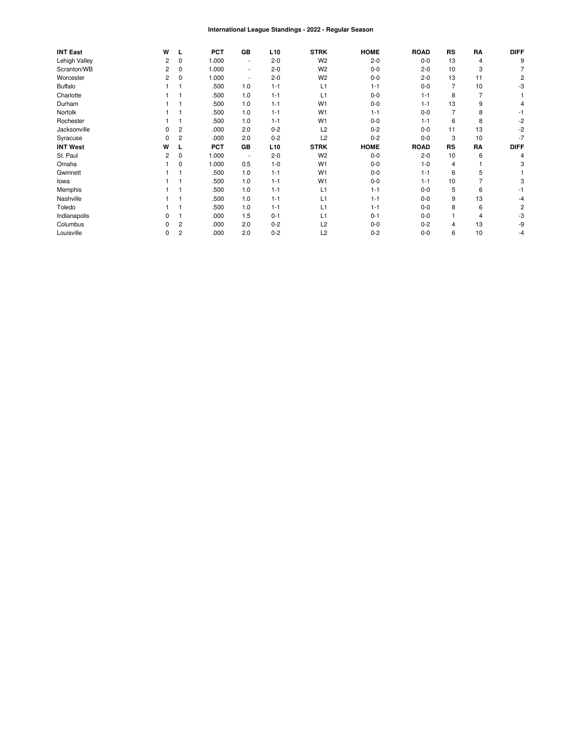#### International League Standings - 2022 - Regular Season

| <b>INT East</b> | W | L              | <b>PCT</b> | GB                       | L <sub>10</sub> | <b>STRK</b>    | <b>HOME</b> | <b>ROAD</b> | RS        | RA | <b>DIFF</b> |
|-----------------|---|----------------|------------|--------------------------|-----------------|----------------|-------------|-------------|-----------|----|-------------|
| Lehigh Valley   | 2 | 0              | 1.000      | ٠                        | $2 - 0$         | W <sub>2</sub> | $2 - 0$     | $0 - 0$     | 13        | 4  | g           |
| Scranton/WB     | 2 | 0              | 1.000      | $\sim$                   | $2 - 0$         | W <sub>2</sub> | $0 - 0$     | $2 - 0$     | 10        | 3  |             |
| Worcester       | 2 | 0              | 1.000      | $\overline{\phantom{a}}$ | $2 - 0$         | W <sub>2</sub> | $0 - 0$     | $2 - 0$     | 13        | 11 |             |
| <b>Buffalo</b>  |   |                | .500       | 1.0                      | $1 - 1$         | L1             | $1 - 1$     | $0 - 0$     |           | 10 | -3          |
| Charlotte       |   |                | .500       | 1.0                      | $1 - 1$         | L1             | $0 - 0$     | $1 - 1$     | 8         |    |             |
| Durham          |   |                | .500       | 1.0                      | $1 - 1$         | W <sub>1</sub> | $0 - 0$     | $1 - 1$     | 13        | 9  |             |
| Norfolk         |   |                | .500       | 1.0                      | $1 - 1$         | W <sub>1</sub> | $1 - 1$     | $0 - 0$     |           | 8  |             |
| Rochester       |   |                | .500       | 1.0                      | $1 - 1$         | W <sub>1</sub> | $0 - 0$     | $1 - 1$     | 6         | 8  | -2          |
| Jacksonville    |   | $\overline{c}$ | .000       | 2.0                      | $0 - 2$         | L2             | $0 - 2$     | $0 - 0$     | 11        | 13 | -2          |
| Syracuse        |   | 2              | .000       | 2.0                      | $0 - 2$         | L2             | $0 - 2$     | $0 - 0$     | 3         | 10 | -7          |
| <b>INT West</b> | w |                | <b>PCT</b> | GB                       | L <sub>10</sub> | <b>STRK</b>    | <b>HOME</b> | <b>ROAD</b> | <b>RS</b> | RA | <b>DIFF</b> |
| St. Paul        | 2 | 0              | 1.000      | $\overline{\phantom{a}}$ | $2 - 0$         | W <sub>2</sub> | $0 - 0$     | $2 - 0$     | 10        | 6  |             |
| Omaha           |   | 0              | 1.000      | 0.5                      | $1 - 0$         | W <sub>1</sub> | $0 - 0$     | $1 - 0$     | 4         |    |             |
| Gwinnett        |   |                | .500       | 1.0                      | $1 - 1$         | W <sub>1</sub> | $0 - 0$     | $1 - 1$     | 6         | 5  |             |
| lowa            |   |                | .500       | 1.0                      | $1 - 1$         | W <sub>1</sub> | $0 - 0$     | $1 - 1$     | 10        |    |             |
| Memphis         |   |                | .500       | 1.0                      | $1 - 1$         | L1             | $1 - 1$     | $0 - 0$     | 5         | 6  |             |
| Nashville       |   |                | .500       | 1.0                      | $1 - 1$         | L1             | $1 - 1$     | $0 - 0$     | 9         | 13 |             |
| Toledo          |   |                | .500       | 1.0                      | $1 - 1$         | L1             | $1 - 1$     | $0 - 0$     | 8         | 6  |             |
| Indianapolis    |   |                | .000       | 1.5                      | $0 - 1$         | L1             | $0 - 1$     | $0 - 0$     |           | 4  | -3          |
| Columbus        |   | 2              | .000       | 2.0                      | $0 - 2$         | L2             | $0 - 0$     | $0 - 2$     | 4         | 13 | -9          |
| Louisville      |   | 2              | .000       | 2.0                      | $0 - 2$         | L2             | $0 - 2$     | $0 - 0$     | 6         | 10 | -4          |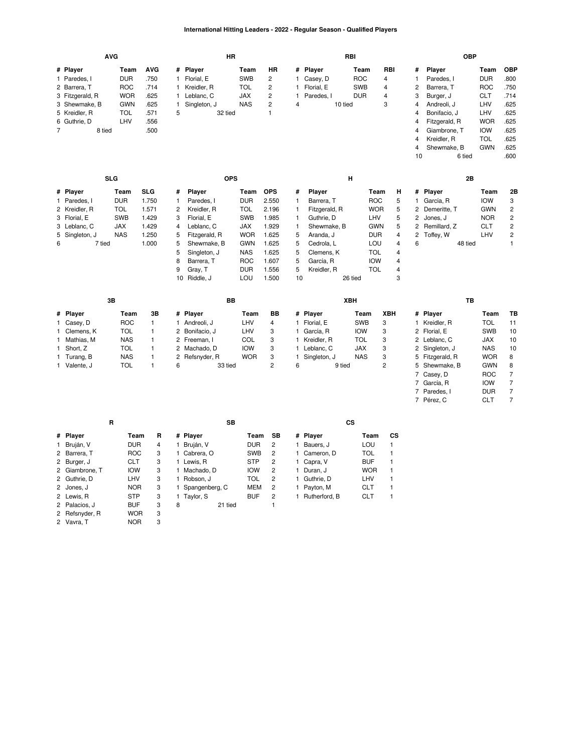### **International Hitting Leaders - 2022 - Regular Season - Qualified Players**

|                | <b>AVG</b>      |            |              |                | <b>HR</b>     |            |                |              |               | RBI        |                |            |                | <b>OBP</b>     |            |                |
|----------------|-----------------|------------|--------------|----------------|---------------|------------|----------------|--------------|---------------|------------|----------------|------------|----------------|----------------|------------|----------------|
|                | # Player        | Team       | <b>AVG</b>   |                | # Player      | Team       | <b>HR</b>      | #            | Player        |            | Team           | <b>RBI</b> | #              | Player         | Team       | <b>OBP</b>     |
|                | 1 Paredes, I    | <b>DUR</b> | .750         |                | Florial, E    | <b>SWB</b> | $\overline{c}$ | 1.           | Casey, D      | <b>ROC</b> | 4              |            | 1              | Paredes, I     | <b>DUR</b> | .800           |
|                | 2 Barrera, T    | <b>ROC</b> | .714         |                | Kreidler, R   | <b>TOL</b> | $\overline{c}$ | $\mathbf{1}$ | Florial, E    | SWB        | 4              |            | 2              | Barrera, T     | <b>ROC</b> | .750           |
|                | 3 Fitzgerald, R | <b>WOR</b> | .625         |                | Leblanc, C    | <b>JAX</b> | $\overline{c}$ | 1.           | Paredes, I    | <b>DUR</b> | 4              |            | 3              | Burger, J      | <b>CLT</b> | .714           |
|                | 3 Shewmake, B   | <b>GWN</b> | .625         |                | Singleton, J  | <b>NAS</b> | $\overline{c}$ | 4            |               | 10 tied    | 3              |            | 4              | Andreoli, J    | LHV        | .625           |
|                | 5 Kreidler, R   | <b>TOL</b> | .571         | 5              | 32 tied       |            | $\mathbf{1}$   |              |               |            |                |            | 4              | Bonifacio, J   | LHV        | .625           |
|                | 6 Guthrie, D    | LHV        | .556         |                |               |            |                |              |               |            |                |            | 4              | Fitzgerald, R  | <b>WOR</b> | .625           |
| $\overline{7}$ | 8 tied          |            | .500         |                |               |            |                |              |               |            |                |            | 4              | Giambrone, T   | <b>IOW</b> | .625           |
|                |                 |            |              |                |               |            |                |              |               |            |                |            | 4              | Kreidler, R    | <b>TOL</b> | .625           |
|                |                 |            |              |                |               |            |                |              |               |            |                |            | 4              | Shewmake, B    | <b>GWN</b> | .625           |
|                |                 |            |              |                |               |            |                |              |               |            |                |            | 10             | 6 tied         |            | .600           |
|                | <b>SLG</b>      |            |              |                |               | <b>OPS</b> |                |              |               | н          |                |            |                | 2B             |            |                |
|                |                 |            |              |                |               |            |                |              |               |            |                |            |                |                |            |                |
|                | # Player        | Team       | <b>SLG</b>   | #              | Player        | Team       | <b>OPS</b>     | #            | Player        |            | Team           | H          |                | # Player       | Team       | 2B             |
|                | 1 Paredes, I    | <b>DUR</b> | 1.750        |                | Paredes, I    | <b>DUR</b> | 2.550          | 1            | Barrera, T    |            | <b>ROC</b>     | 5          | $\mathbf{1}$   | García, R      | <b>IOW</b> | 3              |
|                | 2 Kreidler, R   | <b>TOL</b> | 1.571        | 2              | Kreidler, R   | <b>TOL</b> | 2.196          | 1            | Fitzgerald, R |            | <b>WOR</b>     | 5          | 2              | Demeritte, T   | <b>GWN</b> | $\overline{c}$ |
|                | 3 Florial, E    | SWB        | 1.429        | 3              | Florial, E    | SWB        | 1.985          | 1            | Guthrie, D    |            | LHV            | 5          | 2              | Jones, J       | <b>NOR</b> | $\overline{c}$ |
|                | 3 Leblanc, C    | <b>JAX</b> | 1.429        | 4              | Leblanc, C    | <b>JAX</b> | 1.929          | 1            | Shewmake, B   |            | <b>GWN</b>     | 5          |                | 2 Remillard, Z | <b>CLT</b> | 2              |
|                | 5 Singleton, J  | <b>NAS</b> | 1.250        | 5              | Fitzgerald, R | <b>WOR</b> | 1.625          | 5            | Aranda, J     |            | <b>DUR</b>     | 4          | $\overline{c}$ | Toffey, W      | LHV        | 2              |
| 6              | 7 tied          |            | 1.000        | 5              | Shewmake, B   | <b>GWN</b> | 1.625          | 5            | Cedrola, L    |            | LOU            | 4          | 6              | 48 tied        |            | $\mathbf{1}$   |
|                |                 |            |              | 5              | Singleton, J  | <b>NAS</b> | 1.625          | 5            | Clemens, K    |            | <b>TOL</b>     | 4          |                |                |            |                |
|                |                 |            |              | 8              | Barrera, T    | <b>ROC</b> | 1.607          | 5            | García, R     |            | <b>IOW</b>     | 4          |                |                |            |                |
|                |                 |            |              | 9              | Gray, T       | <b>DUR</b> | 1.556          | 5            | Kreidler, R   |            | <b>TOL</b>     | 4          |                |                |            |                |
|                |                 |            |              |                | 10 Riddle, J  | LOU        | 1.500          | 10           |               | 26 tied    |                | 3          |                |                |            |                |
|                | 3B              |            |              |                |               | <b>BB</b>  |                |              |               | XBH        |                |            |                | TB             |            |                |
| #              | Player          | Team       | 3B           |                | # Player      | Team       | BB             |              | # Player      |            | Team           | <b>XBH</b> |                | # Player       | Team       | TB             |
| 1              | Casey, D        | <b>ROC</b> | $\mathbf{1}$ | 1              | Andreoli, J   | LHV        | 4              |              | 1 Florial, E  |            | SWB<br>3       |            | $\mathbf{1}$   | Kreidler, R    | <b>TOL</b> | 11             |
|                | Clemens, K      | <b>TOL</b> | 1            | 2              | Bonifacio, J  | LHV        | 3              |              | 1 García, R   | <b>IOW</b> | 3              |            |                | 2 Florial, E   | SWB        | 10             |
|                | Mathias, M      | <b>NAS</b> | $\mathbf{1}$ |                | 2 Freeman, I  | COL        | 3              |              | 1 Kreidler, R | <b>TOL</b> | 3              |            |                | 2 Leblanc, C   | <b>JAX</b> | 10             |
| 1              | Short, Z        | <b>TOL</b> | 1            | $\overline{2}$ | Machado, D    | <b>IOW</b> | 3              |              | 1 Leblanc, C  | <b>JAX</b> | 3              |            |                | 2 Singleton, J | <b>NAS</b> | 10             |
|                | Turang, B       | <b>NAS</b> | 1            | 2              | Refsnyder, R  | <b>WOR</b> | 3              |              | Singleton, J  | <b>NAS</b> | 3              |            | 5              | Fitzgerald, R  | <b>WOR</b> | 8              |
|                | 1 Valente, J    | <b>TOL</b> | 1            | 6              | 33 tied       |            | $\overline{c}$ | 6            |               | 9 tied     | $\overline{c}$ |            |                | 5 Shewmake, B  | <b>GWN</b> | 8              |

[Shewmake,](https://research.mlb.com/players/669699/stats#orgId=117) B [GWN](https://research.mlb.com/teams/431/stats#timeframe=2022) 8<br>7 Casey, D ROC 7 [Casey,](https://research.mlb.com/players/661541/stats#orgId=117) D [ROC](https://research.mlb.com/teams/534/stats#timeframe=2022) 7 [García,](https://research.mlb.com/players/596825/stats#orgId=117) R [IOW](https://research.mlb.com/teams/451/stats#timeframe=2022) 7

[Paredes,](https://research.mlb.com/players/670623/stats#orgId=117) I [DUR](https://research.mlb.com/teams/234/stats#timeframe=2022) 7 [Pérez,](https://research.mlb.com/players/656024/stats#orgId=117) C [CLT](https://research.mlb.com/teams/494/stats#timeframe=2022) 7

|                | R          |   |   | SB               |            |                |               | СS |            |     |
|----------------|------------|---|---|------------------|------------|----------------|---------------|----|------------|-----|
| # Player       | Team       | R |   | # Player         | Team       | SB             | # Player      |    | Team       | CS. |
| Bruján, V      | <b>DUR</b> | 4 |   | 1 Bruján, V      | <b>DUR</b> | 2              | Bauers, J     |    | LOU        |     |
| 2 Barrera, T   | <b>ROC</b> | 3 |   | 1 Cabrera, O     | <b>SWB</b> | 2              | 1 Cameron, D  |    | TOL        |     |
| 2 Burger, J    | <b>CLT</b> | 3 |   | 1 Lewis, R       | <b>STP</b> | $\overline{2}$ | 1 Capra, V    |    | <b>BUF</b> |     |
| 2 Giambrone. T | <b>IOW</b> | 3 |   | 1 Machado, D     | <b>IOW</b> | 2              | 1 Duran. J    |    | <b>WOR</b> |     |
| 2 Guthrie, D   | LHV        | 3 |   | 1 Robson, J      | TOL        | 2              | 1 Guthrie, D  |    | LHV        |     |
| 2 Jones, J     | <b>NOR</b> | 3 |   | 1 Spangenberg, C | <b>MEM</b> | 2              | 1 Pavton, M   |    | <b>CLT</b> |     |
| 2 Lewis, R     | <b>STP</b> | 3 |   | 1 Tavlor, S      | <b>BUF</b> | 2              | Rutherford, B |    | <b>CLT</b> |     |
| 2 Palacios, J  | <b>BUF</b> | 3 | 8 | 21 tied          |            |                |               |    |            |     |
| 2 Refsnyder, R | <b>WOR</b> | 3 |   |                  |            |                |               |    |            |     |
| 2 Vavra, T     | <b>NOR</b> | 3 |   |                  |            |                |               |    |            |     |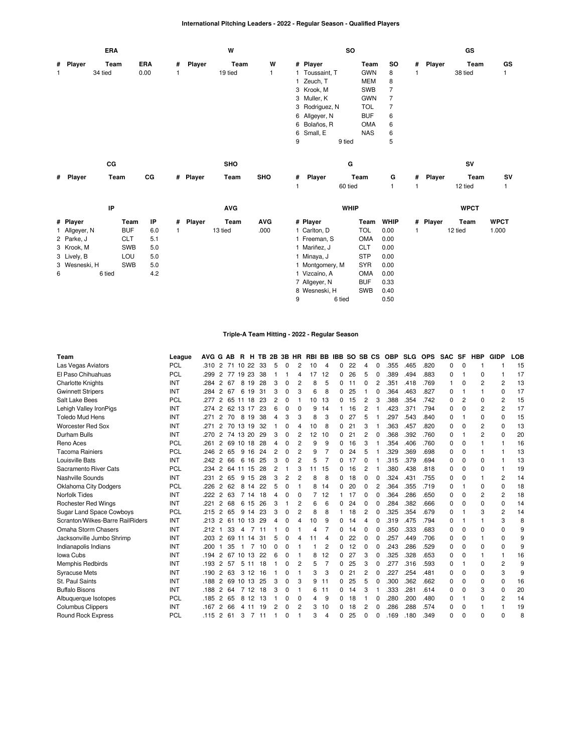## **International Pitching Leaders - 2022 - Regular Season - Qualified Players**

|              |               | <b>ERA</b> |            |            |   |          | W          |              |   |                 | SO          |            |                |              |          | GS          |              |
|--------------|---------------|------------|------------|------------|---|----------|------------|--------------|---|-----------------|-------------|------------|----------------|--------------|----------|-------------|--------------|
|              | # Player      | Team       |            | <b>ERA</b> | # | Player   | Team       | W            |   | # Player        |             | Team       | so             | #            | Player   | Team        | GS           |
| $\mathbf{1}$ |               | 34 tied    |            | 0.00       | 1 |          | 19 tied    | $\mathbf{1}$ |   | Toussaint, T    |             | <b>GWN</b> | 8              | 1            |          | 38 tied     | $\mathbf{1}$ |
|              |               |            |            |            |   |          |            |              |   | Zeuch, T        |             | <b>MEM</b> | 8              |              |          |             |              |
|              |               |            |            |            |   |          |            |              | 3 | Krook, M        |             | SWB        | $\overline{7}$ |              |          |             |              |
|              |               |            |            |            |   |          |            |              | 3 | Muller, K       |             | <b>GWN</b> | 7              |              |          |             |              |
|              |               |            |            |            |   |          |            |              | 3 | Rodriguez, N    |             | <b>TOL</b> | $\overline{7}$ |              |          |             |              |
|              |               |            |            |            |   |          |            |              |   | 6 Allgeyer, N   |             | <b>BUF</b> | 6              |              |          |             |              |
|              |               |            |            |            |   |          |            |              | 6 | Bolaños, R      |             | <b>OMA</b> | 6              |              |          |             |              |
|              |               |            |            |            |   |          |            |              | 6 | Small, E        |             | <b>NAS</b> | 6              |              |          |             |              |
|              |               |            |            |            |   |          |            |              | 9 |                 | 9 tied      |            | 5              |              |          |             |              |
|              |               |            |            |            |   |          |            |              |   |                 |             |            |                |              |          |             |              |
|              |               | CG         |            |            |   |          | SHO        |              |   |                 | G           |            |                |              |          | SV          |              |
|              | # Player      | Team       |            | CG         |   | # Player | Team       | SHO          | # | Player          |             | Team       | G              | #            | Player   | Team        | SV           |
|              |               |            |            |            |   |          |            |              | 1 |                 | 60 tied     |            | 1              | 1            |          | 12 tied     | $\mathbf{1}$ |
|              |               |            |            |            |   |          |            |              |   |                 |             |            |                |              |          |             |              |
|              |               | IP         |            |            |   |          | <b>AVG</b> |              |   |                 | <b>WHIP</b> |            |                |              |          | <b>WPCT</b> |              |
|              | # Player      |            | Team       | IP         | # | Player   | Team       | <b>AVG</b>   |   | # Player        |             | Team       | <b>WHIP</b>    |              | # Player | Team        | <b>WPCT</b>  |
|              | 1 Allgeyer, N |            | <b>BUF</b> | 6.0        | 1 |          | 13 tied    | .000         |   | 1 Carlton, D    |             | <b>TOL</b> | 0.00           | $\mathbf{1}$ |          | 12 tied     | 1.000        |
|              | 2 Parke, J    |            | <b>CLT</b> | 5.1        |   |          |            |              |   | 1 Freeman, S    |             | <b>OMA</b> | 0.00           |              |          |             |              |
|              | 3 Krook, M    |            | <b>SWB</b> | 5.0        |   |          |            |              |   | 1 Mariñez, J    |             | <b>CLT</b> | 0.00           |              |          |             |              |
|              | 3 Lively, B   |            | LOU        | 5.0        |   |          |            |              |   | 1 Minaya, J     |             | <b>STP</b> | 0.00           |              |          |             |              |
|              | 3 Wesneski, H |            | <b>SWB</b> | 5.0        |   |          |            |              |   | 1 Montgomery, M |             | <b>SYR</b> | 0.00           |              |          |             |              |
| 6            |               | 6 tied     |            | 4.2        |   |          |            |              |   | 1 Vizcaíno, A   |             | <b>OMA</b> | 0.00           |              |          |             |              |
|              |               |            |            |            |   |          |            |              |   | 7 Allgeyer, N   |             | <b>BUF</b> | 0.33           |              |          |             |              |
|              |               |            |            |            |   |          |            |              |   | 8 Wesneski, H   |             | <b>SWB</b> | 0.40           |              |          |             |              |
|              |               |            |            |            |   |          |            |              | 9 |                 | 6 tied      |            | 0.50           |              |          |             |              |

## **Triple-A Team Hitting - 2022 - Regular Season**

| Team                             | League     | AVG G AB |                |    | R H TB 2B 3B HR RBI BB |    |                |          |                |    |                | <b>IBB</b> |    | SO SB CS |          | <b>OBP</b> | <b>SLG</b> | <b>OPS</b> | <b>SAC</b> | <b>SF</b> | <b>HBP</b> | <b>GIDP</b>    | LOB |
|----------------------------------|------------|----------|----------------|----|------------------------|----|----------------|----------|----------------|----|----------------|------------|----|----------|----------|------------|------------|------------|------------|-----------|------------|----------------|-----|
| Las Vegas Aviators               | <b>PCL</b> | .310     | $\overline{2}$ | 71 | 22<br>10               | 33 | 5              | 0        | 2              | 10 | $\overline{4}$ | 0          | 22 | 4        | 0        | .355       | .465       | .820       | 0          | $\Omega$  |            |                | 15  |
| El Paso Chihuahuas               | <b>PCL</b> | .299     | 2              | 77 | 19 23                  | 38 |                |          | 4              | 17 | 12             | 0          | 26 | 5        | 0        | .389       | .494       | .883       | 0          | 1         | 0          |                | 17  |
| <b>Charlotte Knights</b>         | INT        | .284     | $\overline{c}$ | 67 | 8<br>19                | 28 | 3              | 0        | 2              | 8  | 5              | 0          | 11 | 0        | 2        | .351       | .418       | .769       | 1          | 0         | 2          | 2              | 13  |
| <b>Gwinnett Stripers</b>         | INT        | .284     | $\overline{2}$ | 67 | 6<br>19                | 31 | 3              | $\Omega$ | З              | 6  | 8              | 0          | 25 |          | 0        | .364       | .463       | .827       | 0          |           |            | $\Omega$       | 17  |
| Salt Lake Bees                   | <b>PCL</b> | .277     | 2              | 65 | 11 18                  | 23 | $\overline{2}$ | $\Omega$ |                | 10 | 13             | 0          | 15 | 2        | 3        | .388       | .354       | .742       | 0          | 2         | 0          | 2              | 15  |
| Lehigh Valley IronPigs           | INT        | .274     | $\overline{2}$ | 62 | 13 17                  | 23 | 6              | $\Omega$ | $\Omega$       | 9  | 14             |            | 16 | 2        |          | .423       | .371       | .794       | 0          | 0         | 2          | $\overline{c}$ | 17  |
| <b>Toledo Mud Hens</b>           | INT        | .271     | 2              | 70 | 8<br>19                | 38 | 4              | 3        | 3              | 8  | 3              | 0          | 27 | 5        |          | .297       | .543       | .840       | 0          | 1         | 0          | 0              | 15  |
| <b>Worcester Red Sox</b>         | INT        | .271     | 2              | 70 | 13 19                  | 32 |                | 0        | 4              | 10 | 8              | 0          | 21 | 3        |          | .363       | .457       | .820       | 0          | 0         | 2          | $\Omega$       | 13  |
| Durham Bulls                     | INT        | .270     | $\overline{2}$ | 74 | 13 20                  | 29 | 3              | 0        | 2              | 12 | 10             | 0          | 21 | 2        | 0        | .368       | .392       | .760       | 0          |           | 2          | $\Omega$       | 20  |
| Reno Aces                        | <b>PCL</b> | .261     | $\overline{2}$ | 69 | 10 18                  | 28 | 4              | $\Omega$ | $\overline{2}$ | 9  | 9              | 0          | 16 | 3        |          | .354       | .406       | .760       | 0          | 0         |            |                | 16  |
| <b>Tacoma Rainiers</b>           | <b>PCL</b> | .246     | 2              | 65 | 9<br>16                | 24 | 2              | 0        | 2              | 9  | 7              | 0          | 24 | 5        |          | .329       | .369       | .698       | 0          | 0         |            |                | 13  |
| Louisville Bats                  | INT        | .242     | $\overline{2}$ | 66 | 6<br>16                | 25 | 3              | $\Omega$ | 2              | 5  | 7              | 0          | 17 | 0        |          | .315       | .379       | .694       | 0          | 0         | 0          |                | 13  |
| Sacramento River Cats            | <b>PCL</b> | .234     | 2              | 64 | 11 15                  | 28 | 2              | 1        | 3              | 11 | 15             | 0          | 16 | 2        |          | .380       | .438       | .818       | 0          | 0         | 0          |                | 19  |
| Nashville Sounds                 | INT        | .231     | 2              | 65 | 9 15                   | 28 | 3              | 2        | $\overline{2}$ | 8  | 8              | 0          | 18 | 0        | 0        | .324       | .431       | .755       | 0          | $\Omega$  | 1          | 2              | 14  |
| <b>Oklahoma City Dodgers</b>     | <b>PCL</b> | .226     | $\overline{2}$ | 62 | 8<br>14                | 22 | 5              | $\Omega$ |                | 8  | 14             | 0          | 20 | 0        | 2        | .364       | .355       | .719       | 0          |           | 0          | $\Omega$       | 18  |
| <b>Norfolk Tides</b>             | INT        | .222     | 2              | 63 | 7<br>14                | 18 | 4              | $\Omega$ | 0              |    | 12             |            | 17 | 0        | 0        | .364       | .286       | .650       | 0          | 0         | 2          | 2              | 18  |
| <b>Rochester Red Wings</b>       | INT        | .221     | 2              | 68 | 6<br>15                | 26 | 3              |          | 2              | 6  | 6              | 0          | 24 | 0        | 0        | .284       | .382       | .666       | 0          | 0         | 0          | $\Omega$       | 14  |
| <b>Sugar Land Space Cowboys</b>  | <b>PCL</b> | .215     | 2              | 65 | 9 14                   | 23 | 3              | 0        | $\overline{c}$ | 8  | 8              |            | 18 | 2        | 0        | .325       | .354       | .679       | 0          |           | 3          | $\overline{c}$ | 14  |
| Scranton/Wilkes-Barre RailRiders | INT        | .213     | $\overline{2}$ |    | 61 10 13               | 29 | 4              | $\Omega$ | 4              | 10 | 9              | 0          | 14 | Δ        | $\Omega$ | .319       | .475       | .794       | 0          |           |            | 3              | 8   |
| Omaha Storm Chasers              | INT        | .212     |                | 33 | 4                      | 11 |                | O        |                | 4  |                | 0          | 14 | 0        | 0        | .350       | .333       | .683       | 0          | 0         | 0          | $\Omega$       | 9   |
| Jacksonville Jumbo Shrimp        | INT        | .203     | $\overline{2}$ | 69 | 11 14                  | 31 | 5              | 0        | 4              | 11 | $\overline{4}$ | 0          | 22 | 0        | 0        | .257       | .449       | .706       | 0          | 0         |            | 0              | 9   |
| Indianapolis Indians             | INT        | .200     |                | 35 | 1                      | 10 | 0              | O        |                |    | $\overline{2}$ | 0          | 12 | 0        | 0        | .243       | .286       | .529       | 0          | 0         | 0          | $\Omega$       | 9   |
| Iowa Cubs                        | INT        | .194     | 2              | 67 | 10 13                  | 22 | 6              | O        |                | 8  | 12             | 0          | 27 | 3        | 0        | .325       | .328       | .653       | 0          | 0         |            |                | 16  |
| <b>Memphis Redbirds</b>          | INT        | .193     | $\overline{2}$ | 57 | 5<br>-11               | 18 |                | $\Omega$ | $\overline{2}$ | 5  | 7              | 0          | 25 | 3        | $\Omega$ | .277       | .316       | .593       | 0          | 1         | $\Omega$   | 2              | 9   |
| <b>Syracuse Mets</b>             | INT        | .190     | 2              | 63 | 312                    | 16 |                | $\Omega$ |                | 3  | 3              | 0          | 21 | 2        | 0        | .227       | .254       | .481       | 0          | 0         | 0          | 3              | g   |
| St. Paul Saints                  | INT        | .188     | 2              | 69 | 10 13                  | 25 | 3              | 0        | 3              | 9  | 11             | 0          | 25 | 5        | 0        | .300       | .362       | .662       | 0          | 0         | 0          | 0              | 16  |
| <b>Buffalo Bisons</b>            | INT        | .188     | $\overline{2}$ | 64 | 12<br>7                | 18 | 3              | $\Omega$ |                | 6  | 11             | 0          | 14 | 3        |          | .333       | .281       | .614       | 0          | 0         | 3          | $\Omega$       | 20  |
| Albuquerque Isotopes             | <b>PCL</b> | .185     | 2              | 65 | 8<br>12                | 13 |                | $\Omega$ | $\Omega$       | 4  | 9              | 0          | 18 |          | O        | .280       | .200       | .480       | 0          |           | 0          | 2              | 14  |
| <b>Columbus Clippers</b>         | INT        | .167     |                | 66 | 4<br>11                | 19 |                | 0        | 2              | 3  | 10             | 0          | 18 |          |          | .286       | .288       | .574       | 0          | 0         |            |                | 19  |
| <b>Round Rock Express</b>        | PCL        | .115     | $\overline{2}$ | 61 | 3<br>7                 | 11 |                | 0        |                | 3  | Δ              | 0          | 25 | n        | n        | .169       | .180       | .349       | 0          | 0         | 0          | O              | ۶   |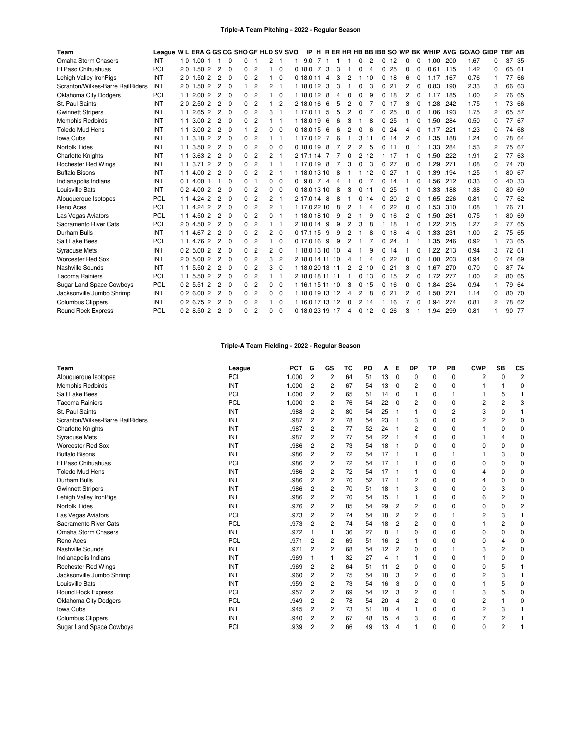### **Triple-A Team Pitching - 2022 - Regular Season**

| Team                             | League W L ERA G GS CG SHO GF HLD SV SVO |    |                   |                |                |             |          |                |          |                |   |                 |                |                |   |                |   |                |          |    |              |              |           |      | IP H R ER HR HB BB IBB SO WP BK WHIP AVG GO/AO GIDP |          | <b>TBF AB</b> |       |
|----------------------------------|------------------------------------------|----|-------------------|----------------|----------------|-------------|----------|----------------|----------|----------------|---|-----------------|----------------|----------------|---|----------------|---|----------------|----------|----|--------------|--------------|-----------|------|-----------------------------------------------------|----------|---------------|-------|
| Omaha Storm Chasers              | INT                                      |    | 1 0 1 0 0 1       |                |                | 0           | 0        |                | 2        |                |   | 9.0             | $\overline{7}$ |                |   |                | 0 | $\overline{c}$ | 0        | 12 | 0            | 0            | 1.00      | .200 | 1.67                                                | 0        |               | 37 35 |
| El Paso Chihuahuas               | <b>PCL</b>                               |    | 20 1.50 2         |                | $\overline{2}$ | $\Omega$    | $\Omega$ | $\overline{2}$ |          | $\Omega$       |   | 0.18.0          | 7              | 3              | 3 |                | 0 | 4              | $\Omega$ | 25 | $\Omega$     | $\Omega$     | 0.61      | .115 | 1.42                                                | 0        |               | 65 61 |
| Lehigh Valley IronPigs           | INT                                      |    | 20 1.50 2         |                | $\overline{2}$ | $\Omega$    | 0        | $\overline{2}$ |          | $\Omega$       |   | 0 18.0 11       |                | $\overline{4}$ | 3 | $\overline{2}$ |   | 10             | 0        | 18 | 6            | 0            | 1.17 .167 |      | 0.76                                                | 1        |               | 77 66 |
| Scranton/Wilkes-Barre RailRiders | INT                                      |    | 20 1.50 2         |                | $\overline{2}$ | $\Omega$    | 1        | $\overline{2}$ | 2        | -1             |   | 1 18.0 12       |                | 3              | 3 |                | 0 | 3              | $\Omega$ | 21 | 2            | 0            | 0.83      | .190 | 2.33                                                | 3        |               | 66 63 |
| <b>Oklahoma City Dodgers</b>     | <b>PCL</b>                               |    | 1 1 2.00          | $\overline{2}$ | 2              | $\mathbf 0$ | 0        | 2              |          | $\mathbf 0$    |   | 1 18.0 12       |                | 8              | 4 | 0              | 0 | 9              | 0        | 18 | 2            | 0            | 1.17      | .185 | 1.00                                                | 2        |               | 76 65 |
| St. Paul Saints                  | INT                                      |    | 20 2.50 2         |                | $\overline{c}$ | $\mathbf 0$ | 0        | $\overline{2}$ |          | 2              |   | 2 18.0 16       |                | 6              | 5 | $\overline{2}$ | 0 |                | 0        | 17 | 3            | 0            | 1.28      | .242 | 1.75                                                | 1        |               | 73 66 |
| <b>Gwinnett Stripers</b>         | INT                                      | 11 | 2.65 <sub>2</sub> |                | $\overline{2}$ | $\Omega$    | 0        | $\overline{2}$ | 3        | $\mathbf{1}$   |   | 1 17.0 11       |                | 5              | 5 | 2              | 0 |                | $\Omega$ | 25 | 0            | 0            | 1.06      | .193 | 1.75                                                | 2        |               | 65 57 |
| <b>Memphis Redbirds</b>          | INT                                      |    | 1 1 3 0 0 2       |                | $\overline{c}$ | $\Omega$    | $\Omega$ | $\overline{2}$ |          | $\overline{1}$ |   | 1 18.0 19       |                | 6              | 6 | 3              |   | 8              | $\Omega$ | 25 |              | ŋ            | 1.50      | .284 | 0.50                                                | $\Omega$ |               | 77 67 |
| <b>Toledo Mud Hens</b>           | INT                                      | 11 | 3.002             |                | $\overline{c}$ | 0           | 1        | $\overline{2}$ | 0        | $\Omega$       |   | 0 18.0 15       |                | 6              | 6 | 2              | 0 | 6              | 0        | 24 | 4            | 0            | 1.17      | .221 | 1.23                                                | 0        |               | 74 68 |
| <b>lowa Cubs</b>                 | INT                                      | 11 | 3.18              | $\overline{2}$ | $\overline{2}$ | 0           | 0        | $\overline{2}$ |          | -1             |   | 1 17.0 12       |                | 7              | 6 |                | 3 | 11             | 0        | 14 | 2            | 0            | 1.35      | .188 | 1.24                                                | 0        |               | 78 64 |
| <b>Norfolk Tides</b>             | INT                                      |    | 1 1 3.50 2        |                | $\overline{c}$ | $\Omega$    | 0        | $\overline{2}$ | $\Omega$ | $\Omega$       |   | 0 18.0 19       |                | 8              |   | $\overline{2}$ | 2 | 5              | 0        | 11 | 0            |              | 1.33      | .284 | 1.53                                                | 2        |               | 75 67 |
| <b>Charlotte Knights</b>         | INT                                      | 11 | 3.632             |                | $\overline{2}$ | $\Omega$    | 0        | $\overline{2}$ | 2        | -1             |   | 2 17 1 14       |                |                |   | 0              | 2 | 12             |          | 17 |              | 0            | 1.50      | .222 | 1.91                                                | 2        |               | 77 63 |
| <b>Rochester Red Wings</b>       | INT                                      |    | 1 1 3.71          | $\overline{2}$ | $\overline{c}$ | $\Omega$    | 0        | $\overline{2}$ |          | -1             |   | 1 17.0 19       |                | 8              |   | 3              | U | 3              | 0        | 27 | <sup>0</sup> | <sup>0</sup> | 1.29      | .271 | 1.08                                                | 0        |               | 74 70 |
| <b>Buffalo Bisons</b>            | INT                                      |    | 1 1 4.00 2        |                | $\overline{c}$ | $\Omega$    | 0        | $\overline{2}$ | 2        | -1             |   | 1 18.0 13 10    |                |                | 8 |                |   | 12             | 0        | 27 |              |              | 1.39      | .194 | 1.25                                                | 1        |               | 80 67 |
| Indianapolis Indians             | INT                                      |    | $0.1 \; 4.00$     | -1             |                | 0           | 0        | -1             | 0        | $\mathbf 0$    | 0 | 9.0             | $\overline{7}$ | 4              | 4 |                | 0 |                | 0        | 14 |              | 0            | 1.56      | .212 | 0.33                                                | 0        |               | 40 33 |
| Louisville Bats                  | INT                                      |    | 0 2 4.00 2        |                | 2              | $\Omega$    | $\Omega$ | $\overline{2}$ | 0        | $\Omega$       |   | 0 18.0 13 10    |                |                | 8 | 3              | 0 | 11             | 0        | 25 |              | 0            | 1.33      | .188 | 1.38                                                | 0        |               | 80 69 |
| Albuquerque Isotopes             | PCL                                      |    | 1 1 4.24 2        |                | 2              | $\Omega$    | 0        | $\overline{2}$ | 2        | -1             |   | 2 17.0 14       |                | -8             | 8 |                | 0 | 14             | 0        | 20 | 2            | 0            | 1.65      | .226 | 0.81                                                | 0        |               | 77 62 |
| Reno Aces                        | <b>PCL</b>                               |    | 1 1 4 24 2        |                | $\overline{c}$ | $\Omega$    | 0        | $\overline{2}$ | 2        | - 1            |   | 1 17.0 22 10    |                |                | 8 | 2              |   | 4              | 0        | 22 | 0            | <sup>0</sup> | 1.53      | .310 | 1.08                                                | 1        |               | 76 71 |
| Las Vegas Aviators               | PCL                                      |    | 1 1 4.50 2        |                | $\overline{c}$ | $\Omega$    | 0        | $\overline{2}$ | $\Omega$ | -1             |   | 1 18.0 18 10    |                |                | 9 | $\overline{2}$ |   | 9              | 0        | 16 | 2            | 0            | 1.50      | .261 | 0.75                                                |          |               | 80 69 |
| Sacramento River Cats            | <b>PCL</b>                               |    | 20 4.50 2         |                | 2              | 0           | 0        | $\overline{c}$ |          | -1             |   | 2 18.0 14       |                | 9              | 9 | 2              | 3 | 8              |          | 18 |              | 0            | 1.22      | .215 | 1.27                                                | 2        |               | 77 65 |
| Durham Bulls                     | INT                                      |    | 1 1 4.67          | $\overline{2}$ | $\overline{c}$ | $\Omega$    | 0        | $\overline{2}$ | 2        | $\Omega$       |   | 0 17.1 15       |                | 9              | 9 | $\overline{c}$ |   | 8              | 0        | 18 | Δ            | ŋ            | 1.33      | .231 | 1.00                                                | 2        |               | 75 65 |
| Salt Lake Bees                   | <b>PCL</b>                               |    | 1 1 4.76 2        |                | 2              | $\Omega$    | 0        | $\overline{2}$ |          | $\Omega$       |   | 017.016         |                | 9              | 9 | 2              |   |                | 0        | 24 |              |              | 1.35      | .246 | 0.92                                                |          |               | 73 65 |
| <b>Syracuse Mets</b>             | INT                                      |    | 0.2500            | $\overline{2}$ | $\overline{2}$ | $\Omega$    | $\Omega$ | $\overline{2}$ | 2        | $\mathbf 0$    |   | 1 18.0 13 10 10 |                |                |   | 4              |   | 9              | 0        | 14 |              | 0            | .22<br>-1 | .213 | 0.94                                                | 3        |               | 72 61 |
| <b>Worcester Red Sox</b>         | INT                                      |    | 20 5.00 2         |                | $\overline{c}$ | $\Omega$    | 0        | $\overline{2}$ | 3        | $\overline{2}$ |   | 2 18.0 14 11 10 |                |                |   | Δ              |   | 4              | 0        | 22 | 0            |              | 1.00      | .203 | 0.94                                                | 0        |               | 74 69 |
| Nashville Sounds                 | INT                                      |    | 1 1 5.50          | $\overline{2}$ | 2              | $\Omega$    | 0        | $\overline{2}$ | 3        | $\Omega$       |   | 1 18.0 20 13 11 |                |                |   | 2              | 2 | 10             | $\Omega$ | 21 | 3            | 0            | 1.67      | .270 | 0.70                                                | 0        |               | 87 74 |
| <b>Tacoma Rainiers</b>           | <b>PCL</b>                               |    | 1 1 5.50          | $\overline{2}$ | $\overline{c}$ | $\Omega$    | 0        | $\overline{c}$ |          | -1             |   | 2 18.0 18 11 11 |                |                |   |                | 0 | 13             | 0        | 15 | 2            | 0            | 1.72      | .277 | 1.00                                                | 2        |               | 80 65 |
| <b>Sugar Land Space Cowboys</b>  | PCL                                      |    | 02 5.51 2         |                | $\overline{2}$ | 0           | 0        | $\overline{2}$ | 0        | $\Omega$       |   | 1 16.1 15 11 10 |                |                |   | 3              | 0 | 15             | 0        | 16 | 0            |              | 1.84      | .234 | 0.94                                                |          |               | 79 64 |
| Jacksonville Jumbo Shrimp        | INT                                      |    | 0.2600            | $\overline{2}$ | $\overline{c}$ | $\Omega$    | 0        | $\overline{2}$ | $\Omega$ | $\Omega$       |   | 1 18.0 19 13 12 |                |                |   | 4              | 2 | 8              | 0        | 21 | 2            | <sup>0</sup> | 1.50      | .271 | 1.14                                                | 0        |               | 80 70 |
| <b>Columbus Clippers</b>         | INT                                      |    | 0 2 6.75          | $\overline{2}$ | $\overline{c}$ | $\Omega$    | $\Omega$ | $\overline{c}$ | 1        | $\Omega$       |   | 1 16.0 17 13 12 |                |                |   | 0              | 2 | 14             | 1        | 16 |              | n            | 1.94      | .274 | 0.81                                                | 2        |               | 78 62 |
| <b>Round Rock Express</b>        | <b>PCL</b>                               |    | 0 2 8.50 2        |                | $\overline{c}$ | $\Omega$    | $\Omega$ | $\overline{2}$ | 0        | $\Omega$       |   | 0 18.0 23 19 17 |                |                |   | 4              | 0 | 12             | 0        | 26 | 3            |              | 1.94      | .299 | 0.81                                                |          |               | 90 77 |

## **Triple-A Team Fielding - 2022 - Regular Season**

| Team                             | League     | <b>PCT</b> | G              | GS | ТC | PO | А  | Е        | <b>DP</b> | TP       | PB       | <b>CWP</b>     | <b>SB</b>      | CS             |
|----------------------------------|------------|------------|----------------|----|----|----|----|----------|-----------|----------|----------|----------------|----------------|----------------|
| Albuquerque Isotopes             | <b>PCL</b> | 1.000      | $\overline{2}$ | 2  | 64 | 51 | 13 | 0        | 0         | 0        | 0        | 2              | 0              | $\overline{2}$ |
| Memphis Redbirds                 | INT        | 1.000      | 2              | 2  | 67 | 54 | 13 | $\Omega$ | 2         | 0        | $\Omega$ |                |                | $\Omega$       |
| Salt Lake Bees                   | <b>PCL</b> | 1.000      | $\overline{c}$ | 2  | 65 | 51 | 14 | 0        |           | 0        | 1        |                | 5              |                |
| <b>Tacoma Rainiers</b>           | <b>PCL</b> | 1.000      | $\overline{c}$ | 2  | 76 | 54 | 22 | 0        | 2         | $\Omega$ | $\Omega$ | 2              | 2              | 3              |
| St. Paul Saints                  | INT        | .988       | $\overline{c}$ | 2  | 80 | 54 | 25 |          |           | 0        | 2        | 3              | 0              |                |
| Scranton/Wilkes-Barre RailRiders | INT        | .987       | 2              | 2  | 78 | 54 | 23 |          | 3         | 0        | $\Omega$ | $\overline{2}$ | $\overline{c}$ | $\Omega$       |
| <b>Charlotte Knights</b>         | INT        | .987       | 2              | 2  | 77 | 52 | 24 |          | 2         | 0        | 0        |                | 0              | 0              |
| <b>Syracuse Mets</b>             | INT        | .987       | 2              | 2  | 77 | 54 | 22 | -1       |           | 0        | $\Omega$ |                |                | $\Omega$       |
| <b>Worcester Red Sox</b>         | INT        | .986       | 2              | 2  | 73 | 54 | 18 |          | 0         | $\Omega$ | $\Omega$ | 0              | 0              | 0              |
| <b>Buffalo Bisons</b>            | INT        | .986       | $\overline{2}$ | 2  | 72 | 54 | 17 |          |           | 0        | 1        |                | 3              | 0              |
| El Paso Chihuahuas               | <b>PCL</b> | .986       | $\overline{2}$ | 2  | 72 | 54 | 17 |          |           | 0        | 0        | 0              | 0              | 0              |
| <b>Toledo Mud Hens</b>           | INT        | .986       | 2              | 2  | 72 | 54 | 17 |          |           | 0        | 0        | 4              | 0              | 0              |
| Durham Bulls                     | INT        | .986       | 2              | 2  | 70 | 52 | 17 |          | 2         | 0        | $\Omega$ | 4              | 0              | O              |
| <b>Gwinnett Stripers</b>         | INT        | .986       | 2              | 2  | 70 | 51 | 18 |          | 3         | $\Omega$ | $\Omega$ | $\Omega$       | 3              | O              |
| Lehigh Valley IronPigs           | INT        | .986       | 2              | 2  | 70 | 54 | 15 |          |           | $\Omega$ | $\Omega$ | 6              | 2              | 0              |
| <b>Norfolk Tides</b>             | INT        | .976       | $\overline{2}$ | 2  | 85 | 54 | 29 | 2        | 2         | 0        | 0        | 0              | 0              | $\overline{c}$ |
| Las Vegas Aviators               | PCL        | .973       | 2              | 2  | 74 | 54 | 18 | 2        | 2         | $\Omega$ | 1        | 2              | 3              |                |
| Sacramento River Cats            | PCL        | .973       | 2              | 2  | 74 | 54 | 18 | 2        | 2         | 0        | 0        |                | $\overline{c}$ | O              |
| Omaha Storm Chasers              | INT        | .972       |                |    | 36 | 27 | 8  |          | 0         | $\Omega$ | $\Omega$ | $\Omega$       | $\Omega$       | O              |
| Reno Aces                        | PCL        | .971       | $\overline{c}$ | 2  | 69 | 51 | 16 | 2        |           | 0        | $\Omega$ | $\Omega$       | Δ              | O              |
| Nashville Sounds                 | INT        | .971       | 2              | 2  | 68 | 54 | 12 | 2        | 0         | 0        |          | 3              | $\overline{c}$ | 0              |
| Indianapolis Indians             | INT        | .969       |                |    | 32 | 27 | 4  |          |           | 0        | 0        |                | 0              | 0              |
| <b>Rochester Red Wings</b>       | INT        | .969       | $\overline{2}$ | 2  | 64 | 51 | 11 | 2        | 0         | 0        | $\Omega$ | $\Omega$       | 5              |                |
| Jacksonville Jumbo Shrimp        | INT        | .960       | 2              | 2  | 75 | 54 | 18 | 3        | 2         | 0        | 0        | $\overline{c}$ | 3              |                |
| Louisville Bats                  | INT        | .959       | 2              | 2  | 73 | 54 | 16 | 3        | 0         | 0        | $\Omega$ |                | 5              | r              |
| Round Rock Express               | PCL        | .957       | 2              | 2  | 69 | 54 | 12 | 3        | 2         | 0        | 1        | 3              | 5              | 0              |
| <b>Oklahoma City Dodgers</b>     | PCL        | .949       | 2              | 2  | 78 | 54 | 20 | 4        | 2         | 0        | $\Omega$ | 2              |                | 0              |
| Iowa Cubs                        | INT        | .945       | 2              | 2  | 73 | 51 | 18 | 4        |           | 0        | 0        | $\overline{c}$ | 3              |                |
| <b>Columbus Clippers</b>         | INT        | .940       | $\overline{c}$ | 2  | 67 | 48 | 15 | 4        | 3         | $\Omega$ | $\Omega$ |                | $\overline{c}$ |                |
| <b>Sugar Land Space Cowboys</b>  | PCL        | .939       | 2              | 2  | 66 | 49 | 13 | 4        |           | $\Omega$ | $\Omega$ | $\Omega$       | $\overline{2}$ |                |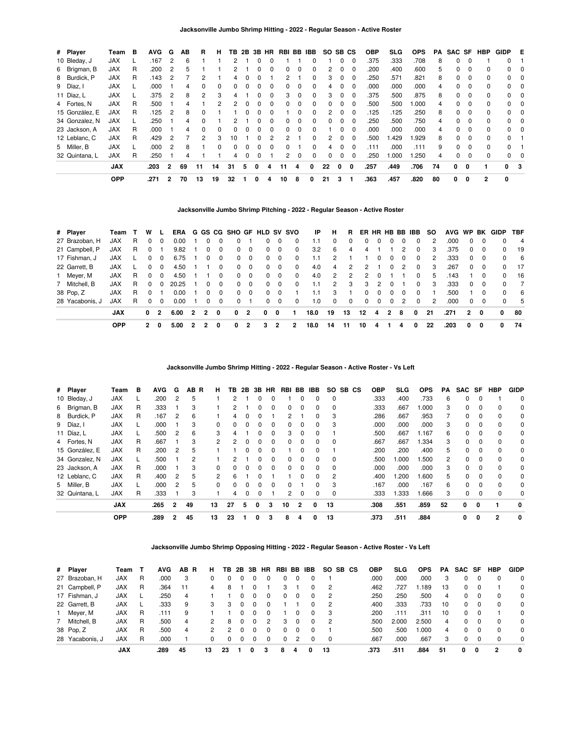| # Player       | Team       | в | <b>AVG</b> | G              | AВ | R            | н  | тв | 2Β | 3В           | HR       | RBI BB |              | IBB.     | SO.      | SB CS    |              | <b>OBP</b> | <b>SLG</b> | <b>OPS</b> | PA | SAC SF |          | HBP          | <b>GIDP</b> | Е   |
|----------------|------------|---|------------|----------------|----|--------------|----|----|----|--------------|----------|--------|--------------|----------|----------|----------|--------------|------------|------------|------------|----|--------|----------|--------------|-------------|-----|
| 10 Bleday, J   | <b>JAX</b> |   | .167       | 2              | 6  |              |    | 2  |    |              |          |        |              |          |          | 0        | 0            | .375       | .333       | .708       | 8  | 0      | $\Omega$ |              | 0           |     |
| 6 Brigman, B   | <b>JAX</b> | R | .200       | 2              | 5  |              |    | 2  |    |              | 0        | 0      | $\Omega$     | $\Omega$ | 2        | 0        | 0            | .200       | .400       | .600       | 5  | 0      | 0        | <sup>0</sup> | 0           | 0   |
| 8 Burdick, P   | <b>JAX</b> | R | .143       | 2              |    | 2            |    | 4  |    |              |          | 2      |              |          | 3        | 0        |              | .250       | .571       | .821       | 8  | 0      |          |              | 0           | 0   |
| 9 Díaz, I      | <b>JAX</b> |   | .000       |                | 4  | 0            | 0  | 0  | 0  |              | - 0      | 0      | 0            | 0        | 4        | 0        | $\Omega$     | .000       | .000       | .000       | 4  | 0      | 0        |              | 0           | 0   |
| 11 Díaz, L     | <b>JAX</b> |   | .375       | 2              | 8  | 2            | 3  | 4  |    | $\Omega$     | $\Omega$ | 3      | $\Omega$     | $\Omega$ | 3        | $\Omega$ | $\Omega$     | .375       | .500       | .875       | 8  | 0      | $\Omega$ | 0            | $\Omega$    | - 0 |
| 4 Fortes, N    | <b>JAX</b> | R | .500       |                |    |              | 2  | っ  |    |              |          |        | <sup>0</sup> |          |          | 0        |              | .500       | .500       | 000.1      | 4  | O.     |          |              | 0           | 0   |
| 15 González, E | <b>JAX</b> | R | .125       | 2              | 8  | 0            |    |    | 0  |              | 0        |        | 0            | $\Omega$ | 2        | 0        | $\Omega$     | .125       | .125       | .250       | 8  | 0      | 0        |              | $\Omega$    | - 0 |
| 34 Gonzalez, N | <b>JAX</b> |   | .250       |                | 4  | $\Omega$     |    | 2  |    |              | $\Omega$ | 0      | $\Omega$     | $\Omega$ | $\Omega$ | 0        | $\Omega$     | 250        | .500       | .750       | 4  | 0      | $\Omega$ | <sup>n</sup> | $\Omega$    | - 0 |
| 23 Jackson, A  | <b>JAX</b> | R | .000       |                | 4  | <sup>0</sup> | 0  | 0  |    |              |          |        | <sup>0</sup> |          |          | ŋ        | <sup>0</sup> | .000       | .000       | .000       | 4  | 0      | $\Omega$ |              | 0           | 0   |
| 12 Leblanc, C  | <b>JAX</b> | R | .429       | 2              |    | 2            | 3  | 10 |    |              |          |        |              |          | 2        | 0        | 0            | .500       | 1.429      | l.929      | 8  | 0      | 0        |              | 0           |     |
| 5 Miller, B    | <b>JAX</b> |   | .000       | 2              | 8  |              | 0  | 0  | 0  | <sup>n</sup> | n        | 0      |              | 0        | 4        | 0        | $\Omega$     | .111       | .000       | .111       | 9  | 0      | $\Omega$ | $\Omega$     | 0           |     |
| 32 Quintana, L | <b>JAX</b> | R | .250       |                | 4  |              |    | 4  | 0  |              |          | 2      | $\Omega$     | $\Omega$ | 0        | 0        | 0            | .250       | 1.000      | .250       | 4  | 0      |          |              | 0           | 0   |
|                | <b>JAX</b> |   | .203       | $\overline{2}$ | 69 | 11           | 14 | 31 | 5  | 0            | 4        | 11     | 4            | 0        | 22       | 0        | 0            | .257       | .449       | .706       | 74 | 0      | 0        |              | $\Omega$    | - 3 |
|                | <b>OPP</b> |   | .271       | $\overline{2}$ | 70 | 13           | 19 | 32 |    | 0            | 4        | 10     | 8            | 0        | 21       | 3        |              | .363       | .457       | .820       | 80 | 0      | 0        | $\mathbf{2}$ | 0           |     |

# **Jacksonville Jumbo Shrimp Pitching - 2022 - Regular Season - Active Roster**

| # Player        | Team       |    | W        |          |       |                |                |              |          |          |          |          | ERA G GS CG SHO GF HLD SV SVO | IP.  | н             | R.            | ER HR HB BB IBB |               |                |                |              | SO. | AVG WP |            |                | BK GIDP      | <b>TBF</b>     |
|-----------------|------------|----|----------|----------|-------|----------------|----------------|--------------|----------|----------|----------|----------|-------------------------------|------|---------------|---------------|-----------------|---------------|----------------|----------------|--------------|-----|--------|------------|----------------|--------------|----------------|
| 27 Brazoban, H  | <b>JAX</b> | R  |          | 0        | 0.00  |                |                |              |          |          | 0        | $\Omega$ | $\Omega$                      | 1.1  | 0             | $\Omega$      |                 |               |                |                | 0            | 2   | .000   | 0          |                | $\Omega$     | - 4            |
| 21 Campbell, P  | JAX        | R. |          |          | 9.82  |                |                | $\Omega$     | 0        | $\Omega$ | $\Omega$ | $\Omega$ | 0                             | 3.2  | 6             | 4             | 4               |               |                | 2              | $\Omega$     | 3   | .375   | $\Omega$   | $\Omega$       | 0            | 19             |
| 17 Fishman, J   | JAX        |    |          | $\Omega$ | 6.75  |                |                | $\Omega$     | $\Omega$ | $\Omega$ | $\Omega$ | $\Omega$ | $\Omega$                      | 1.1  | $\mathcal{P}$ |               |                 |               | $\Omega$       | $\Omega$       | $\Omega$     | 2   | .333   | $^{\circ}$ | 0              | $\Omega$     | - 6            |
| 22 Garrett, B   | JAX        |    |          | $\Omega$ | 4.50  |                |                |              | 0        | - 0      | 0        | $\Omega$ | $\Omega$                      | 4.0  | 4             | $\mathcal{P}$ | 2               |               | $\Omega$       | 2              | <sup>0</sup> | 3   | .267   | $\Omega$   | $\overline{0}$ | 0            | - 17           |
| 1 Meyer, M      | <b>JAX</b> | R  |          | $\Omega$ | 4.50  |                |                | 0            | 0        | $\Omega$ | $\Omega$ | $\Omega$ | $\Omega$                      | 4.0  | 2             | 2             | 2               | <sup>0</sup>  |                |                | $\Omega$     | 5   | .143   |            | 0              | 0            | 16             |
| 7 Mitchell, B   | JAX        | R. | $\Omega$ | $\Omega$ | 20.25 |                | 0              | $\Omega$     | $\Omega$ | $\Omega$ | $\Omega$ | $\Omega$ | $\Omega$                      | 1.1  | 2             | 3             | 3               | $\mathcal{P}$ | $\Omega$       |                | 0            | 3   | .333   |            | $0\quad 0$     | $\Omega$     | $\overline{7}$ |
| 38 Pop, Z       | <b>JAX</b> | R  |          |          | 0.00  |                | 0              | $\Omega$     | $\Omega$ | $\Omega$ | $\Omega$ | $\Omega$ |                               | 1.1  | 3             |               | $\Omega$        | $\Omega$      | $\Omega$       | $\Omega$       | $\Omega$     |     | .500   |            | $\Omega$       | $\Omega$     | - 6            |
| 28 Yacabonis, J | JAX        | R  | $\Omega$ | $\Omega$ | 0.00  |                |                | $\Omega$     | $\Omega$ |          | 0        | $\Omega$ | 0                             | 1.0  | $\Omega$      | $\Omega$      | $\Omega$        | $\Omega$      | $\Omega$       | $\overline{2}$ | $\Omega$     | 2   | .000   | $\Omega$   | $\Omega$       | $\Omega$     | -5             |
|                 | <b>JAX</b> |    | 0        | 2        | 6.00  | $\overline{2}$ | $\overline{2}$ | $\mathbf{0}$ | 0        | 2        | 0        | 0        |                               | 18.0 | 19            | 13            | 12              | 4             | $\overline{2}$ | - 8            | 0            | 21  | .271   | 2          | 0              | $\mathbf{0}$ | 80             |
|                 | <b>OPP</b> |    | 2        | 0        | 5.00  | -2             |                | 0            | 0        | 2        | 3        |          | 2                             | 18.0 | 14            | 11            | 10              | 4             |                | 4              | 0            | 22  | .203   | 0          | 0              | 0            | 74             |

**Jacksonville Jumbo Shrimp Hitting - 2022 - Regular Season - Active Roster - Vs Left**

| # Player       | Team       | в | <b>AVG</b> | G              | AB.<br>-R | н              | ΤВ | 2B | 3B           | HR           | RBI | BB       | <b>IBB</b> | SO.            | SB CS | <b>OBP</b> | <b>SLG</b> | <b>OPS</b> | <b>PA</b> | SAC SF   |          | <b>HBP</b>   | <b>GIDP</b>  |
|----------------|------------|---|------------|----------------|-----------|----------------|----|----|--------------|--------------|-----|----------|------------|----------------|-------|------------|------------|------------|-----------|----------|----------|--------------|--------------|
| 10 Bleday, J   | <b>JAX</b> |   | .200       | 2              | 5         |                | 2  |    |              |              |     |          |            | 0              |       | .333       | .400       | .733       | 6         | 0        |          |              | $\Omega$     |
| 6 Brigman, B   | <b>JAX</b> | R | .333       |                | 3         |                | 2  |    | 0            | 0            | 0   | $\Omega$ | 0          | 0              |       | .333       | .667       | 000.1      | 3         | 0        | 0        | 0            | 0            |
| 8 Burdick, P   | <b>JAX</b> | R | .167       | 2              | 6         |                | 4  | 0  | 0            |              | 2   |          | $\Omega$   | 3              |       | .286       | .667       | .953       |           | 0        | $\Omega$ | $\Omega$     | 0            |
| 9 Díaz, I      | <b>JAX</b> |   | .000       |                | 3         | 0              | 0  | 0  |              | 0            | 0   | $\Omega$ | 0          | 3              |       | .000       | .000       | .000       | 3         | 0        |          | 0            | 0            |
| 11 Díaz, L     | <b>JAX</b> |   | .500       | 2              | 6         | 3              | 4  |    | 0            | <sup>0</sup> | 3   | $\Omega$ | $\Omega$   |                |       | .500       | .667       | 1.167      | 6         | $\Omega$ | $\Omega$ | $\Omega$     | $\Omega$     |
| 4 Fortes, N    | <b>JAX</b> | R | .667       |                | 3         | $\mathcal{P}$  | 2  | O  |              | $\Omega$     | 0   | 0        | $\Omega$   | $\Omega$       |       | .667       | .667       | 1.334      | 3         | 0        | $\Omega$ | $\Omega$     | 0            |
| 15 González, E | <b>JAX</b> | R | .200       | 2              | 5         |                |    | 0  | 0            | $\Omega$     |     | 0        | 0          |                |       | .200       | .200       | .400       | 5         | 0        | 0        | $\Omega$     | 0            |
| 34 Gonzalez, N | <b>JAX</b> |   | .500       |                | 2         |                | 2  |    | 0            | $\Omega$     | 0   | $\Omega$ | 0          | $\Omega$       |       | .500       | 000.1      | .500       | 2         | $\Omega$ | $\Omega$ | $\Omega$     | $\Omega$     |
| 23 Jackson, A  | <b>JAX</b> | R | .000       |                | 3         | 0              | 0  | O  |              | <sup>0</sup> | 0   | $\Omega$ | $\Omega$   | 0              |       | .000       | .000       | .000       | 3         | 0        | $\Omega$ | $\Omega$     | 0            |
| 12 Leblanc, C  | <b>JAX</b> | R | .400       | 2              | 5         | $\overline{2}$ | 6  |    | ŋ            |              |     | $\Omega$ | $\Omega$   | $\overline{2}$ |       | .400       | 1.200      | .600       | 5         | $\Omega$ | $\Omega$ | $\Omega$     | $\Omega$     |
| 5 Miller, B    | <b>JAX</b> |   | .000       | 2              | 5         | $\Omega$       | 0  | 0  | <sup>0</sup> | $\Omega$     | 0   |          | $\Omega$   | 3              |       | .167       | .000       | .167       | 6         | $\Omega$ | $\Omega$ | $\Omega$     | $\Omega$     |
| 32 Quintana, L | <b>JAX</b> | R | .333       |                | 3         |                | 4  |    | 0            |              | 2   | $\Omega$ | 0          | 0              |       | .333       | 1.333      | 1.666      | 3         | 0        |          | 0            | 0            |
|                | <b>JAX</b> |   | .265       | $\overline{2}$ | 49        | 13             | 27 | 5  | 0            | 3            | 10  | 2        | 0          | 13             |       | .308       | .551       | .859       | 52        | 0        | 0        |              | $\mathbf{0}$ |
|                | <b>OPP</b> |   | .289       | 2              | 45        | 13             | 23 |    | O            | 3            | 8   | 4        | 0          | 13             |       | .373       | .511       | .884       |           | 0        | 0        | $\mathbf{2}$ | 0            |

**Jacksonville Jumbo Shrimp Opposing Hitting - 2022 - Regular Season - Active Roster - Vs Left**

| # Player        | Team       |   | <b>AVG</b> | AB.<br><b>R</b> | н. | TB.           | 2B       | 3B       | <b>HR</b> | RBI BB IBB |   |          |          | SO SB CS | <b>OBP</b> | SLG   | <b>OPS</b> | PA | SAC SF |          | HBP | <b>GIDP</b> |
|-----------------|------------|---|------------|-----------------|----|---------------|----------|----------|-----------|------------|---|----------|----------|----------|------------|-------|------------|----|--------|----------|-----|-------------|
| 27 Brazoban, H  | <b>JAX</b> | R | .000       |                 | 0  | 0             | 0        |          |           | 0          |   |          |          |          | .000       | .000  | .000       | 3  |        | 0        | 0   | $\Omega$    |
| 21 Campbell, P  | <b>JAX</b> | R | .364       | 11              |    | 8             |          |          |           |            |   |          | -2       |          | .462       | .727  | .189       | 13 |        | $\Omega$ |     | $\Omega$    |
| 17 Fishman, J   | <b>JAX</b> |   | .250       | 4               |    |               | $\Omega$ | 0        | 0         | 0          | 0 | $\Omega$ | - 2      |          | .250       | .250  | .500       | 4  |        | 0        | 0   | $\Omega$    |
| 22 Garrett, B   | <b>JAX</b> |   | .333       | 9               | 3  | 3             | $\Omega$ | $\Omega$ | $\Omega$  |            |   | 0        | - 2      |          | .400       | .333  | .733       | 10 |        | $\Omega$ |     | $\Omega$    |
| 1 Meyer, M      | <b>JAX</b> | R | .111       | 9               |    |               |          |          |           |            |   |          | 3        |          | .200       | .111  | .311       | 10 |        | $\Omega$ |     | $\Omega$    |
| 7 Mitchell, B   | <b>JAX</b> | R | .500       | 4               | 2  | 8             | $\Omega$ | $\Omega$ | 2         | 3          | 0 | $\Omega$ | - 2      |          | .500       | 2.000 | 2.500      | 4  |        | 0        | 0   | $\Omega$    |
| 38 Pop. Z       | <b>JAX</b> | R | .500       | 4               | 2  | $\mathcal{P}$ | $\Omega$ | 0        | 0         | 0          | 0 | 0        |          |          | .500       | .500  | 1.000      | 4  |        | 0        |     | $\Omega$    |
| 28 Yacabonis, J | <b>JAX</b> | R | .000       |                 | 0  | 0             |          | 0        | $\Omega$  | 0          | 2 | 0        | $\Omega$ |          | .667       | .000  | .667       | 3  |        | $\Omega$ |     | $\Omega$    |
|                 | JAX        |   | .289       | 45              | 13 | 23            |          | 0        | з         | 8          | 4 | 0        | 13       |          | .373       | .511  | .884       | 51 | 0      | 0        | 2   | 0           |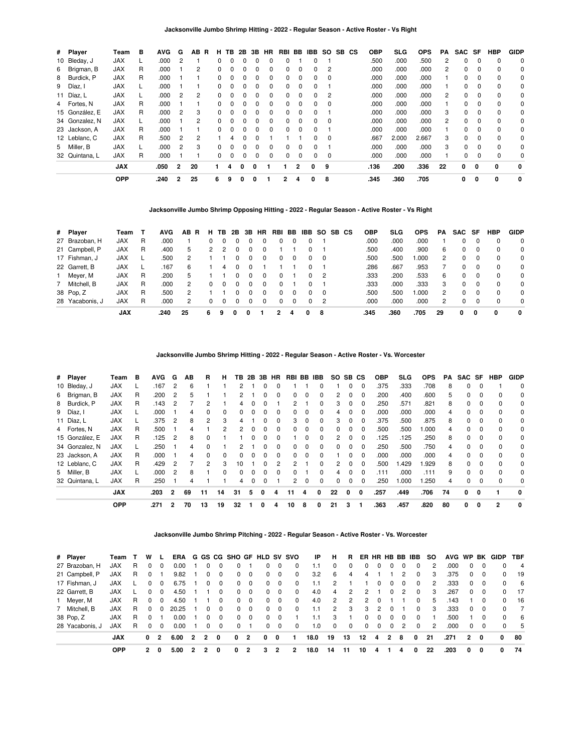| # Player       | Team       | в  | <b>AVG</b> | G             | ΑВ<br>R        | н. | TB.          | 2B | 3B           | HR       |    |              | RBI BB IBB   | SO SB CS |  | <b>OBP</b> | <b>SLG</b> | <b>OPS</b> | PA             | SAC      | SF       | <b>HBP</b>  | <b>GIDP</b> |
|----------------|------------|----|------------|---------------|----------------|----|--------------|----|--------------|----------|----|--------------|--------------|----------|--|------------|------------|------------|----------------|----------|----------|-------------|-------------|
| 10 Bleday, J   | <b>JAX</b> | L. | .000       | 2             |                | 0  | 0            | 0  | 0            | 0        |    |              | 0            |          |  | .500       | .000       | .500       | 2              | $\Omega$ | 0        | $\mathbf 0$ | 0           |
| 6 Brigman, B   | <b>JAX</b> | R  | .000       |               | $\overline{2}$ | 0  | 0            | 0  | 0            | $\Omega$ | 0  | $\Omega$     | 0            | 2        |  | .000       | .000       | .000       | $\overline{2}$ | $\Omega$ | $\Omega$ | $\mathbf 0$ | 0           |
| 8 Burdick, P   | <b>JAX</b> | R  | .000       |               |                | 0  |              |    | 0            | $\Omega$ | O. | $\Omega$     | 0            | 0        |  | .000       | .000       | .000       |                | $\Omega$ | $\Omega$ | $\Omega$    | 0           |
| 9 Díaz, I      | <b>JAX</b> |    | .000       |               |                | 0  | 0            | 0  | 0            | $\Omega$ | 0  | $\Omega$     | 0            |          |  | .000       | .000       | .000       |                | 0        | 0        | $\mathbf 0$ | 0           |
| 11 Díaz, L     | <b>JAX</b> | L. | .000       | 2             | 2              | 0  | 0            | 0  | 0            | $\Omega$ | 0  | $\Omega$     | $\Omega$     | 2        |  | .000       | .000       | .000       | 2              | $\Omega$ | $\Omega$ | $\mathbf 0$ | $\Omega$    |
| 4 Fortes, N    | <b>JAX</b> | R  | .000       |               |                | 0  | <sup>0</sup> | ŋ  | ŋ            | $\Omega$ | O. | $\Omega$     | <sup>0</sup> | $\Omega$ |  | .000       | .000       | .000       |                | 0        | $\Omega$ | $\mathbf 0$ | 0           |
| 15 González, E | <b>JAX</b> | R  | .000       | 2             | 3              | 0  | 0            | 0  | 0            | $\Omega$ | 0  | $\Omega$     | 0            |          |  | .000       | .000       | .000       | 3              | 0        | 0        | $\mathbf 0$ | 0           |
| 34 Gonzalez, N | <b>JAX</b> | L  | .000       |               | 2              | 0  | 0            | 0  | <sup>0</sup> | $\Omega$ | 0  | $\Omega$     | <sup>0</sup> | $\Omega$ |  | .000       | .000       | .000       | $\overline{2}$ | $\Omega$ | $\Omega$ | $\mathbf 0$ | $\Omega$    |
| 23 Jackson, A  | <b>JAX</b> | R  | .000       |               |                | 0  | <sup>0</sup> | n  | ŋ            | $\Omega$ | O. | <sup>0</sup> |              |          |  | .000       | .000       | .000       |                | 0        | $\Omega$ | 0           | 0           |
| 12 Leblanc, C  | <b>JAX</b> | R  | .500       | - 2           | 2              |    | 4            | 0  | 0            |          |    |              | 0            | $\Omega$ |  | .667       | 2.000      | 2.667      | 3              | 0        | $\Omega$ | $\mathbf 0$ | 0           |
| 5 Miller, B    | <b>JAX</b> |    | .000       | $\mathcal{P}$ | 3              | 0  | 0            | 0  | 0            | $\Omega$ | 0  | $\Omega$     | $\Omega$     |          |  | .000       | .000       | .000       | 3              | $\Omega$ | $\Omega$ | $\Omega$    | $\Omega$    |
| 32 Quintana, L | <b>JAX</b> | R  | .000       |               |                | 0  | 0            | 0  | 0            | $\Omega$ |    |              |              | 0        |  | .000       | .000       | .000       |                | 0        | 0        | $\mathbf 0$ | 0           |
|                | <b>JAX</b> |    | .050       | $\mathbf{2}$  | 20             |    |              | n  | O            |          |    | 2            | 0            | 9        |  | .136       | .200       | .336       | 22             | 0        | 0        | 0           | 0           |
|                | <b>OPP</b> |    | .240       | 2             | 25             | 6  | 9            | 0  | 0            |          | 2  | 4            | 0            | 8        |  | .345       | .360       | .705       |                | 0        | 0        | 0           | $\mathbf 0$ |

**Jacksonville Jumbo Shrimp Opposing Hitting - 2022 - Regular Season - Active Roster - Vs Right**

| # Player        | Team       |   | <b>AVG</b> | AB.<br>R | н. | TB.      | 2B       | 3B | <b>HR</b> | RBI          | BB.          | IBB          |          | SO SB CS | <b>OBP</b> | SLG  | <b>OPS</b> | PA             | SAC SF |   | <b>HBP</b> | <b>GIDP</b>  |
|-----------------|------------|---|------------|----------|----|----------|----------|----|-----------|--------------|--------------|--------------|----------|----------|------------|------|------------|----------------|--------|---|------------|--------------|
| 27 Brazoban, H  | <b>JAX</b> | R | .000       |          | 0  | 0        | $\Omega$ |    |           | 0            |              |              |          |          | .000       | .000 | .000       |                |        |   |            | $\Omega$     |
| 21 Campbell, P  | <b>JAX</b> | R | .400       | 5        |    |          |          |    |           |              |              |              |          |          | .500       | .400 | .900       | 6              |        |   | $\Omega$   | 0            |
| 17 Fishman, J   | <b>JAX</b> |   | .500       |          |    |          | 0        | 0  |           | 0            | 0            | 0            | 0        |          | .500       | .500 | .000       | 2              | 0      |   | $\Omega$   | $\Omega$     |
| 22 Garrett, B   | <b>JAX</b> |   | .167       | 6        |    |          |          |    |           |              |              |              |          |          | .286       | .667 | .953       |                |        |   | $\Omega$   | 0            |
| 1 Meyer, M      | <b>JAX</b> | R | .200       | 5        |    |          | 0        | 0  |           | <sup>0</sup> |              | <sup>0</sup> | - 2      |          | .333       | .200 | .533       | 6              | O.     |   | $\Omega$   | $\Omega$     |
| 7 Mitchell, B   | <b>JAX</b> | R | .000       | 2        | 0  | 0        | $^{(1)}$ | 0  |           | $\Omega$     |              |              |          |          | .333       | .000 | .333       | 3              | 0      |   | $\Omega$   | $\Omega$     |
| 38 Pop. Z       | <b>JAX</b> | R | .500       |          |    |          |          |    |           | 0            |              |              | $\Omega$ |          | .500       | .500 | .000       | $\overline{2}$ |        |   |            | 0            |
| 28 Yacabonis. J | <b>JAX</b> | R | .000       | 2        |    | $\Omega$ | 0        | 0  |           | 0            | <sup>n</sup> | <sup>0</sup> | - 2      |          | .000       | .000 | .000       | 2              |        |   | $\Omega$   | $\Omega$     |
|                 | <b>JAX</b> |   | .240       | 25       | 6  |          | 0        | 0  |           |              | 4            | 0            | 8        |          | .345       | .360 | .705       | 29             | 0      | 0 | 0          | $\mathbf{0}$ |

**Jacksonville Jumbo Shrimp Hitting - 2022 - Regular Season - Active Roster - Vs. Worcester**

| # Player       | Team       | в | <b>AVG</b> | G              | ΑВ | R        | н  |    |   |              | <b>TB 2B 3B HR</b> |    |   | RBI BB IBB | SO. | SB CS |          | <b>OBP</b> | SLG   | <b>OPS</b> | PA | SAC SF   |          | <b>HBP</b> | <b>GIDP</b>  |
|----------------|------------|---|------------|----------------|----|----------|----|----|---|--------------|--------------------|----|---|------------|-----|-------|----------|------------|-------|------------|----|----------|----------|------------|--------------|
| 10 Bleday, J   | <b>JAX</b> |   | .167       | 2              | 6  |          |    | 2  |   |              |                    |    |   | 0          |     | 0     | $\Omega$ | .375       | .333  | .708       | 8  | 0        | $\Omega$ |            | $\Omega$     |
| 6 Brigman, B   | <b>JAX</b> | R | .200       | 2              | 5  |          |    |    |   |              |                    | 0  |   | 0          | 2   | 0     |          | .200       | .400  | .600       | 5. | 0        | 0        | 0          | 0            |
| 8 Burdick, P   | <b>JAX</b> | R | .143       | 2              |    | 2        |    | 4  |   | 0            |                    | 2  |   | $\Omega$   | 3   | 0     | $\Omega$ | .250       | .571  | .821       | 8  | $\Omega$ | 0        | $\Omega$   | 0            |
| 9 Díaz, I      | <b>JAX</b> |   | .000       |                | 4  |          |    |    |   |              |                    | O. |   | $\Omega$   |     |       |          | .000       | .000  | .000       |    | 0        | $\Omega$ | $\Omega$   | 0            |
| 11 Díaz, L     | <b>JAX</b> |   | .375       | 2              | 8  | 2        |    | 4  |   |              |                    | 3  | 0 | $\Omega$   | 3   | 0     | $\Omega$ | .375       | .500  | .875       | 8  | 0        | 0        | $\Omega$   | 0            |
| 4 Fortes, N    | <b>JAX</b> | R | .500       |                | 4  |          |    | 2  |   |              |                    | 0  |   | 0          |     | 0     |          | .500       | .500  | .000       | 4  | 0        | $\Omega$ | $\Omega$   | 0            |
| 15 González, E | <b>JAX</b> | R | .125       | 2              | 8  |          |    |    |   |              |                    |    | 0 | $\Omega$   | 2   | 0     | 0        | .125       | .125  | .250       | 8  | 0        | $\Omega$ | $\Omega$   | 0            |
| 34 Gonzalez, N | <b>JAX</b> |   | .250       |                | 4  | $\Omega$ |    |    |   |              |                    | 0  | 0 | $\Omega$   | O.  | 0     | $\Omega$ | .250       | .500  | .750       | 4  | $\Omega$ | 0        | $\Omega$   | 0            |
| 23 Jackson, A  | <b>JAX</b> | R | .000       |                | 4  | $\Omega$ |    |    |   |              |                    | O. |   | 0          |     |       |          | .000       | .000  | .000       |    | 0        | $\Omega$ | $\Omega$   | 0            |
| 12 Leblanc, C  | <b>JAX</b> | R | .429       | 2              |    | 2        | з  | 10 |   | $^{(1)}$     |                    |    |   | $\Omega$   | 2   | 0     | $\Omega$ | .500       | .429  | 1.929      | 8  | $\Omega$ | 0        | $\Omega$   | $\Omega$     |
| 5 Miller, B    | <b>JAX</b> |   | .000       | 2              | 8  |          |    | 0  |   | <sup>0</sup> |                    | 0  |   | 0          | 4   | 0     | $\Omega$ | .111       | .000  | .111       | 9  | 0        | $\Omega$ | $\Omega$   | 0            |
| 32 Quintana, L | <b>JAX</b> | R | .250       |                | 4  |          |    | 4  |   | 0            |                    | 2  | 0 | $\Omega$   |     | 0     | 0        | .250       | 1.000 | .250       | 4  | 0        | 0        | $\Omega$   | 0            |
|                | <b>JAX</b> |   | .203       | $\overline{2}$ | 69 | 11       | 14 | 31 | 5 | 0            | 4                  | 11 | 4 | 0          | 22  | 0     | 0        | .257       | .449  | .706       | 74 | 0        | 0        |            | $\mathbf{0}$ |
|                | <b>OPP</b> |   | .271       |                | 70 | 13       | 19 | 32 |   |              | 4                  | 10 | 8 |            | 21  | 3     |          | .363       | .457  | .820       | 80 | 0        | 0        |            |              |

**Jacksonville Jumbo Shrimp Pitching - 2022 - Regular Season - Active Roster - Vs. Worcester**

| # Player        | Team       |   | w |                |       |                |                |             | ERA G GS CG SHO GF HLD SV SVO |                |          |                          |          | IP   | н        | В.       |              |              |          |               | ER HR HB BB IBB | SO. | AVG WP BK |                |          | GIDP     | <b>TBF</b>     |
|-----------------|------------|---|---|----------------|-------|----------------|----------------|-------------|-------------------------------|----------------|----------|--------------------------|----------|------|----------|----------|--------------|--------------|----------|---------------|-----------------|-----|-----------|----------------|----------|----------|----------------|
| 27 Brazoban, H  | <b>JAX</b> | R | 0 |                | 0.00  |                |                |             | 0                             |                | 0        | $\Omega$                 | $\Omega$ | 1.1  | $\Omega$ | 0        | 0            | 0            | 0        |               | $\Omega$        | 2   | .000      | 0              |          | $\Omega$ | $\overline{4}$ |
| 21 Campbell, P  | <b>JAX</b> | R | 0 |                | 9.82  |                |                | $\Omega$    | 0                             | 0              | $\Omega$ | $\overline{\mathbf{0}}$  | 0        | 3.2  | 6        | 4        | 4            |              |          | 2             | $\Omega$        | 3   | .375      | 0              |          | $\Omega$ | -19            |
| 17 Fishman, J   | <b>JAX</b> |   | 0 | 0              | 6.75  |                |                | $\Omega$    | 0                             | $\Omega$       | $\Omega$ | $\overline{\mathbf{0}}$  | $\Omega$ | 1.1  | 2        |          |              | <sup>0</sup> | $\Omega$ |               | 0               | 2   | .333      | 0              | $\Omega$ | $\Omega$ | - 6            |
| 22 Garrett, B   | <b>JAX</b> |   | 0 | 0              | 4.50  |                |                | 0           | 0                             | $\Omega$       | 0        | $\Omega$                 | 0        | 4.0  | 4        | 2        | 2            |              | 0        |               | 0               | 3   | .267      | 0              | $\Omega$ | 0        | 17             |
| 1 Meyer, M      | <b>JAX</b> | R | 0 | 0              | 4.50  |                |                | 0           | 0                             | $\Omega$       | $\Omega$ | - 0                      | 0        | 4.0  | 2        | 2        | 2            | 0            |          |               | 0               | 5   | .143      |                | 0        | 0        | - 16           |
| 7 Mitchell, B   | JAX        | R | 0 | 0              | 20.25 |                |                | 0           | 0                             | $\Omega$       | $\Omega$ | $\Omega$                 | $\Omega$ | 1.1  | 2        | 3        | 3            | 2            | 0        |               | 0               | 3   | .333      | 0              | 0        | 0        | $\overline{7}$ |
| 38 Pop, Z       | <b>JAX</b> | R | 0 |                | 0.00  |                | $\Omega$       | $\Omega$    | $\Omega$                      | $\Omega$       |          | $0\quad 0$               |          | 1.1  | 3        |          | <sup>0</sup> | $\Omega$     | $\Omega$ | $\Omega$      | $\Omega$        |     | .500      |                | $\Omega$ | $\Omega$ | - 6            |
| 28 Yacabonis, J | JAX        | R | 0 | $\Omega$       | 0.00  |                |                | $\Omega$    | 0                             |                | $\Omega$ | $\overline{\phantom{0}}$ | 0        | 1.0  | $\Omega$ | $\Omega$ | $\Omega$     | $\Omega$     | $\Omega$ | $\mathcal{P}$ | $\Omega$        | 2   | .000      | $\Omega$       | $\Omega$ | $\Omega$ | -5             |
|                 | <b>JAX</b> |   | 0 | $\overline{2}$ | 6.00  | $\overline{2}$ | $\overline{2}$ | $\mathbf 0$ | 0                             | $\overline{2}$ | 0        | 0                        | 1        | 18.0 | 19       | 13       | 12           | 4            | 2        | 8             | $\Omega$        | -21 | .271      | $\overline{2}$ | 0        | 0        | 80             |
|                 | <b>OPP</b> |   | 2 | 0              | 5.00  |                |                | 0           | 0                             | 2              | з        |                          | 2        | 18.0 | 14       | 11       | 10           | 4            |          |               | 0               | 22  | .203      | 0              | 0        | 0        | 74             |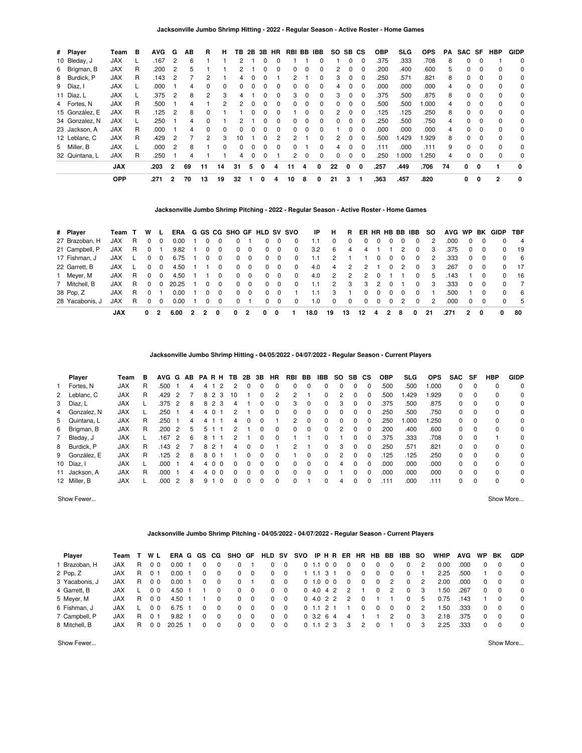| # Player       | Team       | в | <b>AVG</b> | G              | ΑВ | R              | н            | TВ           | 2Β | 3B           | <b>HR</b>    | RBI BB IBB |          |          | SO. | SB CS    |              | <b>OBP</b> | SLG   | <b>OPS</b>   | PA | SAC SF   |              | <b>HBP</b>   | <b>GIDP</b> |
|----------------|------------|---|------------|----------------|----|----------------|--------------|--------------|----|--------------|--------------|------------|----------|----------|-----|----------|--------------|------------|-------|--------------|----|----------|--------------|--------------|-------------|
| 10 Bleday, J   | <b>JAX</b> |   | .167       | 2              | 6  |                |              | 2            |    |              |              |            |          | 0        |     | 0        | 0            | .375       | .333  | .708         | 8  | $\Omega$ | 0            |              | 0           |
| 6 Brigman, B   | <b>JAX</b> | R | .200       | 2              | 5  |                |              | 2            |    | <sup>0</sup> | ŋ            | 0          | 0        | $\Omega$ | 2   | 0        | $\Omega$     | .200       | .400  | .600         | 5. | $\Omega$ | $\Omega$     | $\Omega$     | 0           |
| 8 Burdick, P   | <b>JAX</b> | R | .143       | 2              |    |                |              | 4            |    |              |              |            |          | 0        | 3   | 0        | 0            | .250       | .571  | .821         | 8  | 0        | $\Omega$     | $\Omega$     | 0           |
| 9 Díaz, I      | <b>JAX</b> |   | .000       |                | 4  | 0              |              | 0            |    | 0            |              | 0          | 0        | 0        | 4   | 0        | 0            | .000       | .000  | .000         |    | 0        | $\Omega$     | $\Omega$     | 0           |
| 11 Díaz, L     | <b>JAX</b> |   | .375       | 2              | 8  | $\overline{2}$ | з            | 4            |    | 0            |              | 3          | $\Omega$ | $\Omega$ | 3   | $\Omega$ | $\Omega$     | .375       | .500  | .875         | 8  | $\Omega$ | $\Omega$     | $\Omega$     | $\Omega$    |
| 4 Fortes, N    | <b>JAX</b> | R | .500       |                | 4  |                |              | 2            |    |              |              | 0          |          | 0        |     | O.       |              | .500       | .500  | 000.1        | 4  | 0        | $\Omega$     | $\Omega$     | 0           |
| 15 González, E | <b>JAX</b> | R | .125       | $\overline{2}$ | 8  | $\Omega$       |              |              |    | 0            |              |            | 0        | $\Omega$ | 2   | $\Omega$ | $\Omega$     | .125       | .125  | .250         | 8  | 0        | $\Omega$     | $\Omega$     | 0           |
| 34 Gonzalez, N | <b>JAX</b> |   | .250       |                | 4  | $\Omega$       |              | 2            |    | <sup>n</sup> | 0            | 0          | 0        | $\Omega$ | 0   | 0        | $\Omega$     | .250       | .500  | .750         | 4  | $\Omega$ | $\Omega$     | $\Omega$     | 0           |
| 23 Jackson, A  | JAX        | R | .000       |                | 4  | $\Omega$       |              |              |    |              |              | O.         | 0        | $\Omega$ |     | O.       | <sup>0</sup> | .000       | .000  | .000         | 4  | 0        | $\Omega$     | $\Omega$     | 0           |
| 12 Leblanc, C  | <b>JAX</b> | R | .429       | 2              |    | 2              | з            | 10           |    | 0            |              | 2          |          | 0        | 2   | 0        | 0            | .500       | .429  | <b>1.929</b> | 8  | 0        | $\Omega$     | $\Omega$     | 0           |
| 5 Miller, B    | <b>JAX</b> |   | .000       | 2              | 8  |                | <sup>n</sup> | <sup>0</sup> |    | $\Omega$     | <sup>0</sup> | 0          |          | $\Omega$ | 4   | 0        | $\Omega$     | .111       | .000  | .111         | 9  | $\Omega$ | $\Omega$     | $\Omega$     | $\Omega$    |
| 32 Quintana, L | <b>JAX</b> | R | .250       |                | 4  |                |              | 4            |    | 0            |              |            | 0        | 0        |     |          |              | .250       | 1.000 | .250         | 4  | 0        | $\Omega$     | $\Omega$     | 0           |
|                | <b>JAX</b> |   | .203       | $\mathbf{2}$   | 69 | 11             | 14           | 31           | 5  | 0            | 4            | 11         | 4        | 0        | 22  | 0        | 0            | .257       | .449  | .706         | 74 | $\Omega$ | $\Omega$     |              | 0           |
|                | <b>OPP</b> |   | .271       | 2              | 70 | 13             | 19           | 32           |    | 0            | 4            | 10         | 8        | 0        | 21  | 3        |              | .363       | .457  | .820         |    | 0        | $\mathbf{0}$ | $\mathbf{2}$ | 0           |

# **Jacksonville Jumbo Shrimp Pitching - 2022 - Regular Season - Active Roster - Home Games**

| # Player        | Team T      |    | W        |          | ERA   |    |   |          | G GS CG SHO GF HLD SV SVO |             |          |          |          | ΙP   | н        | B. | ER HR HB BB IBB |          |          |   |              | <b>SO</b> | AVG WP |          |                | BK GIDP  | <b>TBF</b>     |
|-----------------|-------------|----|----------|----------|-------|----|---|----------|---------------------------|-------------|----------|----------|----------|------|----------|----|-----------------|----------|----------|---|--------------|-----------|--------|----------|----------------|----------|----------------|
| 27 Brazoban, H  | <b>JAX</b>  | R  | $\Omega$ |          | 0.00  |    | 0 | 0        | 0                         |             | 0        | $\Omega$ | 0        | 1.1  | 0        | 0  | 0               | 0        | 0        |   | 0            | 2         | .000   | 0        |                | 0        | $\overline{4}$ |
| 21 Campbell, P  | <b>JAX</b>  | R  | $\Omega$ |          | 9.82  |    | 0 | 0        | $\Omega$                  | - 0         | 0        | $\Omega$ | 0        | 3.2  | 6        | 4  | 4               |          |          | 2 | 0            | 3         | .375   | $\Omega$ | - 0            | 0        | - 19           |
| 17 Fishman, J   | <b>JAX</b>  |    |          |          | 6.75  |    | 0 | 0        | $\Omega$                  | $\mathbf 0$ | 0        | 0        | 0        | 1.1  | 2        |    |                 |          |          |   | 0            | 2         | .333   | $\Omega$ | 0              | $\Omega$ | - 6            |
| 22 Garrett, B   | <b>JAX</b>  |    | $\Omega$ | $\Omega$ | 4.50  |    |   | 0        | $\Omega$                  | $\Omega$    | $\Omega$ | $\Omega$ | $\Omega$ | 4.0  | 4        | 2  | 2               |          | $\Omega$ | 2 | 0            | 3         | .267   | $\Omega$ | $\overline{0}$ | 0        | - 17           |
| 1 Meyer, M      | <b>JAX</b>  | -R | $\Omega$ |          | 4.50  |    |   | 0        | $\Omega$                  | $\Omega$    | $\Omega$ | $\Omega$ | $\Omega$ | 4.0  | 2        | 2  | 2               | $\Omega$ |          |   | 0            | 5         | .143   |          |                | 0        | - 16           |
| 7 Mitchell, B   | <b>XAL.</b> | R  | $\Omega$ |          | 20.25 |    | 0 | $\Omega$ | $\Omega$                  | $\Omega$    | $\Omega$ | $\Omega$ | $\Omega$ | 1.1  | 2        | 3  | 3               | 2        | $\Omega$ |   | <sup>0</sup> | 3         | .333   | $\Omega$ | $\Omega$       | $\Omega$ | $\overline{7}$ |
| 38 Pop, Z       | JAX.        | R  | $\Omega$ |          | 0.00  |    | 0 | 0        | $\Omega$                  | $\Omega$    | 0        | $\Omega$ |          | 1.1  | 3        |    | $\Omega$        | $\Omega$ | $\Omega$ |   | 0            |           | .500   |          |                | $\Omega$ | - 6            |
| 28 Yacabonis. J | <b>JAX</b>  | R  |          |          | 0.00  |    | 0 | 0        | <sup>o</sup>              |             | 0        | $\Omega$ | 0        | 1.0  | $\Omega$ | 0  | $\Omega$        | $\Omega$ | $\Omega$ | 2 | <sup>0</sup> | 2         | .000   | $\Omega$ |                | $\Omega$ | - 5            |
|                 | <b>JAX</b>  |    | 0        |          | 6.00  | -2 |   |          | 0                         |             | 0        | 0        |          | 18.0 | 19       | 13 | 12              | 4        | -2       | 8 | 0            | 21        | .271   | 2        | 0              | 0        | 80             |

**Jacksonville Jumbo Shrimp Hitting - 04/05/2022 - 04/07/2022 - Regular Season - Current Players**

| Player        | Team       | в | <b>AVG</b> | G             | AB | <b>PARH</b> |                      | TB.          | 2B | 3В       | HR       | RBI | BB       | IBB.         | SO. | SB | СS       | <b>OBP</b> | <b>SLG</b> | <b>OPS</b> | <b>SAC</b> | SF       | <b>HBP</b> | <b>GIDP</b> |
|---------------|------------|---|------------|---------------|----|-------------|----------------------|--------------|----|----------|----------|-----|----------|--------------|-----|----|----------|------------|------------|------------|------------|----------|------------|-------------|
| 1 Fortes, N   | <b>JAX</b> | R | .500       |               | 4  | 4           |                      | 2            |    | $\Omega$ | 0        | 0   | 0        | 0            | 0   | 0  |          | .500       | .500       | 1.000      | $\Omega$   | $\Omega$ | $\Omega$   | $\Omega$    |
| 2 Leblanc, C  | <b>JAX</b> | R | .429       | $\mathcal{P}$ |    | 82          | -3                   | 10           |    | 0        | 2        | 2   |          | 0            | 2   |    |          | .500       | .429       | 1.929      | 0          | $\Omega$ | 0          | 0           |
| 3 Díaz, L     | <b>JAX</b> |   | .375       | 2             | 8  |             | 8 2 3                | 4            |    | 0        | $\Omega$ | 3   | $\Omega$ | 0            | 3   | 0  |          | .375       | .500       | .875       | 0          | $\Omega$ | 0          | 0           |
| 4 Gonzalez, N | <b>JAX</b> |   | .250       |               | 4  | 4           | $\Omega$             | 2            |    | 0        | $\Omega$ | 0   | $\Omega$ | 0            | 0   | 0  |          | .250       | .500       | .750       | 0          | $\Omega$ | $\Omega$   | $\Omega$    |
| 5 Quintana, L | <b>JAX</b> | R | .250       |               | 4  | 4           |                      | 4            | 0  | 0        |          | 2   | $\Omega$ | 0            | 0   | 0  | $\Omega$ | .250       | .000       | 1.250      | 0          | $\Omega$ | $\Omega$   | $\Omega$    |
| 6 Brigman, B  | <b>JAX</b> | R | .200       | 2             | 5  | 5           |                      | 2            |    | 0        | 0        | 0   | $\Omega$ | 0            | 2   | 0  |          | .200       | .400       | .600       | 0          | $\Omega$ | $\Omega$   | $\Omega$    |
| 7 Bleday, J   | <b>JAX</b> |   | 167        | 2             | 6  | 8           |                      |              |    | 0        |          |     |          | 0            |     |    |          | .375       | .333       | .708       | 0          | $\Omega$ |            | 0           |
| 8 Burdick, P  | <b>JAX</b> | R | 143        | 2             |    | 82          |                      | 4            |    | 0        |          | 2   |          | 0            | 3   |    |          | .250       | .571       | .821       | 0          | $\Omega$ | $\Omega$   | 0           |
| 9 González, E | <b>JAX</b> | R | 125        | 2             | 8  | 8           | $\Omega$             |              |    | 0        | 0        |     | 0        | 0            | 2   |    |          | .125       | .125       | .250       | $\Omega$   | $\Omega$ | $\Omega$   | 0           |
| 10 Díaz, I    | <b>JAX</b> |   | .000       |               | 4  | 4           | $\Omega$<br>$\Omega$ | <sup>0</sup> | 0  | $\Omega$ | $\Omega$ | 0   | $\Omega$ | <sup>0</sup> | 4   |    |          | .000       | .000       | .000       | 0          | $\Omega$ | $\Omega$   | 0           |
| 11 Jackson, A | <b>JAX</b> | R | .000       |               | 4  | 4           | $\Omega$<br>- 0      | <sup>0</sup> |    | $\Omega$ | 0        | 0   | 0        | 0            |     |    |          | .000       | .000       | .000       | $\Omega$   | $\Omega$ | $\Omega$   | 0           |
| 12 Miller, B  | <b>JAX</b> |   | .000       | 2             | 8  | 91          | $\Omega$             | 0            |    | 0        | 0        | 0   |          | 0            | 4   |    |          | .111       | .000       | .111       | $\Omega$   | $\Omega$ | $\Omega$   | $\Omega$    |

Show Fewer... Show More...

# **Jacksonville Jumbo Shrimp Pitching - 04/05/2022 - 04/07/2022 - Regular Season - Current Players**

| Player         | Team       |    | W L            | ERA G GS          |          | CG.      | SHO GF   |            | HLD SV |              | svo |              | IPHR   | ER . | <b>HR</b> | <b>HB</b> | BB. | IBB      | so | <b>WHIP</b> | AVG  | <b>WP</b> | ΒK       | <b>GDP</b> |
|----------------|------------|----|----------------|-------------------|----------|----------|----------|------------|--------|--------------|-----|--------------|--------|------|-----------|-----------|-----|----------|----|-------------|------|-----------|----------|------------|
| Brazoban, H    | <b>JAX</b> | R  | 0 <sub>0</sub> | 0.00 <sub>1</sub> | 0        | 0        | 0        |            | 0      | 0            |     | $0$ 1.1      | $0\,0$ | 0    | 0         | 0         | 0   | 0        | 2  | 0.00        | .000 | 0         | 0        | $\Omega$   |
| 2 Pop, Z       | JAX        | R. | 01             | 0.001             | 0        | 0        | $\Omega$ | $^{\circ}$ | 0      | - 0          |     | $1.1 \, 3$   |        | 0    | 0         | 0         | 0   | 0        |    | 2.25        | .500 |           | $\Omega$ | $\Omega$   |
| 3 Yacabonis, J | JAX        | R. | 0 <sub>0</sub> | 0.00              | 0        | 0        | 0        |            | 0      | $\mathbf 0$  |     | 0 1.0 0 0    |        | 0    | 0         | $\Omega$  | 2   | $\Omega$ | 2  | 2.00        | .000 | 0         | $\Omega$ | $\Omega$   |
| 4 Garrett, B   | <b>JAX</b> |    | 0 <sub>0</sub> | 4.50              |          | 0        | 0        | $\Omega$   | 0      | $\mathbf 0$  |     | 0, 4.0, 4.2  |        | 2    |           | $\Omega$  | 2   | $\Omega$ | 3  | 1.50        | .267 | 0         | $\Omega$ | $\Omega$   |
| 5 Meyer, M     | <b>JAX</b> | R. | 0 <sub>0</sub> | 4.50              |          | 0        | $\Omega$ | $\Omega$   | 0      | $\mathbf 0$  |     | 04.022       |        | 2    | 0         |           |     | $\Omega$ | 5  | 0.75        | .143 |           |          | $\Omega$   |
| 6 Fishman, J   | <b>JAX</b> |    | 0 <sub>0</sub> | 6.75              | 0        | $\Omega$ | 0        | $\Omega$   | 0      | $\Omega$     |     |              | -2     |      | 0         | 0         | 0   | $\Omega$ | 2  | 1.50        | .333 | $\Omega$  | $\Omega$ | $\Omega$   |
| 7 Campbell, P  | JAX        | R  |                | 9.82              | $\Omega$ | $\Omega$ | 0        | $\Omega$   | 0      | $\mathbf{0}$ |     | 0, 3.2, 6, 4 |        | 4    |           |           | 2   | $\Omega$ | 3  | 2.18        | .375 | 0         | $\Omega$ | $\Omega$   |
| 8 Mitchell, B  | JAX        | R  |                | $20.25$ 1         | $\Omega$ | $\Omega$ | 0        | $\Omega$   | 0      | $\mathbf 0$  |     | $0$ 1.1 2 3  |        | 3    | 2         |           |     | $\Omega$ | 3  | 2.25        | .333 | 0         | $\Omega$ | $\Omega$   |
|                |            |    |                |                   |          |          |          |            |        |              |     |              |        |      |           |           |     |          |    |             |      |           |          |            |

Show Fewer... Show More...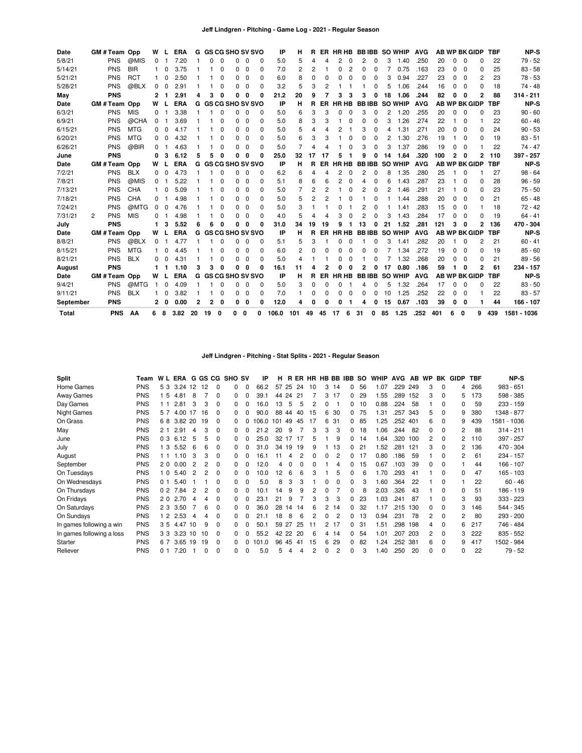| Date      |   | GM#Team Opp   |            | W        |          | <b>ERA</b> |              |    |          | <b>G GS CG SHO SV SVO</b> |          |              | IP    | н              | R        |          | ER HRHB        |          |    |             |    | <b>BBIBB SO WHIP</b> | <b>AVG</b> |     |   | <b>AB WP BK GIDP</b> |                | <b>TBF</b> | NP-S        |
|-----------|---|---------------|------------|----------|----------|------------|--------------|----|----------|---------------------------|----------|--------------|-------|----------------|----------|----------|----------------|----------|----|-------------|----|----------------------|------------|-----|---|----------------------|----------------|------------|-------------|
| 5/8/21    |   | <b>PNS</b>    | @MIS       | 0        |          | 7.20       |              | 0  | $\Omega$ | 0                         | $\Omega$ | $\Omega$     | 5.0   | 5              |          |          | $\overline{2}$ |          | 2  | 0           | 3  | 1.40                 | .250       | 20  | 0 | $\Omega$             | O              | 22         | 79 - 52     |
| 5/14/21   |   | <b>PNS</b>    | <b>BIR</b> |          | 0        | 3.75       |              |    | $\Omega$ | 0                         | $\Omega$ | 0            | 7.0   | 2              | 2        |          | U              | 2        | 0  | 0           |    | 0.75                 | .163       | 23  | 0 | $\Omega$             | O              | 25         | $83 - 58$   |
| 5/21/21   |   | <b>PNS</b>    | <b>RCT</b> | 1        | $\Omega$ | 2.50       |              |    | $\Omega$ | 0                         | $\Omega$ | <sup>0</sup> | 6.0   | 8              | $\Omega$ | $\Omega$ |                |          | n  | 0           |    | 0.94                 | .227       | 23  | 0 | $\Omega$             | $\overline{2}$ | 23         | $78 - 53$   |
| 5/28/21   |   | <b>PNS</b>    | @BLX       | 0        | 0        | 2.91       |              |    | $\Omega$ | 0                         | $\Omega$ | $\Omega$     | 3.2   | 5              | 3        | 2        |                |          |    |             |    | 1.06                 | .244       | 16  | 0 | $\Omega$             | O              | 18         | 74 - 48     |
| May       |   | <b>PNS</b>    |            | 2        | 1        | 2.91       | 4            | 3  | n        | 0                         | 0        | O            | 21.2  | 20             | 9        |          |                |          | 3  | o           | 18 | 1.06                 | .244       | 82  | O | $\Omega$             | 2              | 88         | $314 - 211$ |
| Date      |   | GM # Team Opp |            | W        |          | <b>ERA</b> |              |    |          | <b>G GS CG SHO SV SVO</b> |          |              | IP    | н              | R        |          | ER HRHB        |          |    |             |    | <b>BBIBB SO WHIP</b> | <b>AVG</b> |     |   | <b>AB WP BK GIDP</b> |                | <b>TBF</b> | NP-S        |
| 6/3/21    |   | <b>PNS</b>    | <b>MIS</b> | $\Omega$ |          | 3.38       |              |    | $\Omega$ | 0                         | $\Omega$ | $\Omega$     | 5.0   | 6              | 3        | 3        | $\Omega$       | $\Omega$ | 3  | 0           | 2  | 1.20                 | .255       | 20  | 0 | $\Omega$             | $\Omega$       | 23         | $90 - 60$   |
| 6/9/21    |   | <b>PNS</b>    | @CHA       | 0        | -1       | 3.69       |              |    | $\Omega$ | 0                         | 0        | O            | 5.0   | 8              | 3        | 3        |                | 0        | 0  | 0           | 3  | 1.26                 | .274       | 22  |   | $\Omega$             |                | 22         | $60 - 46$   |
| 6/15/21   |   | <b>PNS</b>    | <b>MTG</b> | 0        | 0        | 4.17       |              |    | $\Omega$ | 0                         | $\Omega$ | <sup>0</sup> | 5.0   | 5              | 4        |          | 2              |          | 3  | 0           | 4  | 1.31                 | .271       | 20  | 0 | $\Omega$             | O              | 24         | $90 - 53$   |
| 6/20/21   |   | <b>PNS</b>    | <b>MTG</b> | 0        | $\Omega$ | 4.32       |              |    | n        | 0                         | $\Omega$ | 0            | 5.0   | 6              | 3        | 3        |                | 0        | 0  | 0           | 2  | 1.30                 | .276       | 19  |   | $\Omega$             | O              | 19         | $83 - 51$   |
| 6/26/21   |   | <b>PNS</b>    | @BIR       | 0        |          | 4.63       |              |    | n        | 0                         | $\Omega$ | n            | 5.0   | 7              |          |          |                |          | 3  | 0           | 3  | 1.37                 | .286       | 19  | 0 | $\Omega$             |                | 22         | $74 - 47$   |
| June      |   | <b>PNS</b>    |            | 0        | 3        | 6.12       | 5            | 5  | o        | 0                         | 0        | o            | 25.0  | 32             | 17       |          |                |          | g  | ŋ           | 14 | 1.64                 | .320       | 100 | 2 | 0                    | 2              | 110        | 397 - 257   |
| Date      |   | GM # Team Opp |            | W        |          | <b>ERA</b> |              |    |          | <b>G GS CG SHO SV SVO</b> |          |              | IP    | н              | R        |          | ER HRHB        |          |    |             |    | <b>BBIBB SO WHIP</b> | <b>AVG</b> |     |   | <b>AB WP BK GIDP</b> |                | <b>TBF</b> | NP-S        |
| 7/2/21    |   | <b>PNS</b>    | <b>BLX</b> | 0        | 0        | 4.73       |              |    | $\Omega$ | 0                         | $\Omega$ | 0            | 6.2   | 6              | 4        | 4        | 2              |          | 2  | 0           | 8  | 1.35                 | .280       | 25  |   | $\Omega$             |                | 27         | $98 - 64$   |
| 7/8/21    |   | <b>PNS</b>    | @MIS       | 0        |          | 5.22       |              |    | n        | 0                         | $\Omega$ | 0            | 5.1   | 8              | 6        | 6        | 2              | O        | 4  | 0           | 6  | 1.43                 | .287       | 23  |   | $\Omega$             | 0              | 28         | $96 - 59$   |
| 7/13/21   |   | <b>PNS</b>    | CHA        |          | $\Omega$ | 5.09       |              |    | $\Omega$ | 0                         | $\Omega$ | $\Omega$     | 5.0   | $\overline{7}$ | 2        | 2        |                | $\Omega$ | 2  | 0           | 2  | 1.46                 | .291       | 21  |   | $\Omega$             | $\Omega$       | 23         | $75 - 50$   |
| 7/18/21   |   | <b>PNS</b>    | CHA        | 0        |          | 4.98       |              |    | $\Omega$ | 0                         | $\Omega$ | 0            | 5.0   | 5              | 2        | 2        |                | O        |    | 0           |    | 1.44                 | .288       | 20  | 0 | $\Omega$             | $\Omega$       | 21         | $65 - 48$   |
| 7/24/21   |   | <b>PNS</b>    | @MTG       | $\Omega$ | 0        | 4.76       |              |    | $\Omega$ | 0                         | 0        | <sup>0</sup> | 5.0   | 3              |          |          |                |          | 2  | 0           |    | 1.41                 | .283       | 15  | 0 | $\Omega$             |                | 18         | $72 - 42$   |
| 7/31/21   | 2 | <b>PNS</b>    | <b>MIS</b> | 0        |          | 4.98       |              |    | 0        | 0                         | $\Omega$ | 0            | 4.0   | 5              | Δ        |          |                |          | 2  |             |    | 1.43                 | .284       | 17  |   | $\Omega$             | O              | 19         | $64 - 41$   |
| July      |   | <b>PNS</b>    |            | 1        | 3        | 5.52       | 6            | 6  | 0        | 0                         | 0        | n            | 31.0  | 34             | 19       | 19       | q              |          | 13 | O           | 21 | 1.52                 | .281       | 121 | 3 | 0                    | 2              | 136        | 470 - 304   |
| Date      |   | GM # Team Opp |            | W        |          | <b>ERA</b> |              |    |          | <b>G GS CG SHO SV SVO</b> |          |              | IP    | н              | R        |          | ER HRHB        |          |    |             |    | <b>BBIBB SO WHIP</b> | <b>AVG</b> |     |   | <b>AB WP BK GIDP</b> |                | <b>TBF</b> | NP-S        |
| 8/8/21    |   | <b>PNS</b>    | @BLX       | 0        |          | 4.77       |              |    | 0        | 0                         | 0        | $\Omega$     | 5.1   | 5              | 3        |          |                |          |    | 0           | з  | 1.41                 | .282       | 20  |   | 0                    | 2              | 21         | $60 - 41$   |
| 8/15/21   |   | <b>PNS</b>    | <b>MTG</b> |          | 0        | 4.45       |              |    | $\Omega$ | 0                         | 0        | $\Omega$     | 6.0   | 2              | 0        | 0        | 0              |          | 0  | 0           |    | 1.34                 | .272       | 19  | 0 | 0                    | O              | 19         | $85 - 60$   |
| 8/21/21   |   | <b>PNS</b>    | <b>BLX</b> | 0        | $\Omega$ | 4.31       |              |    | 0        | 0                         | 0        | <sup>0</sup> | 5.0   | 4              |          |          |                |          |    |             |    | 1.32                 | .268       | 20  | 0 | $\Omega$             | $\Omega$       | 21         | $89 - 56$   |
| August    |   | <b>PNS</b>    |            | 1        | 1        | 1.10       | 3            | 3  | $\Omega$ | 0                         | 0        | O            | 16.1  | 11             | Δ        |          | O              |          | 2  | O           | 17 | 0.80                 | .186       | 59  | 1 | $\Omega$             | 2              | 61         | $234 - 157$ |
| Date      |   | GM # Team Opp |            | W        |          | <b>ERA</b> |              |    |          | <b>G GS CG SHO SV SVO</b> |          |              | IP    | н              | R        |          | ER HRHB        |          |    |             |    | <b>BBIBB SO WHIP</b> | <b>AVG</b> |     |   | <b>AB WP BK GIDP</b> |                | <b>TBF</b> | NP-S        |
| 9/4/21    |   | <b>PNS</b>    | @MTG       | -1       | 0        | 4.09       |              |    | n        | 0                         | 0        | $\Omega$     | 5.0   | 3              | 0        |          |                |          | 4  |             | 5  | 1.32                 | .264       | 17  | 0 | $\Omega$             | O              | 22         | $83 - 50$   |
| 9/11/21   |   | <b>PNS</b>    | <b>BLX</b> |          | 0        | 3.82       |              |    | 0        | 0                         | 0        | $\Omega$     | 7.0   |                | 0        | $\Omega$ | 0              | O        | 0  | $\Omega$    | 10 | 1.25                 | .252       | 22  | 0 | $\mathbf 0$          |                | 22         | $83 - 57$   |
| September |   | <b>PNS</b>    |            | 2        | 0        | 0.00       | $\mathbf{2}$ | 2  | 0        | 0                         | 0        | 0            | 12.0  | 4              | 0        | o        |                |          | 4  | 0           | 15 | 0.67                 | .103       | 39  | 0 | 0                    | 1              | 44         | 166 - 107   |
| Total     |   | <b>PNS</b>    | AA         | 6        | 8        | 3.82       | 20           | 19 | 0        | 0                         | 0        | 0            | 106.0 | 101            | 49       | 45       | - 17           | 6        | 31 | $\mathbf 0$ | 85 | 1.25                 | .252       | 401 | 6 | 0                    | 9              | 439        | 1581 - 1036 |

# **Jeff Lindgren - Pitching - Stat Splits - 2021 - Regular Season**

| Split                     | Team       |                | <b>WL ERA</b> |    | G GS CG |          | <b>SHO SV</b> |   | ΙP            | н      |       |          |    |                |                | R ER HR HB BB IBB SO |    | <b>WHIP</b> | <b>AVG</b> | AB  | <b>WP</b> | BK       | <b>GIDP</b>    | <b>TBF</b> | <b>NP-S</b> |
|---------------------------|------------|----------------|---------------|----|---------|----------|---------------|---|---------------|--------|-------|----------|----|----------------|----------------|----------------------|----|-------------|------------|-----|-----------|----------|----------------|------------|-------------|
| Home Games                | <b>PNS</b> | 53             | $3.24$ 12     |    | 12      | $\Omega$ | 0             | 0 | 66.2          | 57     | 25    | 24       | 10 | 3              | 14             | $\Omega$             | 56 | 1.07        | .229       | 249 |           | 0        | 4              | 266        | $983 - 651$ |
| Away Games                | <b>PNS</b> | 15             | 4.81          | 8  |         | $\Omega$ | 0             | 0 | 39.1          | 44     | 24    | 21       |    | 3              | 17             | $\Omega$             | 29 | 1.55        | .289       | 152 | 3         | $\Omega$ | 5              | 173        | 598 - 385   |
| Day Games                 | <b>PNS</b> | 11             | 2.81          | 3  | 3       | $\Omega$ | 0             | 0 | 16.0          | 13     | 5     | 5        |    | $\Omega$       |                | 0                    | 10 | 0.88        | .224       | 58  |           | 0        | <sup>0</sup>   | 59         | $233 - 159$ |
| Night Games               | <b>PNS</b> | 57             | 4.00          | 17 | 16      | $\Omega$ | 0             | 0 | 90.0          |        | 88 44 | 40       | 15 | 6              | 30             | 0                    | 75 | 1.31        | .257       | 343 | 5         | $\Omega$ | 9              | 380        | 1348 - 877  |
| On Grass                  | <b>PNS</b> | 68             | 3.82 20       |    | 19      |          | $\Omega$      |   | 106.0         | 101 49 |       | 45       | 17 | 6              | 31             | 0                    | 85 | .25         | .252 401   |     | 6         | 0        | 9              | 439        | 1581 - 1036 |
| May                       | <b>PNS</b> | 21             | 2.91          | 4  | 3       | $\Omega$ | $\Omega$      | 0 | $\cdot$<br>21 | 20     | 9     |          | 3  | 3              | 3              | 0                    | 18 | 1.06        | .244       | 82  | 0         | $\Omega$ | 2              | 88         | $314 - 211$ |
| June                      | <b>PNS</b> | 03             | 6.12          | 5  | 5       | $\Omega$ | 0             | 0 | 25.0          | 32     | 17    | 17       | 5  |                | 9              | 0                    | 14 | .64         | .320       | 100 | 2         | $\Omega$ | 2              | 110        | 397 - 257   |
| July                      | <b>PNS</b> | 13             | 5.52          | 6  | 6       | $\Omega$ | 0             | 0 | 31.0          | 34     | 19    | 19       | 9  |                | 13             | 0                    | 21 | 1.52        | .281       | 121 | 3         | $\Omega$ | 2              | 136        | 470 - 304   |
| August                    | <b>PNS</b> | 11             | 1.10          | 3  | 3       | $\Omega$ | 0             | 0 | 16.1          | 11     | 4     | 2        | 0  | 0              | $\overline{2}$ | 0                    | 17 | 0.80        | .186       | 59  |           | 0        | $\overline{2}$ | 61         | 234 - 157   |
| September                 | <b>PNS</b> | 20             | 0.00          |    |         | $\Omega$ | 0             | 0 | 12.0          |        |       | $\Omega$ | O  |                | 4              | 0                    | 15 | 0.67        | .103       | 39  | 0         | 0        |                | 44         | $166 - 107$ |
| On Tuesdays               | <b>PNS</b> | 10             | 5.40          |    | 2       | $\Omega$ | 0             | 0 | 10.0          | 12     | 6     | 6        |    |                | 5              | $\Omega$             | 6  | 1.70        | .293       | 41  |           | $\Omega$ | 0              | 47         | $165 - 103$ |
| On Wednesdays             | <b>PNS</b> | 0 <sub>1</sub> | 5.40          |    |         | $\Omega$ | 0             | 0 | 5.0           | 8      |       | З        |    | 0              | 0              | 0                    | 3  | 1.60        | .364       | 22  |           | 0        |                | 22         | $60 - 46$   |
| On Thursdays              | <b>PNS</b> | 0 <sub>2</sub> | 7.84          | 2  | 2       | $\Omega$ | 0             | 0 | 10.1          | 14     | 9     | 9        | 2  | 0              |                | $\Omega$             | 8  | 2.03        | .326       | 43  |           | 0        | 0              | 51         | 186 - 119   |
| On Fridays                | <b>PNS</b> | 20             | 2.70          | 4  | 4       |          | 0             | 0 | 23.1          | 21     | 9     |          | 3  | 3              | 3              | 0                    | 23 | 1.03        | .241       | 87  |           | $\Omega$ | 3              | 93         | $333 - 223$ |
| On Saturdays              | <b>PNS</b> | 23             | 3.50          |    | 6       | $\Omega$ | $\Omega$      | 0 | 36.0          | 28     |       | 14 14    | 6  | 2              | 14             | 0                    | 32 | 1.17        | .215       | 130 | 0         | 0        | 3              | 146        | 544 - 345   |
| On Sundays                | <b>PNS</b> | 12             | 2.53          | 4  | 4       |          | 0             |   | 21.1          | 18     | 8     | 6        |    | $\Omega$       | $\overline{2}$ | $\Omega$             | 13 | 0.94        | .231       | 78  | 2         | $\Omega$ | 2              | 80         | 293 - 200   |
| In games following a win  | <b>PNS</b> | 35             | 4.47          | 10 | 9       | $\Omega$ | 0             | 0 | 50.1          | 59     | 27    | 25       | 11 | $\overline{2}$ | 17             | $\Omega$             | 31 | 1.51        | .298       | 198 | 4         | $\Omega$ | 6              | 217        | 746 - 484   |
| In games following a loss | <b>PNS</b> | 33             | 3.23          | 10 | 10      | $\Omega$ | 0             | 0 | 55.2          |        | 42 22 | 20       | 6  | 4              | 14             | 0                    | 54 | 1.01        | .207       | 203 | 2         | 0        | 3              | 222        | 835 - 552   |
| Starter                   | <b>PNS</b> | 67             | 3.65          | 19 | 19      | $\Omega$ | 0             |   | 101.0         | 96     | 45    | -41      | 15 | 6              | 29             | 0                    | 82 | 1.24        | .252 381   |     | 6         | 0        | 9              | 417        | 1502 - 984  |
| Reliever                  | <b>PNS</b> | 0 <sub>1</sub> | 7.20          |    |         | $\Omega$ | 0             | 0 | 5.0           | 5      | 4     | 4        | 2  | 0              | 2              | 0                    | 3  | 1.40        | .250       | 20  | 0         | $\Omega$ | 0              | 22         | $79 - 52$   |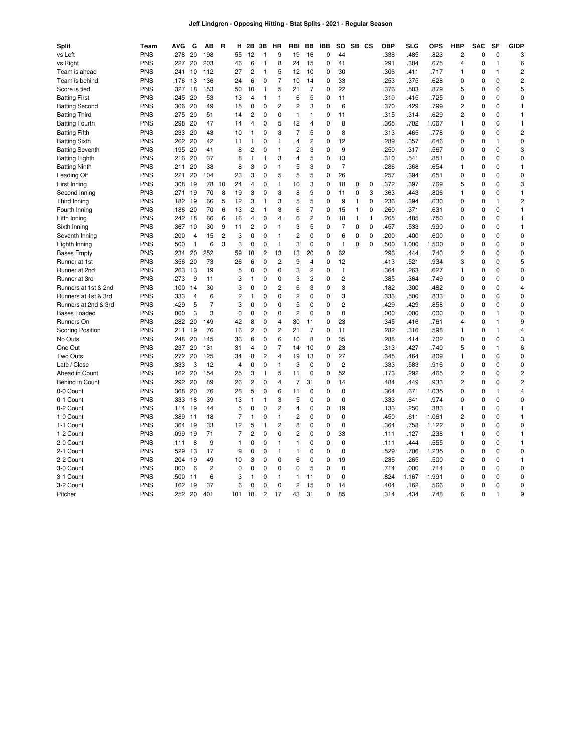## **Jeff Lindgren - Opposing Hitting - Stat Splits - 2021 - Regular Season**

| <b>Split</b>            | Team       | AVG  | G              | AВ             | R              | н              | 2Β             | 3В             | HR             | RBI            | BB             | IBB          | SO             |          | SB CS       | <b>OBP</b> | SLG   | OPS   | <b>HBP</b>     | <b>SAC</b>  | SF           | <b>GIDP</b>             |
|-------------------------|------------|------|----------------|----------------|----------------|----------------|----------------|----------------|----------------|----------------|----------------|--------------|----------------|----------|-------------|------------|-------|-------|----------------|-------------|--------------|-------------------------|
| vs Left                 | <b>PNS</b> | .278 | 20             | 198            |                | 55             | 12             | $\overline{1}$ | 9              | 19             | 16             | 0            | 44             |          |             | .338       | .485  | .823  | $\overline{c}$ | 0           | $\mathbf 0$  | 3                       |
| vs Right                | <b>PNS</b> | .227 | 20             | 203            |                | 46             | 6              | $\mathbf{1}$   | 8              | 24             | 15             | 0            | 41             |          |             | .291       | .384  | .675  | 4              | $\mathbf 0$ | 1            | 6                       |
| Team is ahead           | <b>PNS</b> | 241  | 10             | 112            |                | 27             | 2              | $\overline{1}$ | 5              | 12             | 10             | 0            | 30             |          |             | .306       | .411  | .717  | 1              | $\Omega$    | 1            | $\overline{c}$          |
| Team is behind          | <b>PNS</b> | .176 | 13             | 136            |                | 24             | 6              | 0              | $\overline{7}$ | 10             | 14             | $\mathbf 0$  | 33             |          |             | .253       | .375  | .628  | 0              | $\mathbf 0$ | 0            | $\overline{c}$          |
| Score is tied           | <b>PNS</b> | 327  | 18             | 153            |                | 50             | 10             | $\mathbf{1}$   | 5              | 21             | $\overline{7}$ | $\mathbf 0$  | 22             |          |             | .376       | .503  | .879  | 5              | 0           | 0            | 5                       |
| <b>Batting First</b>    | <b>PNS</b> | .245 | 20             | 53             |                | 13             | 4              | $\mathbf{1}$   | 1              | 6              | 5              | $\mathbf 0$  | 11             |          |             | .310       | .415  | .725  | 0              | $\mathbf 0$ | 0            | 0                       |
| <b>Batting Second</b>   | <b>PNS</b> | .306 | 20             | 49             |                | 15             | 0              | $\mathbf 0$    | $\overline{c}$ | $\overline{2}$ | 3              | $\mathbf 0$  | 6              |          |             | .370       | .429  | .799  | $\overline{c}$ | 0           | $\Omega$     | $\mathbf{1}$            |
| <b>Batting Third</b>    | <b>PNS</b> | .275 | 20             | 51             |                | 14             | 2              | 0              | 0              | 1              | $\mathbf{1}$   | $\mathbf 0$  | 11             |          |             | .315       | .314  | .629  | 2              | 0           | 0            | $\mathbf{1}$            |
| <b>Batting Fourth</b>   | <b>PNS</b> | .298 | 20             | 47             |                | 14             | 4              | 0              | 5              | 12             | 4              | 0            | 8              |          |             | .365       | .702  | 1.067 | 1              | $\Omega$    | $\Omega$     | $\mathbf{1}$            |
| <b>Batting Fifth</b>    | <b>PNS</b> | .233 | 20             | 43             |                | 10             | 1              | 0              | 3              | $\overline{7}$ | 5              | $\mathbf 0$  | 8              |          |             | .313       | .465  | .778  | 0              | 0           | 0            | $\overline{c}$          |
| <b>Batting Sixth</b>    | <b>PNS</b> | .262 | 20             | 42             |                | 11             | 1              | 0              | 1              | $\overline{4}$ | 2              | $\mathbf 0$  | 12             |          |             | .289       | .357  | .646  | 0              | $\mathbf 0$ | 1            | $\mathbf 0$             |
| <b>Batting Seventh</b>  | <b>PNS</b> | .195 | 20             | 41             |                | 8              | 2              | 0              | 1              | 2              | 3              | $\mathbf 0$  | 9              |          |             | .250       | .317  | .567  | 0              | $\mathbf 0$ | 0            | 3                       |
| <b>Batting Eighth</b>   | <b>PNS</b> | .216 | 20             | 37             |                | 8              | 1              | $\mathbf{1}$   | 3              | $\overline{4}$ | 5              | $\mathbf 0$  | 13             |          |             | .310       | .541  | .851  | 0              | 0           | 0            | $\mathbf 0$             |
| <b>Batting Ninth</b>    | <b>PNS</b> | .211 | 20             | 38             |                | 8              | 3              | 0              | 1              | 5              | 3              | $\mathbf 0$  | $\overline{7}$ |          |             | .286       | .368  | .654  | 1              | 0           | 0            | $\mathbf{1}$            |
| Leading Off             | <b>PNS</b> | .221 | 20             | 104            |                | 23             | 3              | $\Omega$       | 5              | 5              | 5              | $\mathbf 0$  | 26             |          |             | .257       | .394  | .651  | $\Omega$       | 0           | 0            | $\mathbf 0$             |
| First Inning            | <b>PNS</b> | .308 | 19             | 78             | 10             | 24             | 4              | 0              | 1              | 10             | 3              | $\mathbf 0$  | 18             | 0        | 0           | .372       | .397  | .769  | 5              | $\mathbf 0$ | 0            | 3                       |
| Second Inning           | <b>PNS</b> | .271 | 19             | 70             | 8              | 19             | 3              | 0              | 3              | 8              | 9              | $\mathbf 0$  | 11             | 0        | 3           | .363       | .443  | .806  | 1              | 0           | 0            | $\mathbf{1}$            |
| Third Inning            | <b>PNS</b> | .182 | 19             | 66             | 5              | 12             | 3              | -1             | 3              | 5              | 5              | $\mathbf 0$  | 9              | 1        | 0           | .236       | .394  | .630  | 0              | $\mathbf 0$ | 1            | $\overline{c}$          |
| Fourth Inning           | <b>PNS</b> | .186 | 20             | 70             | 6              | 13             | 2              | $\mathbf{1}$   | 3              | 6              | $\overline{7}$ | 0            | 15             | 1        | 0           | .260       | .371  | .631  | $\Omega$       | 0           | 0            | $\mathbf{1}$            |
| Fifth Inning            | <b>PNS</b> | .242 | 18             | 66             | 6              | 16             | 4              | 0              | 4              | 6              | $\overline{c}$ | $\mathbf 0$  | 18             | 1        | 1           | .265       | .485  | .750  | 0              | 0           | 0            | $\mathbf{1}$            |
| Sixth Inning            | <b>PNS</b> | .367 | 10             | 30             | 9              | 11             | $\overline{c}$ | 0              | 1              | 3              | 5              | 0            | $\overline{7}$ | $\Omega$ | $\Omega$    | .457       | .533  | .990  | $\Omega$       | $\Omega$    | 0            | $\mathbf{1}$            |
| Seventh Inning          | <b>PNS</b> | .200 | $\overline{4}$ | 15             | $\overline{c}$ | 3              | 0              | 0              | 1              | $\overline{c}$ | $\mathbf 0$    | $\mathbf 0$  | 6              | 0        | $\mathbf 0$ | .200       | .400  | .600  | 0              | 0           | 0            | $\pmb{0}$               |
| Eighth Inning           | <b>PNS</b> | .500 | $\mathbf{1}$   | 6              | 3              | 3              | 0              | 0              | 1              | 3              | 0              | $\mathbf 0$  | $\mathbf{1}$   | 0        | 0           | .500       | 1.000 | 1.500 | 0              | 0           | 0            | 0                       |
| <b>Bases Empty</b>      | <b>PNS</b> | .234 | 20             | 252            |                | 59             | 10             | $\overline{c}$ | 13             | 13             | 20             | $\mathbf 0$  | 62             |          |             | .296       | .444  | .740  | 2              | $\mathbf 0$ | 0            | 0                       |
| Runner at 1st           | <b>PNS</b> | .356 | 20             | 73             |                | 26             | 6              | 0              | $\overline{c}$ | 9              | 4              | $\mathbf 0$  | 12             |          |             | .413       | .521  | .934  | 3              | 0           | 0            | 5                       |
| Runner at 2nd           | <b>PNS</b> | .263 | 13             | 19             |                | 5              | 0              | 0              | $\mathbf 0$    | 3              | $\overline{c}$ | $\mathbf 0$  | $\mathbf{1}$   |          |             | .364       | .263  | .627  | 1              | 0           | 0            | $\mathbf 0$             |
| Runner at 3rd           | <b>PNS</b> | .273 | 9              | 11             |                | 3              | 1              | 0              | 0              | 3              | $\overline{c}$ | $\mathbf 0$  | $\overline{c}$ |          |             | .385       | .364  | .749  | 0              | 0           | 0            | 0                       |
| Runners at 1st & 2nd    | <b>PNS</b> | .100 | 14             | 30             |                | 3              | 0              | 0              | 2              | 6              | 3              | $\mathbf 0$  | 3              |          |             | .182       | .300  | .482  | 0              | 0           | 0            | $\overline{4}$          |
| Runners at 1st & 3rd    | <b>PNS</b> | .333 | 4              | 6              |                | 2              | 1              | 0              | 0              | $\overline{c}$ | 0              | $\mathbf 0$  | 3              |          |             | .333       | .500  | .833  | 0              | 0           | 0            | 0                       |
| Runners at 2nd & 3rd    | <b>PNS</b> | .429 | 5              | $\overline{7}$ |                | 3              | 0              | 0              | $\mathbf 0$    | 5              | $\mathbf 0$    | $\mathbf 0$  | $\overline{c}$ |          |             | .429       | .429  | .858  | 0              | $\mathbf 0$ | 0            | 0                       |
| <b>Bases Loaded</b>     | <b>PNS</b> | .000 | 3              | 3              |                | 0              | 0              | 0              | 0              | $\overline{c}$ | 0              | $\mathbf 0$  | $\mathbf 0$    |          |             | .000       | .000  | .000  | 0              | 0           | 1            | 0                       |
| Runners On              | <b>PNS</b> | 282  | 20             | 149            |                | 42             | 8              | 0              | 4              | 30             | 11             | $\mathbf 0$  | 23             |          |             | .345       | .416  | .761  | 4              | 0           | 1            | 9                       |
| <b>Scoring Position</b> | <b>PNS</b> | .211 | 19             | 76             |                | 16             | 2              | 0              | $\overline{c}$ | 21             | $\overline{7}$ | 0            | 11             |          |             | .282       | .316  | .598  | 1              | 0           | 1            | 4                       |
| No Outs                 | <b>PNS</b> | 248  | 20             | 145            |                | 36             | 6              | 0              | 6              | 10             | 8              | $\mathbf 0$  | 35             |          |             | .288       | .414  | .702  | 0              | 0           | $\Omega$     | 3                       |
| One Out                 | <b>PNS</b> | .237 | 20             | 131            |                | 31             | 4              | 0              | 7              | 14             | 10             | $\mathbf 0$  | 23             |          |             | .313       | .427  | .740  | 5              | 0           | 1            | 6                       |
| Two Outs                | <b>PNS</b> | .272 | 20             | 125            |                | 34             | 8              | $\overline{c}$ | 4              | 19             | 13             | $\mathbf 0$  | 27             |          |             | .345       | .464  | .809  | 1              | 0           | $\Omega$     | $\mathbf 0$             |
| Late / Close            | <b>PNS</b> | .333 | 3              | 12             |                | 4              | 0              | 0              | 1              | 3              | $\mathbf 0$    | $\mathbf 0$  | $\overline{c}$ |          |             | .333       | .583  | .916  | 0              | 0           | 0            | 0                       |
| Ahead in Count          | <b>PNS</b> | .162 | 20             | 154            |                | 25             | 3              | $\overline{1}$ | 5              | 11             | $\mathbf 0$    | $\mathbf 0$  | 52             |          |             | .173       | .292  | .465  | 2              | 0           | 0            | $\overline{c}$          |
| Behind in Count         | <b>PNS</b> | .292 | 20             | 89             |                | 26             | 2              | 0              | 4              | $\overline{7}$ | 31             | $\mathbf 0$  | 14             |          |             | .484       | .449  | .933  | 2              | 0           | 0            | $\overline{\mathbf{c}}$ |
| 0-0 Count               | <b>PNS</b> | .368 | 20             | 76             |                | 28             | 5              | 0              | 6              | 11             | 0              | $\mathbf 0$  | $\mathbf 0$    |          |             | .364       | .671  | 1.035 | 0              | $\mathbf 0$ | $\mathbf{1}$ | $\overline{4}$          |
| 0-1 Count               | <b>PNS</b> | .333 | 18             | 39             |                | 13             | 1              | 1              | 3              | 5              | 0              | $\mathbf 0$  | 0              |          |             | .333       | .641  | .974  | 0              | 0           | 0            | 0                       |
| 0-2 Count               | <b>PNS</b> | .114 | 19             | 44             |                | 5              | 0              | 0              | 2              | $\overline{4}$ | 0              | $\mathbf 0$  | 19             |          |             | .133       | .250  | .383  | 1              | $\mathbf 0$ | $\Omega$     | $\mathbf{1}$            |
| 1-0 Count               | <b>PNS</b> | .389 | 11             | 18             |                | $\overline{7}$ | 1              | 0              | 1              | $\overline{c}$ | 0              | $\mathbf 0$  | $\mathbf 0$    |          |             | .450       | .611  | 1.061 | 2              | 0           | 0            | $\mathbf{1}$            |
| 1-1 Count               | <b>PNS</b> | .364 | 19             | 33             |                | 12             | 5              | $\mathbf{1}$   | 2              | 8              | 0              | $\mathbf 0$  | $\mathbf 0$    |          |             | .364       | .758  | 1.122 | 0              | 0           | 0            | $\mathbf 0$             |
| 1-2 Count               | <b>PNS</b> | .099 | 19             | 71             |                | $\overline{7}$ | 2              | $\mathbf 0$    | $\mathbf 0$    | $\overline{c}$ | 0              | $\mathbf 0$  | 33             |          |             | .111       | .127  | .238  | 1              | $\mathbf 0$ | 0            | $\mathbf{1}$            |
| 2-0 Count               | <b>PNS</b> | .111 | 8              | 9              |                | 1              | 0              | 0              | 1              | $\mathbf{1}$   | $\mathbf 0$    | $\mathbf 0$  | $\mathbf 0$    |          |             | .111       | .444  | .555  | 0              | 0           | $\Omega$     | $\mathbf{1}$            |
| 2-1 Count               | <b>PNS</b> | .529 | 13             | 17             |                | 9              | 0              | 0              | 1              | 1              | 0              | $\mathbf 0$  | 0              |          |             | .529       | .706  | 1.235 | 0              | 0           | $\mathbf 0$  | 0                       |
| 2-2 Count               | <b>PNS</b> | .204 | 19             | 49             |                | 10             | 3              | 0              | $\mathbf 0$    | 6              | 0              | $\mathbf 0$  | 19             |          |             | .235       | .265  | .500  | 2              | $\mathbf 0$ | 0            | $\mathbf{1}$            |
| 3-0 Count               | <b>PNS</b> | .000 | 6              | $\overline{c}$ |                | 0              | 0              | 0              | $\mathbf 0$    | 0              | 5              | $\mathbf 0$  | 0              |          |             | .714       | .000  | .714  | 0              | 0           | 0            | 0                       |
| 3-1 Count               | <b>PNS</b> | .500 | 11             | 6              |                | 3              | $\overline{1}$ | 0              | 1              | 1              | 11             | 0            | $\mathbf 0$    |          |             | .824       | 1.167 | 1.991 | $\Omega$       | 0           | $\Omega$     | $\mathbf 0$             |
| 3-2 Count               | <b>PNS</b> | .162 | 19             | 37             |                | 6              | 0              | 0              | $\mathbf 0$    | $\overline{c}$ | 15             | 0            | 14             |          |             | .404       | .162  | .566  | $\Omega$       | 0           | 0            | $\mathbf 0$             |
| Pitcher                 | <b>PNS</b> | 252  | 20             | 401            |                | 101            | 18             | $\overline{2}$ | 17             | 43             | 31             | $\mathbf{0}$ | 85             |          |             | 314        | .434  | .748  | 6              | 0           | 1            | 9                       |
|                         |            |      |                |                |                |                |                |                |                |                |                |              |                |          |             |            |       |       |                |             |              |                         |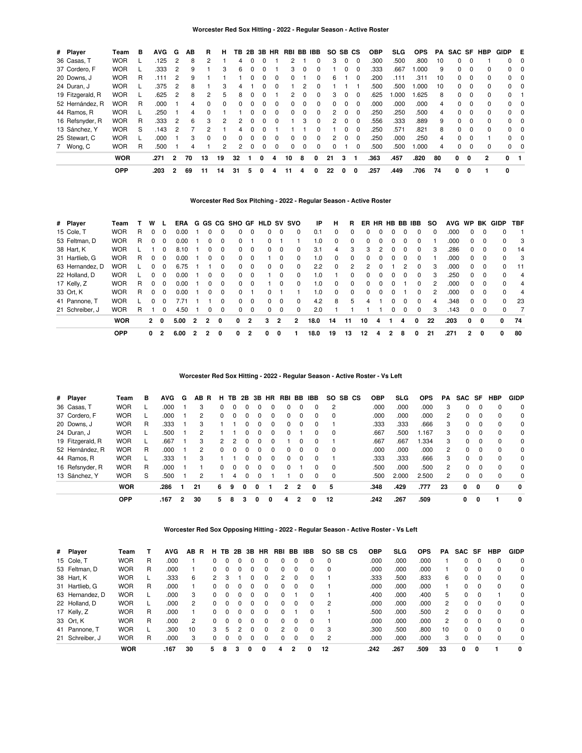## **Worcester Red Sox Hitting - 2022 - Regular Season - Active Roster**

| # Player         | Team       | в | <b>AVG</b> | G              | AB | R  | н            | ΤВ | 2B |          | 3B HR    | RBI BB IBB    |   |              | SO. |          | SB CS    | <b>OBP</b> | <b>SLG</b> | <b>OPS</b> | PA | SAC SF   |             | HBP          | GIDP         | E          |
|------------------|------------|---|------------|----------------|----|----|--------------|----|----|----------|----------|---------------|---|--------------|-----|----------|----------|------------|------------|------------|----|----------|-------------|--------------|--------------|------------|
| 36 Casas, T      | <b>WOR</b> |   | .125       |                | 8  |    |              | 4  |    |          |          |               |   |              | 3   | $\Omega$ | 0        | .300       | .500       | .800       | 10 | 0        | 0           |              | $\mathbf{0}$ | - 0        |
| 37 Cordero, F    | <b>WOR</b> |   | .333       | 2              | 9  |    | 3            | 6  |    |          |          | 3             |   | $\Omega$     |     |          | $\Omega$ | .333       | .667       | .000       | 9  | 0        | $\Omega$    | 0            | $\Omega$     | $\Omega$   |
| 20 Downs, J      | <b>WOR</b> | R | .111       | 2              | 9  |    |              |    |    | 0        | $\Omega$ | <sup>0</sup>  |   | 0            | 6   |          | $\Omega$ | .200       | .111       | .311       | 10 | $\Omega$ | $\Omega$    | 0            |              | $0\quad 0$ |
| 24 Duran, J      | <b>WOR</b> |   | .375       | 2              | 8  |    | 3            | 4  |    | 0        | $\Omega$ |               | 2 |              |     |          |          | .500       | .500       | .000       | 10 | 0        | $\Omega$    | <sup>0</sup> |              | $0\quad 0$ |
| 19 Fitzgerald, R | <b>WOR</b> |   | .625       | 2              | 8  | 2  | 5            | 8  |    |          |          | $\mathcal{P}$ |   | <sup>0</sup> | 3   | $\Omega$ | $\Omega$ | .625       | .000       | .625       | 8  | $\Omega$ | $\Omega$    | 0            | $\Omega$     |            |
| 52 Hernández, R  | <b>WOR</b> | R | .000       |                | 4  |    | <sup>0</sup> | 0  |    | 0        | $\Omega$ | $\Omega$      |   | $\Omega$     |     |          | $\Omega$ | .000       | .000       | .000       | 4  | 0        | $\Omega$    | <sup>0</sup> |              | $0\quad 0$ |
| 44 Ramos, R      | <b>WOR</b> |   | .250       |                | 4  |    |              |    |    | 0        | $\Omega$ | <sup>0</sup>  |   | <sup>0</sup> | 2   | $\Omega$ | $\Omega$ | .250       | .250       | .500       | 4  | 0        | $\Omega$    | <sup>0</sup> |              | $0\quad 0$ |
| 16 Refsnyder, R  | <b>WOR</b> | R | .333       | 2              | 6  | 3  | 2            | 2  |    | $\Omega$ | $\Omega$ |               | 3 | 0            | 2   | $\Omega$ | 0        | .556       | .333       | .889       | 9  | 0        | $\mathbf 0$ | 0            |              | $0\quad 0$ |
| 13 Sánchez, Y    | <b>WOR</b> | S | 143        | 2              |    |    |              | 4  |    |          |          |               |   |              |     | $\Omega$ | $\Omega$ | .250       | .571       | .821       | 8  | $\Omega$ | $\Omega$    | $\Omega$     |              | $0\quad 0$ |
| 25 Stewart, C    | <b>WOR</b> |   | .000       |                | 3  |    | <sup>0</sup> | 0  |    | 0        | 0        | $\Omega$      |   |              | 2   | 0        | $\Omega$ | .250       | .000       | .250       | 4  | 0        | $\Omega$    |              |              | $0\quad 0$ |
| 7 Wong, C        | <b>WOR</b> | R | .500       |                | 4  |    | 2            | 2  | 0  | 0        | 0        | 0             |   | 0            |     |          | 0        | .500       | .500       | .000       | 4  | 0        | 0           | 0            | $\Omega$     | 0          |
|                  | <b>WOR</b> |   | .271       | $\overline{2}$ | 70 | 13 | 19           | 32 |    | 0        |          | 10            | 8 | 0            | 21  | 3        |          | .363       | .457       | .820       | 80 | 0        | 0           | 2            | <sup>0</sup> |            |
|                  | <b>OPP</b> |   | .203       | $\overline{2}$ | 69 | 11 | 14           | 31 | 5  | 0        |          | 11            | 4 | 0            | 22  |          | 0        | .257       | .449       | .706       | 74 | 0        | 0           |              | 0            |            |

### **Worcester Red Sox Pitching - 2022 - Regular Season - Active Roster**

| # Player        | Team       |   |              |          | ERA  |   |              |          | G GS CG SHO GF HLD SV |              |    |          | svo            | IP   | н        | R.             |    | ER HR HB BB IBB |          |              |          | so             | AVG  | <b>WP</b> | BK       | <b>GIDP</b> | TBF |
|-----------------|------------|---|--------------|----------|------|---|--------------|----------|-----------------------|--------------|----|----------|----------------|------|----------|----------------|----|-----------------|----------|--------------|----------|----------------|------|-----------|----------|-------------|-----|
| 15 Cole, T      | <b>WOR</b> | R |              | $\Omega$ | 0.00 |   |              | 0        | 0                     | $\Omega$     | 0  | $\Omega$ | 0              | 0.1  | 0        | $\Omega$       |    |                 |          | 0            | $\Omega$ | $\Omega$       | .000 | 0         | $\Omega$ | 0           |     |
| 53 Feltman, D   | <b>WOR</b> | R | 0            | $\Omega$ | 0.00 |   | 0            | 0        | 0                     |              | O. |          |                | 1.0  | $\Omega$ | 0              | 0  |                 |          | 0            | $\Omega$ |                | .000 | $\Omega$  | $\Omega$ | $\Omega$    | 3   |
| 38 Hart, K      | <b>WOR</b> |   |              | 0        | 8.10 |   | 0            | $\Omega$ | $\Omega$              | 0            | 0  | $\Omega$ | $\Omega$       | 3.1  | 4        | 3              | 3  | 2               |          | 0            | $\Omega$ | 3              | .286 | 0         | $\Omega$ | 0           | 14  |
| 31 Hartlieb, G  | <b>WOR</b> | R | 0            | $\Omega$ | 0.00 |   | 0            | $\Omega$ | $\Omega$              | $\Omega$     |    | $\Omega$ | $\Omega$       | 1.0  | 0        | 0              | 0  |                 | $\Omega$ | <sup>0</sup> | $\Omega$ |                | .000 | 0         | $\Omega$ | 0           | 3   |
| 63 Hernandez, D | <b>WOR</b> |   | O.           | $\Omega$ | 6.75 |   |              | $\Omega$ | $\Omega$              | $\Omega$     | 0  | $\Omega$ | $\Omega$       | 2.2  | $\Omega$ | $\overline{2}$ | 2  |                 |          | 2            | $\Omega$ | 3              | .000 | 0         | $\Omega$ | $\Omega$    | -11 |
| 22 Holland, D   | <b>WOR</b> |   | 0            | $\Omega$ | 0.00 |   | 0            | 0        | 0                     | $\Omega$     |    | $\Omega$ | $\Omega$       | 1.0  |          | $\Omega$       |    |                 |          |              | 0        | 3              | .250 | 0         | 0        | 0           | 4   |
| 17 Kelly, Z     | <b>WOR</b> | R | 0            | $\Omega$ | 0.00 |   | 0            | $\Omega$ | $\Omega$              | $\Omega$     |    | $\Omega$ | $\Omega$       | 1.0  | 0        | $\Omega$       | 0  |                 | $\Omega$ |              | $\Omega$ | $\overline{2}$ | .000 | 0         | $\Omega$ | $\Omega$    | 4   |
| 33 Ort, K       | <b>WOR</b> | R | 0            | $\Omega$ | 0.00 |   | 0            | $\Omega$ | $\Omega$              |              | 0  |          |                | 1.0  | $\Omega$ | 0              | 0  |                 | $\Omega$ |              | $\Omega$ | 2              | .000 | 0         | $\Omega$ | $\Omega$    | -4  |
| 41 Pannone, T   | <b>WOR</b> |   | 0            | $\Omega$ | 7.71 |   |              | $\Omega$ | $\Omega$              | 0            | 0  | $\Omega$ | 0              | 4.2  | 8        | 5              |    |                 |          | O            | $\Omega$ | 4              | .348 | 0         | $\Omega$ | $\Omega$    | 23  |
| 21 Schreiber, J | <b>WOR</b> | R |              | 0        | 4.50 |   | 0            | 0        | $\Omega$              | 0            | 0  | $\Omega$ | 0              | 2.0  |          |                |    |                 |          | 0            | $\Omega$ | 3              | .143 | 0         | 0        | 0           | 7   |
|                 | <b>WOR</b> |   | $\mathbf{2}$ | 0        | 5.00 | 2 | $\mathbf{2}$ | 0        | 0                     | $\mathbf{2}$ | 3  | 2        | $\overline{2}$ | 18.0 | 14       | 11             | 10 | 4               |          | 4            | 0        | 22             | .203 | 0         | 0        | 0           | 74  |
|                 | <b>OPP</b> |   | 0            | 2        | 6.00 | 2 | 2            | 0        | 0                     | 2            | 0  | 0        |                | 18.0 | 19       | 13             | 12 | 4               | 2        | 8            | 0        | 21             | .271 | 2         | 0        | 0           | 80  |

## **Worcester Red Sox Hitting - 2022 - Regular Season - Active Roster - Vs Left**

| # Player         | Team       | в | <b>AVG</b> | G | AB.<br>- R     | н            | ΤВ | 2B       | 3B | <b>HR</b> | RBI          | BB | <b>IBB</b> | SO.            | SB CS | OBP  | SLG   | <b>OPS</b> | РA           | SAC | SF          | <b>HBP</b>  | <b>GIDP</b>  |
|------------------|------------|---|------------|---|----------------|--------------|----|----------|----|-----------|--------------|----|------------|----------------|-------|------|-------|------------|--------------|-----|-------------|-------------|--------------|
| 36 Casas, T      | <b>WOR</b> |   | .000       |   | 3              |              |    |          |    | 0         | 0            | 0  | $\Omega$   | $\overline{2}$ |       | .000 | .000  | .000       | 3            | 0   |             | $\Omega$    | $\Omega$     |
| 37 Cordero, F    | <b>WOR</b> |   | .000       |   | $\overline{2}$ | 0            |    |          |    | 0         | 0            | 0  | $\Omega$   | 0              |       | .000 | .000  | .000       | 2            | 0   | $\Omega$    | $\Omega$    | $\Omega$     |
| 20 Downs, J      | <b>WOR</b> | R | .333       |   | 3              |              |    |          |    | $\Omega$  | 0            | 0  | $\Omega$   |                |       | .333 | .333  | .666       | 3            | 0   | $\Omega$    | 0           | 0            |
| 24 Duran, J      | <b>WOR</b> |   | .500       |   | 2              |              |    |          |    | $\Omega$  | 0            |    | $\Omega$   | $\Omega$       |       | .667 | .500  | 1.167      | 3            | 0   | $\Omega$    | $\Omega$    | 0            |
| 19 Fitzgerald, R | <b>WOR</b> |   | .667       |   | 3              | 2            |    |          |    | 0         |              | 0  | $\Omega$   |                |       | .667 | .667  | 1.334      | 3            | 0   | $\Omega$    | $\Omega$    | $\Omega$     |
| 52 Hernández, R  | <b>WOR</b> | R | .000       |   | 2              | <sup>0</sup> |    | $\Omega$ |    | 0         | 0            | 0  | $\Omega$   | $\mathbf 0$    |       | .000 | .000  | .000       | $\mathbf{2}$ | 0   | $\Omega$    | $\Omega$    | $\Omega$     |
| 44 Ramos, R      | <b>WOR</b> |   | .333       |   | з              |              |    |          |    | 0         | 0            | 0  | $\Omega$   |                |       | .333 | .333  | .666       | 3            | 0   | $\Omega$    | $\Omega$    | $\Omega$     |
| 16 Refsnyder, R  | <b>WOR</b> | R | .000       |   |                | 0            |    |          |    | 0         | <sup>0</sup> |    | $\Omega$   | $\mathbf 0$    |       | .500 | .000  | .500       | 2            | 0   | $\Omega$    | $\Omega$    | $\Omega$     |
| 13 Sánchez, Y    | <b>WOR</b> | S | .500       |   | 2              |              | 4  |          |    |           |              | 0  | $\Omega$   | $\mathbf 0$    |       | .500 | 2.000 | 2.500      | 2            | 0   | $\Omega$    | $\Omega$    | $\Omega$     |
|                  | <b>WOR</b> |   | .286       |   | 21             | 6.           | 9  | 0        | 0  |           | 2            | 2  | 0          | 5              |       | .348 | .429  | .777       | 23           | 0   | $\mathbf 0$ | $\mathbf 0$ | 0            |
|                  | <b>OPP</b> |   | .167       | 2 | 30             | 5.           | 8  | 3        | 0  | 0         | 4            | 2  | 0          | 12             |       | .242 | .267  | .509       |              | 0   | 0           |             | $\mathbf{0}$ |

### **Worcester Red Sox Opposing Hitting - 2022 - Regular Season - Active Roster - Vs Left**

| # Player        | Team       |   | <b>AVG</b> | AB.          | R<br>н | ΤВ | 2B | 3В           | HR           | RBI           | BB           | IBB          | SO.      | SB CS | <b>OBP</b> | <b>SLG</b> | <b>OPS</b> | <b>PA</b>      | SAC | SF       | <b>HBP</b> | <b>GIDP</b> |
|-----------------|------------|---|------------|--------------|--------|----|----|--------------|--------------|---------------|--------------|--------------|----------|-------|------------|------------|------------|----------------|-----|----------|------------|-------------|
| 15 Cole, T      | <b>WOR</b> | R | .000       |              |        |    |    |              | 0            | 0             | 0            |              | $\Omega$ |       | .000       | .000       | .000       |                |     |          |            | $\Omega$    |
| 53 Feltman, D   | <b>WOR</b> | R | .000       |              |        |    |    |              | 0            | 0             | 0            | 0            | 0        |       | .000       | .000       | .000       |                |     |          |            | 0           |
| 38 Hart, K      | <b>WOR</b> |   | .333       | 6            |        |    |    |              | 0            | 2             | $^{(1)}$     |              |          |       | .333       | .500       | .833       | 6              |     |          | 0          | 0           |
| 31 Hartlieb, G  | <b>WOR</b> | R | .000       |              |        |    |    |              | 0            | $\Omega$      | $\Omega$     |              |          |       | .000       | .000       | .000       |                |     | 0        | $\Omega$   | $\Omega$    |
| 63 Hernandez. D | <b>WOR</b> |   | .000       | 3            |        |    |    |              | 0            | $\Omega$      |              | <sup>0</sup> |          |       | .400       | .000       | .400       | 5              | 0   | 0        |            | $\Omega$    |
| 22 Holland, D   | <b>WOR</b> |   | .000       | 2            |        |    | 0  | <sup>n</sup> | <sup>0</sup> | 0             | $\Omega$     | $\Omega$     | 2        |       | .000       | .000       | .000       | 2              | 0   | 0        | 0          | $\Omega$    |
| 17 Kelly, Z     | <b>WOR</b> | R | .000       |              | 0      |    |    |              | <sup>0</sup> | $\Omega$      |              |              |          |       | .500       | .000       | .500       | 2              | 0   | $\Omega$ | $\Omega$   | $\Omega$    |
| 33 Ort, K       | <b>WOR</b> | R | .000       | $\mathbf{2}$ |        |    |    |              | 0            | 0             | <sup>0</sup> |              |          |       | .000       | .000       | .000       | $\overline{2}$ |     | $\Omega$ | $\Omega$   | $\Omega$    |
| 41 Pannone, T   | <b>WOR</b> |   | .300       | 10           | 3      | h  |    |              | 0            | $\mathcal{P}$ | $\Omega$     | $\Omega$     | 3        |       | .300       | .500       | .800       | 10             | 0   | $\Omega$ | $\Omega$   | $\Omega$    |
| 21 Schreiber, J | <b>WOR</b> | R | .000       | 3            |        |    |    |              |              | 0             |              |              | 2        |       | .000       | .000       | .000       | 3              |     | $\Omega$ | $\Omega$   | $\Omega$    |
|                 | <b>WOR</b> |   | .167       | 30           | 5      | 8  | 3  | 0            | 0            | 4             | 2            | 0            | 12       |       | .242       | .267       | .509       | 33             | 0   | 0        |            | 0           |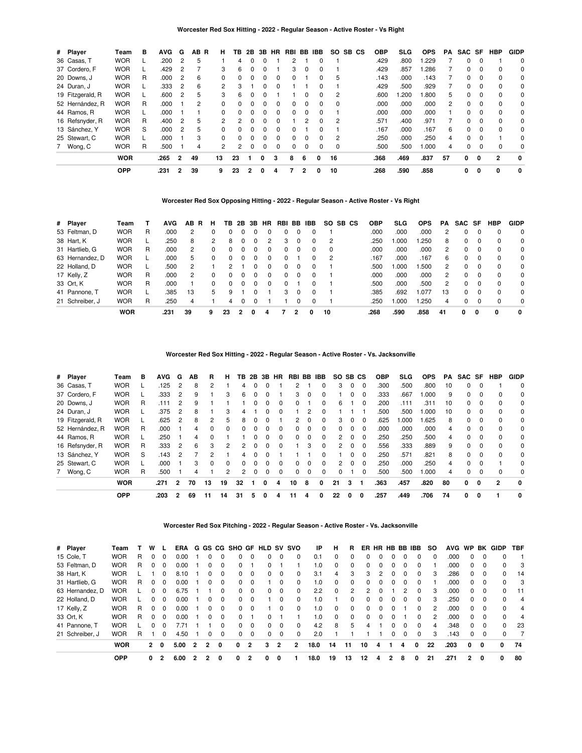## **Worcester Red Sox Hitting - 2022 - Regular Season - Active Roster - Vs Right**

| # Player         | Team       | в | <b>AVG</b> | G              | AB R | н              | ΤВ             | 2B           | 3B           | HR           | RBI BB |          | <b>IBB</b> | SO.      | SB CS | <b>OBP</b> | <b>SLG</b> | <b>OPS</b> | PA | SAC SF       |          | <b>HBP</b> | <b>GIDP</b>  |
|------------------|------------|---|------------|----------------|------|----------------|----------------|--------------|--------------|--------------|--------|----------|------------|----------|-------|------------|------------|------------|----|--------------|----------|------------|--------------|
| 36 Casas, T      | <b>WOR</b> |   | .200       | 2              | 5    |                | 4              | $\Omega$     | $\Omega$     |              | 2      |          | $\Omega$   |          |       | .429       | .800       | .229       |    | $\Omega$     | 0        |            | 0            |
| 37 Cordero, F    | <b>WOR</b> |   | .429       |                |      | 3              | 6              | $\Omega$     | $\Omega$     |              | 3      | 0        | $\Omega$   |          |       | .429       | .857       | .286       |    | <sup>0</sup> | $\Omega$ | $\Omega$   | 0            |
| 20 Downs, J      | <b>WOR</b> | R | .000       | 2              | 6    | 0              | $\Omega$       | $\Omega$     | $\Omega$     | $\Omega$     | 0      |          | 0          | 5        |       | .143       | .000       | .143       |    | $\Omega$     | $\Omega$ | $\Omega$   | 0            |
| 24 Duran, J      | <b>WOR</b> |   | .333       | 2              | 6    | $\mathcal{P}$  | 3              |              | $\Omega$     |              |        |          |            |          |       | .429       | .500       | .929       |    | $\Omega$     | $\Omega$ | $\Omega$   | 0            |
| 19 Fitzgerald, R | <b>WOR</b> |   | .600       | 2              | 5    | 3              | 6              | <sup>0</sup> | $\Omega$     |              |        | 0        | 0          | 2        |       | .600       | .200       | .800       | 5. | $\Omega$     | 0        | $\Omega$   | 0            |
| 52 Hernández, R  | <b>WOR</b> | R | .000       |                | 2    | 0              | 0              | $\Omega$     | <sup>0</sup> |              | n.     |          |            |          |       | .000       | .000       | .000       | 2  | $\Omega$     | $\Omega$ | $\Omega$   | 0            |
| 44 Ramos, R      | <b>WOR</b> |   | .000       |                |      | $\Omega$       | $\Omega$       | $\Omega$     | $\Omega$     | $\Omega$     | 0      | $\Omega$ | $\Omega$   |          |       | .000       | .000       | .000       |    | $\Omega$     | $\Omega$ | $\Omega$   | $\Omega$     |
| 16 Refsnyder, R  | <b>WOR</b> | R | .400       | 2              | 5    | $\mathcal{P}$  | $\overline{2}$ | $\Omega$     | 0            |              |        | 2        | 0          | 2        |       | .571       | .400       | .971       |    | $\Omega$     | 0        | $\Omega$   | 0            |
| 13 Sánchez, Y    | <b>WOR</b> | S | .000       | 2              | 5    | 0              | <sup>0</sup>   | $\Omega$     | $\Omega$     | $\Omega$     | 0      |          | $\Omega$   |          |       | .167       | .000       | .167       | 6  | $\Omega$     | $\Omega$ | $\Omega$   | 0            |
| 25 Stewart, C    | <b>WOR</b> |   | .000       |                | 3    | 0              | $\Omega$       | $\Omega$     | 0            | <sup>0</sup> | 0      | 0        | 0          | 2        |       | .250       | .000       | .250       | 4  | $\Omega$     | $\Omega$ |            | $\Omega$     |
| 7 Wong, C        | <b>WOR</b> | R | .500       |                | 4    | $\overline{2}$ | $\overline{2}$ | 0            | $\Omega$     |              |        |          | $\Omega$   | $\Omega$ |       | .500       | .500       | .000       | 4  | $\Omega$     | $\Omega$ | $\Omega$   | 0            |
|                  | <b>WOR</b> |   | .265       | $\overline{2}$ | 49   | 13             | 23             |              | 0            | 3            | 8      | 6        | 0          | 16       |       | .368       | .469       | .837       | 57 | 0            | 0        | 2          | $\mathbf{0}$ |
|                  | <b>OPP</b> |   | .231       | $\overline{2}$ | 39   | 9              | 23             | 2            |              | 4            |        | 2        |            | 10       |       | .268       | .590       | .858       |    | 0            | 0        | 0          | 0            |

### **Worcester Red Sox Opposing Hitting - 2022 - Regular Season - Active Roster - Vs Right**

| # Player        | Team       |   | <b>AVG</b> | AB R           | н | TB.      | 2B       | 3B       | <b>HR</b> | RBI BB IBB |          |              | SO.      | SB CS | OBP  | SLG   | <b>OPS</b> | PA             | SAC SF |          | HBP      | <b>GIDP</b> |
|-----------------|------------|---|------------|----------------|---|----------|----------|----------|-----------|------------|----------|--------------|----------|-------|------|-------|------------|----------------|--------|----------|----------|-------------|
| 53 Feltman, D   | <b>WOR</b> | R | .000       | 2              | 0 | 0        | $\Omega$ | 0        |           |            |          |              |          |       | .000 | .000  | .000       | 2              | 0      |          | $\Omega$ | 0           |
| 38 Hart, K      | <b>WOR</b> |   | .250       | 8              | 2 | 8        | $\Omega$ | 0        | 2         | 3          |          | 0            | 2        |       | .250 | 1.000 | .250       | 8              | 0      |          | 0        | 0           |
| 31 Hartlieb, G  | <b>WOR</b> | R | .000       | 2              | 0 | 0        | $\Omega$ | $\Omega$ | $\Omega$  | 0          |          | 0            | $\Omega$ |       | .000 | .000  | .000       | 2              | 0      | 0        | $\Omega$ | 0           |
| 63 Hernandez, D | <b>WOR</b> |   | .000       | 5              | 0 | $\Omega$ | $\Omega$ | $\Omega$ | $\Omega$  | 0          |          | 0            | -2       |       | .167 | .000  | .167       | 6              | 0      | $\Omega$ | $\Omega$ | $\Omega$    |
| 22 Holland, D   | <b>WOR</b> |   | .500       | $\mathcal{P}$  |   | 2        |          | $\Omega$ | $\Omega$  |            | $\Omega$ | <sup>0</sup> |          |       | .500 | 1.000 | .500       | $\overline{2}$ | 0      | $\Omega$ | $\Omega$ | 0           |
| 17 Kelly, Z     | <b>WOR</b> | R | .000       | $\overline{2}$ | 0 | $\Omega$ | 0        | 0        | 0         | 0          |          | 0            |          |       | .000 | .000  | .000       | 2              | 0      | $\Omega$ | $\Omega$ | 0           |
| 33 Ort, K       | <b>WOR</b> | R | .000       |                | 0 | $\Omega$ | $\Omega$ | 0        | 0         | 0          |          | o            |          |       | .500 | .000  | .500       | 2              | 0      | - 0      | $\Omega$ | $\Omega$    |
| 41 Pannone, T   | <b>WOR</b> |   | .385       | 13             | 5 | 9        |          | 0        |           | 3          | $\Omega$ | <sup>0</sup> |          |       | .385 | .692  | .077       | 13             | 0      | $\Omega$ | $\Omega$ | $\Omega$    |
| 21 Schreiber, J | <b>WOR</b> | R | 250        | 4              |   | 4        |          |          |           |            |          | 0            |          |       | .250 | 1.000 | .250       | 4              | 0      |          | $\Omega$ | $\Omega$    |
|                 | <b>WOR</b> |   | .231       | 39             | 9 | 23       |          |          | 4         |            | 2        |              | 10       |       | .268 | .590  | .858       | 41             | 0      | 0        | 0        | 0           |

**Worcester Red Sox Hitting - 2022 - Regular Season - Active Roster - Vs. Jacksonville**

| # Player         | Team       | в | <b>AVG</b> | G              | АB | R            | н        | тв | 2B       | 3В | <b>HR</b> | RBI | BB       | <b>IBB</b>   |                | SO SB CS |          | <b>OBP</b> | <b>SLG</b> | <b>OPS</b> | PA | <b>SAC</b> | SF       | <b>HBP</b> | <b>GIDP</b> |
|------------------|------------|---|------------|----------------|----|--------------|----------|----|----------|----|-----------|-----|----------|--------------|----------------|----------|----------|------------|------------|------------|----|------------|----------|------------|-------------|
| 36 Casas, T      | <b>WOR</b> |   | .125       | 2              | 8  |              |          | 4  |          |    |           |     |          |              | 3              | 0        | $\Omega$ | .300       | .500       | .800       | 10 | $\Omega$   | $\Omega$ |            | 0           |
| 37 Cordero, F    | <b>WOR</b> |   | .333       | -2             | 9  |              | 3        | 6  | 0        |    |           | 3   | $\Omega$ | $\Omega$     |                | 0        | 0        | .333       | .667       | .000       | 9  | 0          | $\Omega$ | $\Omega$   | 0           |
| 20 Downs, J      | <b>WOR</b> | R | .111       |                | 9  |              |          |    | $\Omega$ |    | $\Omega$  | 0   |          | $\Omega$     | 6              |          | 0        | .200       | .111       | .311       | 10 | $\Omega$   | $\Omega$ | $\Omega$   | 0           |
| 24 Duran, J      | <b>WOR</b> |   | .375       | 2              | 8  |              | 3        | 4  |          |    | $\Omega$  |     | 2        | $\Omega$     |                |          |          | .500       | .500       | .000       | 10 | $\Omega$   | $\Omega$ | $\Omega$   | 0           |
| 19 Fitzgerald, R | <b>WOR</b> |   | .625       | -2             | 8  |              | 5        | 8  | 0        |    |           | 2   | 0        | $\Omega$     | 3              | $\Omega$ | $\Omega$ | .625       | .000       | .625       | 8  | $\Omega$   | 0        | $\Omega$   | 0           |
| 52 Hernández, R  | <b>WOR</b> | R | .000       |                | 4  | <sup>0</sup> | $\Omega$ |    |          |    | $\Omega$  | 0   | $\Omega$ | $\Omega$     | 0              | 0        | $\Omega$ | .000       | .000       | .000       | 4  | 0          | $\Omega$ | $\Omega$   | 0           |
| 44 Ramos, R      | <b>WOR</b> |   | .250       |                | 4  | <sup>0</sup> |          |    |          |    | $\Omega$  | 0   | $\Omega$ | $\Omega$     | 2              | 0        | $\Omega$ | .250       | .250       | .500       | 4  | $\Omega$   | $\Omega$ | $\Omega$   | 0           |
| 16 Refsnyder, R  | <b>WOR</b> | R | .333       | $\overline{2}$ | 6  | 3            | 2        |    |          |    | $\Omega$  |     | 3        | $\Omega$     | $\overline{2}$ | $\Omega$ | 0        | .556       | .333       | .889       | 9  | $\Omega$   | $\Omega$ | $\Omega$   | 0           |
| 13 Sánchez, Y    | <b>WOR</b> | S | .143       | 2              |    |              |          | 4  |          |    |           |     |          | <sup>0</sup> |                | 0        | 0        | .250       | .571       | .821       | 8  | $\Omega$   | $\Omega$ | $\Omega$   | 0           |
| 25 Stewart, C    | <b>WOR</b> |   | .000       |                | 3  | $\Omega$     | $\Omega$ |    | 0        |    | $\Omega$  | 0   | $\Omega$ | $\Omega$     | 2              | 0        | $\Omega$ | .250       | .000       | .250       | 4  | $\Omega$   | $\Omega$ |            | 0           |
| 7 Wong, C        | <b>WOR</b> | R | .500       |                | 4  |              | 2        |    | 0        |    | $\Omega$  | 0   | $\Omega$ | $\Omega$     | 0              |          | 0        | .500       | .500       | .000       | 4  | $\Omega$   | $\Omega$ | $\Omega$   | 0           |
|                  | <b>WOR</b> |   | .271       | 2              | 70 | 13           | 19       | 32 |          | 0  |           | 10  | 8        | 0            | 21             | 3        |          | .363       | .457       | .820       | 80 | 0          | 0        | 2          | 0           |
|                  | <b>OPP</b> |   | .203       |                | 69 | 11           | 14       | 31 |          |    |           |     |          | 0            | 22             | 0        | 0        | .257       | .449       | .706       | 74 | 0          | 0        |            |             |

**Worcester Red Sox Pitching - 2022 - Regular Season - Active Roster - Vs. Jacksonville**

| # Player        | Team       |   | w |          | <b>ERA</b> |   |              |   | G GS CG SHO GF |          |   |          | HLD SV SVO | ΙP   | н        | R.       |          | ER HR HB BB IBB |              |          |          | so | <b>AVG</b> | <b>WP</b> | BK       | GIDP     | <b>TBF</b> |
|-----------------|------------|---|---|----------|------------|---|--------------|---|----------------|----------|---|----------|------------|------|----------|----------|----------|-----------------|--------------|----------|----------|----|------------|-----------|----------|----------|------------|
| 15 Cole, T      | <b>WOR</b> | R | 0 | $\Omega$ | 0.00       |   |              | 0 |                |          | 0 |          | 0          | 0.1  | $\Omega$ | $\Omega$ | $\Omega$ | 0               | 0            |          | $\Omega$ | 0  | .000       | 0         | $\Omega$ | $\Omega$ |            |
| 53 Feltman, D   | <b>WOR</b> | R | 0 | $\Omega$ | 0.00       |   | 0            | 0 | 0              |          | 0 |          |            | 1.0  | $\Omega$ | $\Omega$ | $\Omega$ | 0               | 0            | $\Omega$ | $\Omega$ |    | .000       | 0         | 0        | 0        | 3          |
| 38 Hart, K      | <b>WOR</b> |   |   | $\Omega$ | 8.10       |   | 0            | 0 | 0              | $\Omega$ | 0 | $\Omega$ | 0          | 3.1  | 4        | 3        | 3        | 2               | 0            | 0        | $\Omega$ | 3  | .286       | 0         | $\Omega$ | $\Omega$ | 14         |
| 31 Hartlieb, G  | <b>WOR</b> | R | 0 | $\Omega$ | 0.00       |   | <sup>0</sup> | 0 | 0              | $\Omega$ |   | $\Omega$ | 0          | 1.0  | $\Omega$ | $\Omega$ | $\Omega$ | 0               | 0            | $\Omega$ | $\Omega$ |    | .000       | 0         | $\Omega$ | $\Omega$ | 3          |
| 63 Hernandez, D | <b>WOR</b> |   | 0 | $\Omega$ | 6.75       |   |              | 0 | 0              | $\Omega$ | 0 | $\Omega$ | 0          | 2.2  | $\Omega$ | 2        | 2        | 0               |              | 2        | $\Omega$ | 3  | .000       | 0         | 0        | $\Omega$ | 11         |
| 22 Holland, D   | <b>WOR</b> |   | 0 | $\Omega$ | 0.00       |   | 0            | 0 | 0              | $\Omega$ |   | 0        | $\Omega$   | 1.0  |          | $\Omega$ | $\Omega$ | 0               | $\Omega$     | 0        | $\Omega$ | 3  | 250        | 0         | $\Omega$ | $\Omega$ | 4          |
| 17 Kelly, Z     | <b>WOR</b> | R | 0 | $\Omega$ | 0.00       |   | <sup>0</sup> | 0 | 0              | $\Omega$ |   | 0        | $\Omega$   | 1.0  | $\Omega$ | $\Omega$ | $\Omega$ |                 | <sup>0</sup> |          | 0        | 2  | .000       | 0         | $\Omega$ | $\Omega$ | 4          |
| 33 Ort, K       | <b>WOR</b> | R | 0 | $\Omega$ | 0.00       |   | 0            | 0 | 0              |          | 0 |          |            | 1.0  | $\Omega$ | $\Omega$ | $\Omega$ | 0               | <sup>0</sup> |          | $\Omega$ | 2  | .000       | 0         | $\Omega$ | $\Omega$ | 4          |
| 41 Pannone, T   | <b>WOR</b> |   | 0 | $\Omega$ | 7.71       |   |              | 0 | <sup>0</sup>   | $\Omega$ | 0 | $\Omega$ | $\Omega$   | 4.2  | 8        | 5        | 4        |                 | <sup>0</sup> | $\Omega$ | $\Omega$ | 4  | .348       | $\Omega$  | $\Omega$ | $\Omega$ | 23         |
| 21 Schreiber, J | <b>WOR</b> | R |   | $\Omega$ | 4.50       |   | 0            | 0 | 0              | 0        | 0 | 0        | 0          | 2.0  |          |          |          |                 | 0            |          | $\Omega$ | 3  | .143       | 0         | 0        | 0        |            |
|                 | <b>WOR</b> |   | 2 | $\Omega$ | 5.00       | 2 | $\mathbf{r}$ | 0 | 0              | 2        | 3 | 2        | 2          | 18.0 | 14       | 11       | 10       | 4               |              | 4        | 0        | 22 | .203       | 0         | 0        | 0        | 74         |
|                 | <b>OPP</b> |   | 0 | 2        | 6.00       | 2 | 2            | 0 | 0              | 2        | 0 | 0        |            | 18.0 | 19       | 13       | 12       | 4               |              | 8        | 0        | 21 | .271       | 2         | 0        | 0        | 80         |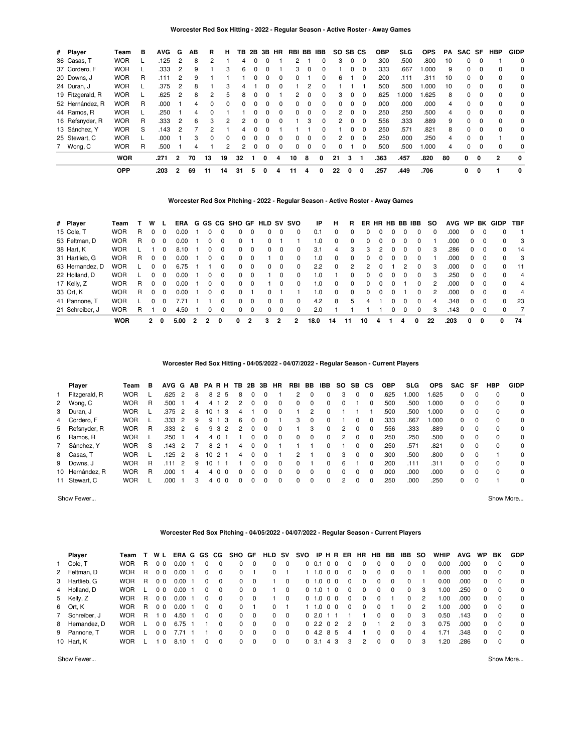| # Player         | Team       | в | <b>AVG</b> | G              | AB | R            | н            | TВ            |          |          | 2B 3B HR | RBI BB   |          | <b>IBB</b> | SO. | SB <sub>CS</sub> |              | <b>OBP</b> | <b>SLG</b> | <b>OPS</b> | PA | SAC SF   |          | <b>HBP</b>   | <b>GIDP</b>  |
|------------------|------------|---|------------|----------------|----|--------------|--------------|---------------|----------|----------|----------|----------|----------|------------|-----|------------------|--------------|------------|------------|------------|----|----------|----------|--------------|--------------|
| 36 Casas, T      | <b>WOR</b> |   | .125       | 2              | 8  |              |              | 4             |          | $\Omega$ |          | 2        |          | $\Omega$   | 3   | 0                | 0            | .300       | .500       | .800       | 10 | $\Omega$ | $\Omega$ |              | $\Omega$     |
| 37 Cordero, F    | <b>WOR</b> |   | .333       | 2              | 9  |              | 3            | 6             | $\Omega$ | $\Omega$ |          | 3        | $\Omega$ | $\Omega$   |     | 0                | $\Omega$     | .333       | .667       | .000       | 9  | $\Omega$ | $\Omega$ | $\Omega$     | 0            |
| 20 Downs, J      | <b>WOR</b> | R | .111       |                |    |              |              |               |          | $\Omega$ | $\Omega$ | $\Omega$ |          | $\Omega$   | 6   |                  | <sup>0</sup> | .200       | .111       | .311       | 10 | $\Omega$ | $\Omega$ | $\Omega$     | 0            |
| 24 Duran, J      | <b>WOR</b> |   | .375       | 2              | 8  |              | 3            | 4             |          | $\Omega$ | $\Omega$ |          |          | $\Omega$   |     |                  |              | .500       | .500       | .000       | 10 | $\Omega$ | $\Omega$ | $\Omega$     | 0            |
| 19 Fitzgerald, R | <b>WOR</b> |   | .625       | $\mathcal{P}$  | 8  |              | 5            | 8             |          | $\Omega$ |          | 2        |          | $\Omega$   | 3   | $\Omega$         | $\Omega$     | .625       | .000       | .625       | 8  | $\Omega$ | $\Omega$ | $\Omega$     | 0            |
| 52 Hernández, R  | <b>WOR</b> | R | .000       |                | 4  | <sup>0</sup> | <sup>0</sup> | 0             |          | $\Omega$ | $\Omega$ | $\Omega$ |          | $\Omega$   | 0   | $\Omega$         | $\Omega$     | .000       | .000       | .000       | 4  | 0        | $\Omega$ | $\Omega$     | 0            |
| 44 Ramos, R      | <b>WOR</b> |   | .250       |                | 4  |              |              |               |          | $\Omega$ | $\Omega$ | $\Omega$ |          | $\Omega$   |     | $\Omega$         | $\Omega$     | .250       | .250       | .500       | 4  | $\Omega$ | $\Omega$ | $\Omega$     | $\Omega$     |
| 16 Refsnyder, R  | <b>WOR</b> | R | .333       | $\overline{2}$ | 6  | 3            | 2            | $\mathcal{P}$ |          | $\Omega$ | $\Omega$ |          | з        | $\Omega$   | 2   | $\Omega$         | $\Omega$     | .556       | .333       | .889       | 9  | $\Omega$ | $\Omega$ | $\Omega$     | 0            |
| 13 Sánchez, Y    | <b>WOR</b> | S | .143       |                |    |              |              | 4             |          | $\Omega$ |          |          |          | $\Omega$   |     | $\Omega$         | $\Omega$     | .250       | .571       | .821       | 8  | $\Omega$ | $\Omega$ | $\Omega$     | $\Omega$     |
| 25 Stewart, C    | <b>WOR</b> |   | .000       |                | з  | <sup>0</sup> | $\Omega$     | <sup>o</sup>  |          | $\Omega$ | $\Omega$ | 0        |          | $\Omega$   | 2   | $\Omega$         | $\Omega$     | .250       | .000       | .250       | 4  | $\Omega$ | $\Omega$ |              | 0            |
| 7 Wong, C        | <b>WOR</b> | R | .500       |                | 4  |              | 2            | 2             |          | $\Omega$ | $\Omega$ | $\Omega$ | $\Omega$ | $\Omega$   | 0   |                  | <sup>0</sup> | .500       | .500       | .000       | 4  | $\Omega$ | $\Omega$ | $\Omega$     | $\Omega$     |
|                  | <b>WOR</b> |   | .271       | $\overline{2}$ | 70 | 13           | 19           | 32            |          | 0        | Δ        | 10       | 8        | $\Omega$   | 21  | 3                |              | .363       | .457       | .820       | 80 | 0        | $\Omega$ | $\mathbf{c}$ | $\mathbf{0}$ |
|                  | <b>OPP</b> |   | .203       | 2              | 69 | 11           | 14           | 31            | 5        | 0        | 4        | 11       | 4        | 0          | 22  | 0                | 0            | .257       | .449       | .706       |    | 0        | 0        |              | $\mathbf{0}$ |

### **Worcester Red Sox Pitching - 2022 - Regular Season - Active Roster - Away Games**

| # Player        | Team       |   | w            |          | ERA  |   |              | G GS CG SHO GF HLD SV SVO |          |   |          |          | IP   | н  | R        |              |          |              |   | ER HR HB BB IBB | so |      |          |          | AVG WP BK GIDP | <b>TBF</b> |
|-----------------|------------|---|--------------|----------|------|---|--------------|---------------------------|----------|---|----------|----------|------|----|----------|--------------|----------|--------------|---|-----------------|----|------|----------|----------|----------------|------------|
| 15 Cole, T      | <b>WOR</b> | R | 0            |          | 0.00 |   |              | $\Omega$                  |          | 0 | 0        | 0        | 0.1  | 0  | 0        | <sup>0</sup> |          |              |   | 0               | 0  | .000 | 0        |          | 0              |            |
| 53 Feltman, D   | <b>WOR</b> | R | 0            |          | 0.00 |   |              | $\Omega$                  |          |   |          |          | 1.0  | 0  | $\Omega$ | <sup>0</sup> |          |              |   | 0               |    | .000 | $\Omega$ | 0        | $\Omega$       | - 3        |
| 38 Hart, K      | <b>WOR</b> |   |              | $\Omega$ | 8.10 |   | $\Omega$     | $\Omega$                  | $\Omega$ | 0 | $\Omega$ | $\Omega$ | 3.1  | 4  | 3        | 3            | 2        | <sup>0</sup> | 0 | 0               | 3  | .286 | $\Omega$ | 0        | $\Omega$       | -14        |
| 31 Hartlieb, G  | <b>WOR</b> | R | 0            | $\Omega$ | 0.00 |   | 0            | $\Omega$                  | $\Omega$ |   | 0        | $\Omega$ | 1.0  | 0  | $\Omega$ | 0            | $\Omega$ | <sup>0</sup> | 0 | 0               |    | .000 | $\Omega$ | 0        | $\Omega$       | - 3        |
| 63 Hernandez, D | <b>WOR</b> |   | 0            |          | 6.75 |   |              | $\Omega$                  | $\Omega$ | 0 | $\Omega$ | 0        | 2.2  | 0  | 2        | 2            |          |              | 2 | 0               | 3  | .000 | 0        | 0        | $\Omega$       | 11         |
| 22 Holland, D   | <b>WOR</b> |   | 0            | $\Omega$ | 0.00 |   | $\Omega$     | $\Omega$                  | $\Omega$ |   | $\Omega$ | $\Omega$ | 1.0  |    | 0        | 0            |          |              | 0 | 0               | 3  | .250 | 0        | 0        | <sup>0</sup>   | 4          |
| 17 Kelly, Z     | <b>WOR</b> | R | 0            | $\Omega$ | 0.00 |   | $\Omega$     | $\Omega$                  |          |   | $\Omega$ | $\Omega$ | 1.0  | 0  | $\Omega$ | <sup>0</sup> |          |              |   | 0               | 2  | .000 | 0        | 0        | $\Omega$       | 4          |
| 33 Ort, K       | <b>WOR</b> | R | 0            | $\Omega$ | 0.00 |   | <sup>0</sup> | $\Omega$                  |          |   |          |          | 1.0  | 0  | $\Omega$ | <sup>0</sup> |          |              |   | 0               | 2  | .000 | 0        | 0        | <sup>0</sup>   | 4          |
| 41 Pannone, T   | <b>WOR</b> |   | 0            |          | 7.71 |   |              | $\Omega$                  | $\Omega$ | 0 | $\Omega$ | $\Omega$ | 4.2  | 8  | 5        | 4            |          |              | 0 | $\Omega$        | 4  | .348 | $\Omega$ | $\Omega$ | $\Omega$       | 23         |
| 21 Schreiber, J | <b>WOR</b> | R |              |          | 4.50 |   | $\Omega$     | $\Omega$                  | $\Omega$ | 0 | $\Omega$ | 0        | 2.0  |    |          |              |          |              | 0 | $\Omega$        | 3  | .143 | 0        | $\Omega$ | <sup>0</sup>   | 7          |
|                 | <b>WOR</b> |   | $\mathbf{2}$ | 0        | 5.00 | 2 | 0            | 0                         | 2        | 3 |          |          | 18.0 | 14 | 11       | 10           | 4        |              | 4 | 0               | 22 | .203 | 0        | 0        | 0              | 74         |

**Worcester Red Sox Hitting - 04/05/2022 - 04/07/2022 - Regular Season - Current Players**

| Player          | Team       | в | AVG G AB PARH TB |               |   |    |               |          |   | 2B | 3B | <b>HR</b> | <b>RBI</b> | BB       | IBB | SO.      | SB CS |          | <b>OBP</b> | SLG  | <b>OPS</b> | <b>SAC</b> | SF       | <b>HBP</b> | <b>GIDP</b> |
|-----------------|------------|---|------------------|---------------|---|----|---------------|----------|---|----|----|-----------|------------|----------|-----|----------|-------|----------|------------|------|------------|------------|----------|------------|-------------|
| 1 Fitzgerald, R | <b>WOR</b> |   | .625             | $\mathcal{P}$ | 8 |    | 82            | 5        |   |    |    |           | 2          | $\Omega$ |     | 3        | 0     | $\Omega$ | .625       | .000 | .625       | $\Omega$   | $\Omega$ | $\Omega$   | $\Omega$    |
| 2 Wong, C       | <b>WOR</b> | R | .500             |               | 4 |    |               | 2        |   |    |    | 0         | 0          | $\Omega$ |     |          |       | 0        | .500       | .500 | 000.1      | $\Omega$   | $\Omega$ | 0          | $\Omega$    |
| 3 Duran, J      | <b>WOR</b> |   | .375             | $\mathcal{P}$ | 8 | 10 |               | 3        | 4 |    |    | $\Omega$  |            | 2        |     |          |       |          | .500       | .500 | 1.000      | $\Omega$   | $\Omega$ | $\Omega$   | $\Omega$    |
| 4 Cordero, F    | <b>WOR</b> |   | .333             | 2             | 9 | 9  |               | 3        | Բ |    |    |           | 3          | $\Omega$ |     |          |       | $\Omega$ | .333       | .667 | 000.1      | $\Omega$   | $\Omega$ | $\Omega$   | $\Omega$    |
| 5 Refsnyder, R  | <b>WOR</b> | R | .333             | 2             | 6 |    | 93            | 2        |   |    |    |           |            | 3        |     |          |       |          | .556       | .333 | .889       | $\Omega$   | $\Omega$ | $\Omega$   | 0           |
| 6 Ramos, R      | <b>WOR</b> |   | 250              |               | 4 |    |               |          |   |    |    | 0         | 0          |          |     |          |       | $\Omega$ | .250       | .250 | .500       | $\Omega$   | $\Omega$ | $\Omega$   | $\Omega$    |
| 7 Sánchez, Y    | <b>WOR</b> | S | .143             | $\mathcal{P}$ |   | 8  |               |          | 4 |    |    |           |            |          |     |          |       | 0        | 250        | .571 | .821       | $\Omega$   | $\Omega$ | 0          | $\Omega$    |
| 8 Casas, T      | <b>WOR</b> |   | .125             | 2             | 8 | 10 | $\mathcal{P}$ |          | 4 |    |    |           | 2          |          |     | 3        | 0     | $\Omega$ | .300       | .500 | .800       | $\Omega$   | $\Omega$ |            | $\Omega$    |
| 9 Downs, J      | <b>WOR</b> | R |                  | 2             | q |    |               |          |   |    |    | $\Omega$  | 0          |          |     | 6        |       | $\Omega$ | 200        | .111 | .311       | $\Omega$   | $\Omega$ | $\Omega$   | $\Omega$    |
| 10 Hernández, R | <b>WOR</b> | R | .000             |               | 4 |    |               | $\Omega$ |   |    |    | 0         | 0          | $\Omega$ |     | $\Omega$ | 0     | $\Omega$ | .000       | .000 | .000       | $\Omega$   | $\Omega$ | $\Omega$   | $\Omega$    |
| 11 Stewart, C   | <b>WOR</b> |   | .000             |               | 3 |    | 40            | $\Omega$ |   |    |    | $\Omega$  | 0          | $\Omega$ |     |          |       | $\Omega$ | .250       | .000 | .250       | $\Omega$   | $\Omega$ |            | $\Omega$    |

Show Fewer... Show More...

### **Worcester Red Sox Pitching - 04/05/2022 - 04/07/2022 - Regular Season - Current Players**

| Player         | Team       |    | W L            | ERA G GS CG |   |          | SHO GF       |          | <b>HLD SV</b> |             | svo            |              | IPHR        | ER            | HR. | HB.      | BB       | IBB.         | so | <b>WHIP</b> | <b>AVG</b> | <b>WP</b> | BK       | <b>GDP</b> |
|----------------|------------|----|----------------|-------------|---|----------|--------------|----------|---------------|-------------|----------------|--------------|-------------|---------------|-----|----------|----------|--------------|----|-------------|------------|-----------|----------|------------|
| 1 Cole, T      | <b>WOR</b> | R  | 0 <sub>0</sub> | 0.00        | 0 | 0        | 0            | $\Omega$ | $\Omega$      | $\Omega$    |                | 0 0.1 0 0    |             |               |     | 0        | 0        | 0            |    | 0.00        | .000       | 0         | $\Omega$ | $\Omega$   |
| 2 Feltman, D   | <b>WOR</b> | R  | 0 <sub>0</sub> | $0.00$ 1    | 0 | $\Omega$ | 0            |          | 0             |             |                | 1 1.0 0 0    |             | 0             | 0   | 0        | $\Omega$ | 0            |    | 0.00        | .000       | $\Omega$  | $\Omega$ | $\Omega$   |
| 3 Hartlieb, G  | <b>WOR</b> | R  | 0 <sub>0</sub> | 0.00        | 0 | $\Omega$ | 0            | $\Omega$ |               | $\Omega$    | 0 <sub>1</sub> |              | 1.000       | $\Omega$      | 0   | 0        | $\Omega$ | $\Omega$     |    | 0.00        | .000       | 0         | $\Omega$ | $\Omega$   |
| 4 Holland, D   | <b>WOR</b> |    | 0 <sub>0</sub> | $0.00$ 1    | 0 | $\Omega$ | <sup>0</sup> | $\Omega$ |               | 0           |                | $0$ 1.0 1 0  |             | 0             | 0   | 0        | $\Omega$ | $\Omega$     | 3  | 1.00        | .250       | 0         | $\Omega$ | $\Omega$   |
| 5 Kelly, Z     | <b>WOR</b> | R  | 0 <sub>0</sub> | $0.00$ 1    | 0 | $\Omega$ | $\Omega$     | $\Omega$ |               | $\Omega$    |                | 0 1.0 0 0    |             | $\Omega$      |     | $\Omega$ |          | 0            | 2  | 1.00        | .000       | $\Omega$  | $\Omega$ | $\Omega$   |
| 6 Ort, K       | <b>WOR</b> | R  | 0 <sub>0</sub> | 0.00        | 0 | $\Omega$ | 0            |          |               |             |                |              | $0 \t0 \t0$ | 0             | 0   | 0        |          | $\Omega$     | 2  | 1.00        | .000       | $\Omega$  | $\Omega$ | $\Omega$   |
| 7 Schreiber, J | <b>WOR</b> | R. | $\Omega$       | 4.50 1      | 0 | $\Omega$ | <sup>0</sup> | $\Omega$ | $^{\circ}$    | $\Omega$    |                | 0, 2.0, 1, 1 |             |               |     | 0        | $\Omega$ | $\Omega$     | 3  | 0.50        | .143       | 0         | $\Omega$ | $\Omega$   |
| 8 Hernandez, D | <b>WOR</b> |    | 0 <sub>0</sub> | 6.75 1      |   | $\Omega$ | $\Omega$     | $\Omega$ |               | $0 \quad 0$ |                | 0, 2.2, 0, 2 |             | $\mathcal{P}$ |     |          | 2        | $\Omega$     | 3  | 0.75        | .000       | $\Omega$  | $\Omega$ | $\Omega$   |
| 9 Pannone. T   | <b>WOR</b> |    | 0 <sub>0</sub> | 7.71        |   | 0        | 0            | $\Omega$ | $\Omega$      | $\Omega$    |                | 04.285       |             |               |     |          | $\Omega$ | $\Omega$     | 4  | 1.71        | .348       | 0         | $\Omega$ | $\Omega$   |
| 10 Hart. K     | <b>WOR</b> |    |                | 8.10        |   | $\Omega$ | <sup>0</sup> | $\Omega$ | $\Omega$      | $\Omega$    |                | 0 31         | 43          |               |     | 0        | $\Omega$ | <sup>0</sup> | з  | 1.20        | .286       | 0         | $\Omega$ | $\Omega$   |

Show Fewer... Show More...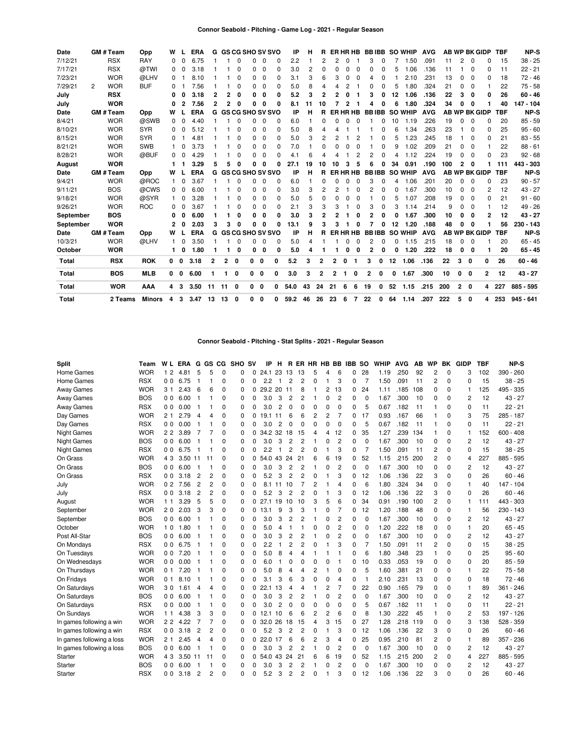| Date         |                | GM # Team      | Opp        | W            |          | <b>ERA</b> | G  |              |              | <b>GS CG SHO SV SVO</b>   |             |              | ΙP   | н  | R            |    |              | ER HR HB     | <b>BBIBB</b> |          |    | <b>SO WHIP</b> | <b>AVG</b> |     |             |              | AB WP BK GIDP        | <b>TBF</b> | NP-S        |
|--------------|----------------|----------------|------------|--------------|----------|------------|----|--------------|--------------|---------------------------|-------------|--------------|------|----|--------------|----|--------------|--------------|--------------|----------|----|----------------|------------|-----|-------------|--------------|----------------------|------------|-------------|
| 7/12/21      |                | <b>RSX</b>     | <b>RAY</b> | 0            |          | 6.75       |    |              | C            | n                         | 0           | 0            | 2.2  |    | 2            | 2  | <sup>n</sup> |              | 3            |          |    | 1.50           | .091       | 11  | 2           | $\Omega$     | 0                    | 15         | $38 - 25$   |
| 7/17/21      |                | <b>RSX</b>     | @TWI       | 0            | $\Omega$ | 3.18       |    |              | 0            | 0                         | 0           | 0            | 3.0  | 2  | $\Omega$     | O  | <sup>0</sup> | 0            | O            | 0        | 5  | 1.06           | .136       | 11  |             | 0            | 0                    | 11         | $22 - 21$   |
| 7/23/21      |                | <b>WOR</b>     | @LHV       | 0            |          | 8.10       |    |              | 0            | 0                         | 0           | 0            | 3.1  | 3  | 6            | 3  |              | <sup>0</sup> | 4            | 0        |    | 2.10           | .231       | 13  | 0           | $\Omega$     | 0                    | 18         | $72 - 46$   |
| 7/29/21      | $\overline{2}$ | <b>WOR</b>     | <b>BUF</b> | 0            |          | 7.56       |    |              | 0            | 0                         | $\Omega$    | 0            | 5.0  | 8  | 4            | Δ  | 2            |              | 0            | 0        | 5  | 1.80           | .324       | 21  | 0           | $\Omega$     |                      | 22         | $75 - 58$   |
| July         |                | <b>RSX</b>     |            | 0            |          | 3.18       | 2  | 2            | 0            | 0                         | 0           | 0            | 5.2  | 3  | 2            | 2  |              |              | 3            | 0        | 12 | 1.06           | .136       | 22  | 3           | 0            | 0                    | 26         | $60 - 46$   |
| July         |                | <b>WOR</b>     |            | 0            | 2        | 7.56       | 2  | 2            | 0            | O                         | $\Omega$    | 0            | 8.1  | 11 | 10           |    |              |              | Δ            |          | 6  | 1.80           | .324       | 34  | 0           | O            |                      | 40         | 147 - 104   |
| Date         |                | GM # Team      | Opp        | W            |          | <b>ERA</b> |    |              |              | <b>G GS CG SHO SV SVO</b> |             |              | IP   | н  | R            |    |              | ER HR HB     | <b>BBIBB</b> |          |    | <b>SO WHIP</b> | <b>AVG</b> |     |             |              | <b>AB WP BK GIDP</b> | <b>TBF</b> | <b>NP-S</b> |
| 8/4/21       |                | <b>WOR</b>     | @SWB       | 0            | $\Omega$ | 4.40       |    |              | $\Omega$     | 0                         | 0           | 0            | 6.0  |    | 0            | o  | $\Omega$     | $\Omega$     |              | 0        | 10 | 1.19           | .226       | 19  | 0           | $\Omega$     | <sup>0</sup>         | 20         | $85 - 59$   |
| 8/10/21      |                | <b>WOR</b>     | <b>SYR</b> | 0            | U        | 5.12       |    |              | $\Omega$     | 0                         | 0           | 0            | 5.0  | 8  | Δ            |    |              |              |              |          | 6  | 1.34           | .263       | 23  |             | $\Omega$     | 0                    | 25         | $95 - 60$   |
| 8/15/21      |                | <b>WOR</b>     | <b>SYR</b> | 0            |          | 4.81       |    |              | $\Omega$     | 0                         | $\Omega$    | 0            | 5.0  | 3  | 2            |    |              | 2            |              | 0        | 5  | .23<br>-1      | .245       | 18  |             | $\Omega$     | 0                    | 21         | $83 - 55$   |
| 8/21/21      |                | <b>WOR</b>     | <b>SWB</b> |              | $\Omega$ | 3.73       |    |              | $\Omega$     | 0                         | $\Omega$    | 0            | 7.0  |    | $\Omega$     |    |              | $\Omega$     |              | $\Omega$ | 9  | 1.02           | .209       | 21  | 0           | $\Omega$     |                      | 22         | $88 - 61$   |
| 8/28/21      |                | <b>WOR</b>     | @BUF       | 0            | $\Omega$ | 4.29       |    |              | 0            | 0                         | 0           | <sup>0</sup> | 4.1  | Բ  | Δ            |    |              | 2            | 2            | O        | 4  | 1.12           | .224       | 19  | 0           | 0            | <sup>0</sup>         | 23         | $92 - 68$   |
| August       |                | <b>WOR</b>     |            | 1.           |          | 3.29       | 5  | 5            | $\Omega$     | O                         | $\Omega$    | o            | 27.1 | 19 | 10           | 10 | з            | 5            | 6            |          | 34 | 0.91           | .190       | 100 | 2           | 0            |                      | 111        | 443 - 303   |
| Date         |                | <b>GM#Team</b> | Opp        | W            |          | <b>ERA</b> |    |              |              | <b>G GS CG SHO SV SVO</b> |             |              | ΙP   | н  | R            |    |              | ER HR HB     | <b>BBIBB</b> |          |    | <b>SO WHIP</b> | <b>AVG</b> |     |             |              | <b>AB WP BK GIDP</b> | <b>TBF</b> | NP-S        |
| 9/4/21       |                | <b>WOR</b>     | @ROC       | 1.           | $\Omega$ | 3.67       |    |              | 0            | 0                         | $\Omega$    | 0            | 6.0  |    | 0            | O  | 0            | $\Omega$     | 3            | 0        | 4  | 1.06           | .201       | 20  | 0           | 0            | 0                    | 23         | $90 - 57$   |
| 9/11/21      |                | <b>BOS</b>     | @CWS       | $\Omega$     | $\Omega$ | 6.00       |    |              | $\Omega$     | 0                         | 0           | 0            | 3.0  | 3  | 2            | 2  |              | 0            | 2            | 0        | 0  | .67<br>-1      | .300       | 10  | 0           | $\Omega$     | 2                    | 12         | $43 - 27$   |
| 9/18/21      |                | <b>WOR</b>     | @SYR       | 1.           | $\Omega$ | 3.28       |    |              | $\Omega$     | 0                         | 0           | 0            | 5.0  | 5  | $\Omega$     |    |              | 0            |              | 0        | 5  | 1.07           | .208       | 19  | 0           | $\mathbf 0$  | <sup>0</sup>         | 21         | $91 - 60$   |
| 9/26/21      |                | <b>WOR</b>     | <b>ROC</b> | 0            | $\Omega$ | 3.67       |    |              | $\Omega$     | 0                         | 0           | 0            | 2.1  | 3  | 3            | 3  |              | 0            | 3            | 0        | 3  | 1.14           | .214       | 9   | 0           | $\Omega$     |                      | 12         | $49 - 26$   |
| September    |                | <b>BOS</b>     |            | 0            |          | 6.00       |    |              | 0            | 0                         | 0           | 0            | 3.0  | 3  | 2            | 2  |              | 0            | 2            |          | 0  | 1.67           | .300       | 10  | 0           | 0            | 2                    | 12         | $43 - 27$   |
| September    |                | <b>WOR</b>     |            | 2            | n        | 2.03       | 3  | 3            | $\Omega$     | O                         | $\Omega$    | 0            | 13.1 | 9  | 3            |    |              | O            |              |          | 12 | 1.20           | .188       | 48  | 0           | O            |                      | 56         | 230 - 143   |
| Date         |                | GM # Team      | Opp        | W            |          | ERA        |    |              |              | G GS CG SHO SV SVO        |             |              | IP   | н  | R            |    |              | ER HR HB     | <b>BBIBB</b> |          |    | <b>SO WHIP</b> | <b>AVG</b> |     |             |              | <b>AB WP BK GIDP</b> | <b>TBF</b> | NP-S        |
| 10/3/21      |                | <b>WOR</b>     | @LHV       | 1.           | $\Omega$ | 3.50       |    |              | 0            | 0                         | 0           | 0            | 5.0  | 4  |              |    | <sup>0</sup> | 0            | 2            | 0        | 0  | 1.15           | .215       | 18  | 0           | 0            |                      | 20         | $65 - 45$   |
| October      |                | <b>WOR</b>     |            | 1.           | 0        | 1.80       |    |              | 0            | 0                         | 0           | 0            | 5.0  | 4  |              |    |              | 0            | 2            |          | 0  | 1.20           | .222       | 18  | 0           | 0            |                      | 20         | $65 - 45$   |
| <b>Total</b> |                | <b>RSX</b>     | <b>ROK</b> | $\mathbf{0}$ | 0        | 3.18       | 2  | $\mathbf{2}$ | 0            | 0                         | 0           | 0            | 5.2  | 3  | $\mathbf{2}$ | 2  | 0            | 1            | 3            | 0        | 12 | 1.06           | .136       | 22  | 3           | $\mathbf{0}$ | 0                    | 26         | $60 - 46$   |
| Total        |                | <b>BOS</b>     | <b>MLB</b> | $0\quad 0$   |          | 6.00       |    | 1            | 0            | 0                         | 0           | 0            | 3.0  | 3  | $\mathbf{2}$ | 2  |              | 0            | $\mathbf{2}$ | 0        | 0  | 1.67           | .300       | 10  | 0           | 0            | 2                    | 12         | $43 - 27$   |
| <b>Total</b> |                | <b>WOR</b>     | AAA        | 4 3          |          | 3.50       | 11 | 11           | $\mathbf{0}$ | 0                         | 0           | 0            | 54.0 | 43 | 24           | 21 | 6            | 6            | 19           | 0        | 52 | 1.15           | .215       | 200 | $2 \quad 0$ |              |                      | 4 227      | 885 - 595   |
| <b>Total</b> |                | 2 Teams        | Minors     | 4            | 3        | 3.47       | 13 | 13           | 0            | 0                         | $\mathbf 0$ | 0            | 59.2 | 46 | 26           | 23 | 6            | 7            | 22           | 0        | 64 | 1.14           | .207       | 222 | 5           | $\mathbf{0}$ | 4                    | 253        | $945 - 641$ |

### **Connor Seabold - Pitching - Stat Splits - 2021 - Regular Season**

| <b>Split</b>              | Team       | W <sub>L</sub>      | <b>ERA</b> | G              | GS CG |             | SHO SV      |          | IP      | н              | R        |    |          |          |                | ER HR HB BB IBB SO |                | <b>WHIP</b> | <b>AVG</b> | AB  | <b>WP</b>      | BK          | <b>GIDP</b> | <b>TBF</b> | NP-S        |
|---------------------------|------------|---------------------|------------|----------------|-------|-------------|-------------|----------|---------|----------------|----------|----|----------|----------|----------------|--------------------|----------------|-------------|------------|-----|----------------|-------------|-------------|------------|-------------|
| Home Games                | <b>WOR</b> | $\overline{2}$<br>1 | 4.81       | 5              | 5     | $\mathbf 0$ | 0           | 0        | 24.1    | 23             | 13       | 13 | 5        | Δ        | 6              | 0                  | 28             | 1.19        | .250       | 92  | 2              | 0           | 3           | 102        | 390 - 260   |
| Home Games                | <b>RSX</b> | 00                  | 6.75       | 1              |       | $\Omega$    | 0           | $\Omega$ | 2.2     | $\mathbf{1}$   | 2        | 2  | $\Omega$ |          | 3              | 0                  | 7              | 1.50        | .091       | 11  | 2              | 0           | $\Omega$    | 15         | $38 - 25$   |
| Away Games                | <b>WOR</b> | 31                  | 2.43       | 6              | 6     | 0           | 0           | 0        | 29.2 20 |                | 11       | 8  |          | 2        | 13             | 0                  | 24             | 1.11        | .185       | 108 | 0              | 0           |             | 125        | 495 - 335   |
| <b>Away Games</b>         | <b>BOS</b> | 00                  | 6.00       | -1             |       | 0           | 0           | $\Omega$ | 3.0     | 3              | 2        | 2  |          | O        | $\overline{2}$ | 0                  | 0              | 1.67        | .300       | 10  | 0              | 0           | 2           | 12         | $43 - 27$   |
| <b>Away Games</b>         | <b>RSX</b> | 0 <sub>0</sub>      | 0.00       | -1             |       | 0           | 0           | $\Omega$ | 3.0     | $\overline{2}$ | 0        | O  | 0        | O        | $\Omega$       | 0                  | 5              | 0.67        | .182       | 11  |                | $\Omega$    | $\Omega$    | 11         | $22 - 21$   |
| Day Games                 | <b>WOR</b> | 21                  | 2.79       | $\overline{4}$ | 4     | 0           | 0           | $\Omega$ | 19.1    | 11             | 6        | 6  | 2        | 2        | 7              | 0                  | 17             | 0.93        | .167       | 66  |                | $\Omega$    | 3           | 75         | 285 - 187   |
| Day Games                 | <b>RSX</b> | 0 <sup>0</sup>      | 0.00       | 1              |       | 0           | $\mathbf 0$ | $\Omega$ | 3.0     | $\overline{2}$ | $\Omega$ | O  | O        | $\Omega$ | $\Omega$       | 0                  | 5              | 0.67        | .182       | 11  |                | 0           | $\Omega$    | 11         | $22 - 21$   |
| <b>Night Games</b>        | <b>WOR</b> | 22                  | 3.89       | 7              |       | $\Omega$    | $\mathbf 0$ | 0        | 34.2 32 |                | 18       | 15 | 4        | 4        | 12             | 0                  | 35             | 1.27        | .239       | 134 | 1              | $\mathbf 0$ |             | 152        | $600 - 408$ |
| <b>Night Games</b>        | <b>BOS</b> | 0 <sub>0</sub>      | 6.00       | -1             |       | 0           | $\mathbf 0$ | $\Omega$ | 3.0     | 3              | 2        | 2  |          | O        | $\overline{2}$ | 0                  | 0              | 1.67        | .300       | 10  | 0              | $\mathbf 0$ | 2           | 12         | $43 - 27$   |
| <b>Night Games</b>        | <b>RSX</b> | 0 <sub>0</sub>      | 6.75       | -1             |       | 0           | $\mathbf 0$ | 0        | 2.2     | 1              | 2        | 2  | 0        |          | 3              | 0                  | $\overline{7}$ | 1.50        | .091       | 11  | $\overline{c}$ | 0           | 0           | 15         | $38 - 25$   |
| On Grass                  | <b>WOR</b> | 43                  | 3.50 11    |                | 11    | 0           | 0           | $\Omega$ | 54.0 43 |                | 24       | 21 | հ        | 6        | 19             | 0                  | 52             | 1.15        | .215       | 200 | 2              | $\mathbf 0$ | 4           | 227        | 885 - 595   |
| On Grass                  | <b>BOS</b> |                     | 006.00     | - 1            |       | 0           | 0           | $\Omega$ | 3.0     | 3              | 2        | 2  |          | O        | $\overline{2}$ | 0                  | $\mathbf 0$    | 1.67        | .300       | 10  | 0              | 0           | 2           | 12         | $43 - 27$   |
| On Grass                  | <b>RSX</b> |                     | 003.18     | $\overline{2}$ | 2     | 0           | 0           | 0        | 5.2     | 3              | 2        | 2  | 0        |          | 3              | 0                  | 12             | 1.06        | .136       | 22  | 3              | 0           | 0           | 26         | $60 - 46$   |
| July                      | <b>WOR</b> |                     | 0 2 7.56   | $\overline{2}$ | 2     | 0           | 0           | 0        |         | 8.1 11         | 10       |    |          |          | 4              | 0                  | 6              | 1.80        | .324       | 34  | 0              | 0           |             | 40         | $147 - 104$ |
| July                      | <b>RSX</b> |                     | 003.18     | $\overline{2}$ | 2     | 0           | 0           | $\Omega$ | 5.2     | 3              | 2        | 2  |          |          | 3              | 0                  | 12             | 1.06        | .136       | 22  | 3              | $\Omega$    | $\Omega$    | 26         | $60 - 46$   |
| August                    | <b>WOR</b> | 11                  | 3.29       | 5              | 5     | 0           | 0           | 0        | 27.1 19 |                | 10       | 10 | 3        | 5        | 6              | 0                  | 34             | 0.91        | .190       | 100 | 2              | 0           |             | 111        | 443 - 303   |
| September                 | <b>WOR</b> |                     | 2 0 2.03   | 3              | 3     | 0           | 0           | 0        | 13.1    | 9              | 3        | 3  |          | 0        | $\overline{7}$ | 0                  | 12             | 1.20        | .188       | 48  | 0              | 0           |             | 56         | 230 - 143   |
| September                 | <b>BOS</b> |                     | 006.00     |                |       | 0           | 0           | 0        | 3.0     | 3              | 2        | 2  |          | 0        | $\overline{2}$ | 0                  | 0              | 1.67        | .300       | 10  | 0              | 0           | 2           | 12         | $43 - 27$   |
| October                   | <b>WOR</b> | 10                  | 1.80       |                |       | 0           | 0           | 0        | 5.0     | $\overline{4}$ |          |    | 0        | 0        | $\overline{2}$ | 0                  | 0              | 1.20        | .222       | 18  | 0              | 0           |             | 20         | $65 - 45$   |
| Post All-Star             | <b>BOS</b> |                     | 006.00     |                |       | 0           | 0           | 0        | 3.0     | 3              | 2        | 2  |          | O        | 2              | 0                  | 0              | 1.67        | .300       | 10  | 0              | 0           | 2           | 12         | $43 - 27$   |
| On Mondays                | <b>RSX</b> |                     | 006.75     | -1             |       | 0           | 0           | 0        | 2.2     |                | 2        | 2  | 0        |          | 3              | 0                  | $\overline{7}$ | 1.50        | .091       | 11  | 2              | 0           | $\Omega$    | 15         | $38 - 25$   |
| On Tuesdays               | <b>WOR</b> |                     | 007.20     |                |       | 0           | 0           | 0        | 5.0     | 8              | 4        | 4  |          |          |                | 0                  | 6              | 1.80        | .348       | 23  |                | 0           | 0           | 25         | $95 - 60$   |
| On Wednesdays             | <b>WOR</b> |                     | 00000      |                |       | 0           | 0           | 0        | 6.0     |                | 0        | 0  | 0        | 0        |                | 0                  | 10             | 0.33        | .053       | 19  | 0              | 0           | 0           | 20         | $85 - 59$   |
| On Thursdays              | <b>WOR</b> | 0 <sub>1</sub>      | 7.20       | 1              |       | 0           | 0           | 0        | 5.0     | 8              | 4        | 4  | 2        |          | 0              | 0                  | 5              | 1.60        | .381       | 21  | 0              | 0           | 1           | 22         | $75 - 58$   |
| On Fridays                | <b>WOR</b> | 0 <sub>1</sub>      | 8.10       | -1             |       | 0           | $\mathbf 0$ | 0        | 3.1     | 3              | 6        | 3  | 0        | O        | 4              | 0                  | -1             | 2.10        | .231       | 13  | 0              | 0           | 0           | 18         | $72 - 46$   |
| On Saturdays              | <b>WOR</b> | 30                  | 1.61       | $\overline{4}$ | 4     | 0           | 0           | 0        | 22.1    | 13             | 4        | 4  |          | 2        | $\overline{7}$ | 0                  | 22             | 0.90        | .165       | 79  | 0              | 0           | 1           | 89         | $361 - 246$ |
| On Saturdays              | <b>BOS</b> | 00                  | 6.00       | -1             | 1     | $\Omega$    | 0           | $\Omega$ | 3.0     | 3              | 2        | 2  |          | 0        | $\overline{2}$ | 0                  | 0              | 1.67        | .300       | 10  | 0              | $\Omega$    | 2           | 12         | $43 - 27$   |
| On Saturdays              | <b>RSX</b> | 0 <sup>0</sup>      | 0.00       | -1             | 1     | 0           | $\mathbf 0$ | $\Omega$ | 3.0     | $\overline{2}$ | $\Omega$ | 0  | $\Omega$ | $\Omega$ | $\mathbf 0$    | 0                  | 5              | 0.67        | .182       | 11  |                | 0           | 0           | 11         | $22 - 21$   |
| On Sundays                | <b>WOR</b> | 11                  | 4.38       | 3              | 3     | 0           | $\mathbf 0$ | $\Omega$ | 12.1    | 10             | 6        | 6  | 2        | 2        | 6              | 0                  | 8              | 1.30        | .222       | 45  | 1              | 0           | 2           | 53         | 197 - 126   |
| In games following a win  | <b>WOR</b> |                     | 2 2 4.22   | 7              | 7     | 0           | $\mathbf 0$ | 0        | 32.0    | 26             | 18       | 15 | 4        | 3        | 15             | 0                  | 27             | 1.28        | .218       | 119 | 0              | $\mathbf 0$ | 3           | 138        | 528 - 359   |
| In games following a win  | <b>RSX</b> | 0 <sup>0</sup>      | 3.18       | $\overline{c}$ | 2     | 0           | $\mathbf 0$ | 0        | 5.2     | 3              | 2        | 2  | 0        |          | 3              | 0                  | 12             | 1.06        | .136       | 22  | 3              | $\mathbf 0$ | 0           | 26         | $60 - 46$   |
| In games following a loss | <b>WOR</b> | 21                  | 2.45       | $\overline{4}$ | 4     | 0           | $\mathbf 0$ | $\Omega$ | 22.0    | 17             | 6        | 6  | 2        | 3        | $\overline{4}$ | 0                  | 25             | 0.95        | .210       | 81  | 2              | 0           | 1           | 89         | $357 - 236$ |
| In games following a loss | <b>BOS</b> | 0 <sub>0</sub>      | 6.00       | $\overline{1}$ | 1     | 0           | $\mathbf 0$ | $\Omega$ | 3.0     | 3              | 2        | 2  | 1        | $\Omega$ | $\overline{c}$ | 0                  | $\mathbf 0$    | 1.67        | .300       | 10  | 0              | 0           | 2           | 12         | $43 - 27$   |
| Starter                   | <b>WOR</b> | 43                  | 3.50       | -11            | 11    | 0           | 0           | 0        | 54.0 43 |                | 24       | 21 | 6        | 6        | 19             | 0                  | 52             | 1.15        | .215       | 200 | 2              | 0           | 4           | 227        | 885 - 595   |
| Starter                   | <b>BOS</b> | 00                  | 6.00       | -1             |       | 0           | 0           | 0        | 3.0     | 3              | 2        | 2  |          | 0        | $\overline{c}$ | 0                  | $\mathbf 0$    | 1.67        | .300       | 10  | 0              | 0           | 2           | 12         | $43 - 27$   |
| Starter                   | <b>RSX</b> | 00                  | 3.18       | $\overline{c}$ | 2     | $\Omega$    | $\Omega$    | $\Omega$ | 5.2     | 3              | 2        | 2  | $\Omega$ |          | Э              | 0                  | 12             | 1.06        | .136       | 22  | 3              | $\Omega$    | O           | 26         | $60 - 46$   |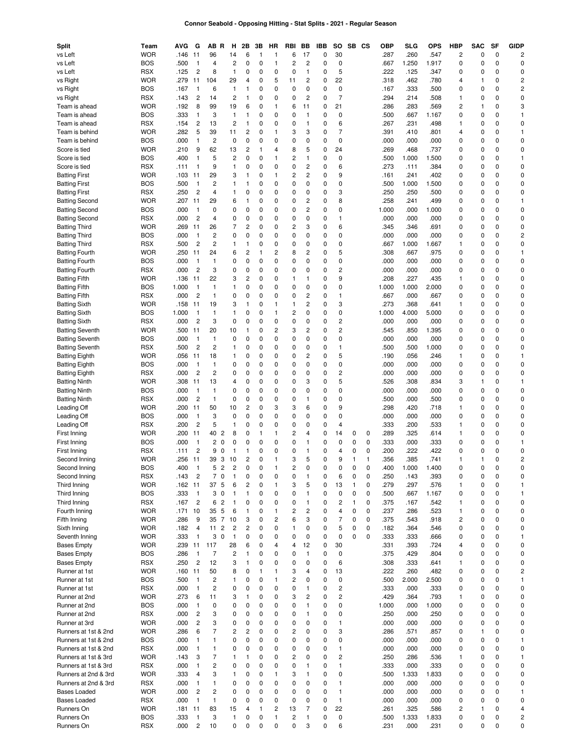# **Connor Seabold - Opposing Hitting - Stat Splits - 2021 - Regular Season**

| Split                                            | Team                     | AVG          | G                                | AB R                                     | н                                | 2Β                           | 3B               | HR                      | RBI                          | BB                            | IBB    | so                                      | SB            | CS               | ОВР          | <b>SLG</b>        | <b>OPS</b>    | <b>HBP</b>              | <b>SAC</b>               | SF                       | <b>GIDP</b>                |
|--------------------------------------------------|--------------------------|--------------|----------------------------------|------------------------------------------|----------------------------------|------------------------------|------------------|-------------------------|------------------------------|-------------------------------|--------|-----------------------------------------|---------------|------------------|--------------|-------------------|---------------|-------------------------|--------------------------|--------------------------|----------------------------|
| vs Left<br>vs Left                               | <b>WOR</b><br><b>BOS</b> | .146<br>.500 | 11<br>$\mathbf{1}$               | 96<br>4                                  | 14<br>$\overline{\mathbf{c}}$    | 6<br>0                       | 1<br>0           | 1<br>1                  | 6<br>$\overline{\mathbf{c}}$ | 17<br>$\overline{\mathbf{c}}$ | 0<br>0 | 30<br>0                                 |               |                  | .287<br>.667 | .260<br>1.250     | .547<br>1.917 | $\overline{c}$<br>0     | 0<br>0                   | $\pmb{0}$<br>0           | $\overline{c}$<br>0        |
| vs Left                                          | <b>RSX</b>               | .125         | $\overline{c}$                   | 8                                        | $\mathbf{1}$                     | 0                            | 0                | 0                       | $\mathbf 0$                  | $\mathbf{1}$                  | 0      | 5                                       |               |                  | .222         | .125              | .347          | 0                       | 0                        | $\mathbf 0$              | 0                          |
| vs Right                                         | <b>WOR</b>               | .279         | 11                               | 104                                      | 29                               | 4                            | 0                | 5                       | 11                           | $\overline{\mathbf{c}}$       | 0      | 22                                      |               |                  | .318         | .462              | .780          | 4                       | $\mathbf{1}$             | 0                        | 2                          |
| vs Right                                         | <b>BOS</b>               | .167         | $\overline{1}$                   | 6                                        | $\mathbf{1}$                     | 1                            | 0                | 0                       | $\mathbf 0$                  | 0                             | 0      | 0                                       |               |                  | .167         | .333              | .500          | 0                       | 0                        | 0                        | 2                          |
| vs Right                                         | <b>RSX</b>               | .143         | $\overline{c}$                   | 14                                       | $\overline{c}$                   | 1                            | 0                | 0                       | 0                            | $\overline{c}$                | 0      | $\overline{7}$                          |               |                  | .294         | .214              | .508          | $\mathbf{1}$            | 0                        | 0                        | 0                          |
| Team is ahead                                    | <b>WOR</b>               | .192         | 8                                | 99                                       | 19                               | 6                            | 0                | $\mathbf{1}$            | 6                            | 11                            | 0      | 21                                      |               |                  | .286         | .283              | .569          | $\overline{c}$          | $\mathbf{1}$             | 0                        | 3                          |
| Team is ahead                                    | <b>BOS</b>               | .333         | $\mathbf{1}$                     | 3                                        | $\mathbf{1}$                     | 1                            | 0                | 0                       | 0                            | $\mathbf{1}$                  | 0      | $\pmb{0}$                               |               |                  | .500         | .667              | 1.167         | 0                       | 0                        | 0                        | $\mathbf{1}$               |
| Team is ahead<br>Team is behind                  | <b>RSX</b><br><b>WOR</b> | .154<br>.282 | $\overline{c}$                   | 13<br>39                                 | $\overline{\mathbf{c}}$<br>11    | 1                            | 0<br>0           | 0<br>$\mathbf{1}$       | 0<br>3                       | 1<br>3                        | 0<br>0 | 6<br>$\overline{7}$                     |               |                  | .267<br>.391 | .231              | .498<br>.801  | $\mathbf{1}$<br>4       | 0<br>0                   | 0<br>0                   | 0<br>$\mathbf{1}$          |
| Team is behind                                   | <b>BOS</b>               | .000         | 5<br>$\mathbf{1}$                | $\overline{c}$                           | 0                                | $\overline{\mathbf{c}}$<br>0 | 0                | 0                       | 0                            | 0                             | 0      | $\pmb{0}$                               |               |                  | .000         | .410<br>.000      | .000          | 0                       | 0                        | 0                        | 0                          |
| Score is tied                                    | <b>WOR</b>               | .210         | 9                                | 62                                       | 13                               | $\overline{\mathbf{c}}$      | 1                | 4                       | 8                            | 5                             | 0      | 24                                      |               |                  | .269         | .468              | .737          | 0                       | 0                        | 0                        | 0                          |
| Score is tied                                    | <b>BOS</b>               | .400         | $\mathbf{1}$                     | 5                                        | $\overline{c}$                   | 0                            | 0                | 1                       | $\overline{c}$               | $\mathbf{1}$                  | 0      | 0                                       |               |                  | .500         | 1.000             | 1.500         | 0                       | 0                        | 0                        | $\mathbf{1}$               |
| Score is tied                                    | <b>RSX</b>               | .111         | $\mathbf{1}$                     | 9                                        | $\mathbf{1}$                     | 0                            | 0                | 0                       | 0                            | 2                             | 0      | 6                                       |               |                  | .273         | .111              | .384          | 0                       | 0                        | 0                        | 0                          |
| <b>Batting First</b>                             | <b>WOR</b>               | .103         | 11                               | 29                                       | 3                                | 1                            | 0                | 1                       | 2                            | 2                             | 0      | 9                                       |               |                  | .161         | .241              | .402          | 0                       | 0                        | 0                        | 0                          |
| <b>Batting First</b>                             | <b>BOS</b>               | .500         | $\mathbf{1}$                     | 2                                        | 1                                | 1                            | 0                | 0                       | 0                            | 0                             | 0      | 0                                       |               |                  | .500         | 1.000             | 1.500         | 0                       | 0                        | 0                        | 0                          |
| <b>Batting First</b><br><b>Batting Second</b>    | <b>RSX</b><br><b>WOR</b> | .250<br>.207 | $\overline{c}$<br>11             | 4<br>29                                  | 1<br>6                           | 0<br>1                       | 0<br>0           | 0<br>0                  | 0<br>0                       | 0<br>2                        | 0<br>0 | 3<br>8                                  |               |                  | .250<br>.258 | .250<br>.241      | .500<br>.499  | 0<br>0                  | 0<br>0                   | 0<br>0                   | 0<br>1                     |
| <b>Batting Second</b>                            | <b>BOS</b>               | .000         | $\mathbf{1}$                     | 0                                        | 0                                | 0                            | 0                | 0                       | 0                            | 2                             | 0      | $\pmb{0}$                               |               |                  | 1.000        | .000              | 1.000         | 0                       | 0                        | 0                        | 0                          |
| <b>Batting Second</b>                            | <b>RSX</b>               | .000         | $\overline{c}$                   | 4                                        | 0                                | 0                            | 0                | 0                       | 0                            | 0                             | 0      | $\mathbf{1}$                            |               |                  | .000         | .000              | .000          | 0                       | 0                        | 0                        | 0                          |
| <b>Batting Third</b>                             | <b>WOR</b>               | .269         | 11                               | 26                                       | 7                                | $\overline{c}$               | 0                | 0                       | $\overline{c}$               | 3                             | 0      | 6                                       |               |                  | .345         | .346              | .691          | 0                       | 0                        | 0                        | 0                          |
| <b>Batting Third</b>                             | <b>BOS</b>               | .000         | $\mathbf{1}$                     | $\overline{c}$                           | 0                                | 0                            | 0                | 0                       | 0                            | 0                             | 0      | 0                                       |               |                  | .000         | .000              | .000          | 0                       | 0                        | 0                        | 2                          |
| <b>Batting Third</b>                             | <b>RSX</b>               | .500         | $\overline{c}$                   | 2                                        | 1                                | 1                            | 0                | 0                       | 0                            | 0                             | 0      | $\pmb{0}$                               |               |                  | .667         | 1.000             | 1.667         | $\mathbf{1}$            | 0                        | 0                        | 0                          |
| <b>Batting Fourth</b>                            | <b>WOR</b>               | .250         | 11                               | 24                                       | 6                                | $\overline{c}$               | 1                | 2                       | 8                            | 2                             | 0      | 5                                       |               |                  | .308         | .667              | .975          | 0                       | 0                        | 0                        | 1                          |
| <b>Batting Fourth</b><br><b>Batting Fourth</b>   | <b>BOS</b><br><b>RSX</b> | .000<br>.000 | $\mathbf{1}$<br>$\overline{c}$   | 1<br>3                                   | 0<br>0                           | 0<br>0                       | 0<br>0           | 0<br>0                  | 0<br>0                       | 0<br>0                        | 0<br>0 | 0<br>$\overline{c}$                     |               |                  | .000<br>.000 | .000<br>.000      | .000<br>.000  | 0<br>0                  | 0<br>0                   | 0<br>0                   | 0<br>0                     |
| <b>Batting Fifth</b>                             | <b>WOR</b>               | .136         | 11                               | 22                                       | 3                                | $\overline{c}$               | 0                | 0                       | 1                            | 1                             | 0      | 9                                       |               |                  | .208         | .227              | .435          | $\mathbf{1}$            | 0                        | 0                        | 0                          |
| <b>Batting Fifth</b>                             | <b>BOS</b>               | 1.000        | $\mathbf{1}$                     | 1                                        | 1                                | 0                            | $\mathbf 0$      | 0                       | 0                            | 0                             | 0      | 0                                       |               |                  | 1.000        | 1.000             | 2.000         | 0                       | 0                        | 0                        | 0                          |
| <b>Batting Fifth</b>                             | <b>RSX</b>               | .000         | $\overline{c}$                   | 1                                        | 0                                | 0                            | $\mathbf 0$      | 0                       | 0                            | 2                             | 0      | $\mathbf{1}$                            |               |                  | .667         | .000              | .667          | 0                       | 0                        | 0                        | 0                          |
| <b>Batting Sixth</b>                             | <b>WOR</b>               | .158         | 11                               | 19                                       | 3                                | 1                            | 0                | 1                       | $\mathbf{1}$                 | 2                             | 0      | 3                                       |               |                  | .273         | .368              | .641          | $\mathbf{1}$            | 0                        | 0                        | 0                          |
| <b>Batting Sixth</b>                             | <b>BOS</b>               | 1.000        | $\mathbf{1}$                     | 1                                        | 1                                | 0                            | 0                | 1                       | $\overline{\mathbf{c}}$      | 0                             | 0      | $\pmb{0}$                               |               |                  | 1.000        | 4.000             | 5.000         | 0                       | 0                        | 0                        | 0                          |
| <b>Batting Sixth</b>                             | <b>RSX</b>               | .000         | $\overline{c}$                   | 3                                        | 0                                | 0                            | $\mathbf 0$      | 0                       | 0                            | 0                             | 0      | $\overline{c}$                          |               |                  | .000         | .000              | .000          | 0                       | 0                        | 0                        | 0                          |
| <b>Batting Seventh</b>                           | <b>WOR</b><br><b>BOS</b> | .500<br>.000 | 11<br>$\mathbf{1}$               | 20<br>1                                  | 10<br>0                          | 1<br>0                       | 0<br>0           | 2<br>0                  | 3<br>$\mathbf 0$             | 2<br>0                        | 0<br>0 | $\overline{c}$<br>$\pmb{0}$             |               |                  | .545<br>.000 | .850<br>.000      | 1.395<br>.000 | 0<br>0                  | 0<br>0                   | 0<br>0                   | 0<br>0                     |
| <b>Batting Seventh</b><br><b>Batting Seventh</b> | <b>RSX</b>               | .500         | $\overline{c}$                   | $\overline{c}$                           | 1                                | 0                            | $\mathbf 0$      | $\Omega$                | 0                            | 0                             | 0      | $\mathbf{1}$                            |               |                  | .500         | .500              | 1.000         | $\mathbf 0$             | $\mathbf 0$              | 0                        | $\mathbf 0$                |
| <b>Batting Eighth</b>                            | <b>WOR</b>               | .056         | 11                               | 18                                       | 1                                | 0                            | $\mathbf 0$      | $\Omega$                | $\mathbf 0$                  | 2                             | 0      | 5                                       |               |                  | .190         | .056              | .246          | $\mathbf{1}$            | $\mathbf 0$              | 0                        | 1                          |
| <b>Batting Eighth</b>                            | <b>BOS</b>               | .000         | $\mathbf{1}$                     | 1                                        | 0                                | 0                            | $\mathbf 0$      | $\Omega$                | 0                            | $\Omega$                      | 0      | $\pmb{0}$                               |               |                  | .000         | .000              | .000          | 0                       | 0                        | 0                        | 0                          |
| <b>Batting Eighth</b>                            | <b>RSX</b>               | .000         | $\overline{c}$                   | $\overline{c}$                           | 0                                | 0                            | $\mathbf 0$      | $\mathbf 0$             | $\mathbf 0$                  | $\mathbf 0$                   | 0      | $\sqrt{2}$                              |               |                  | .000         | .000              | .000          | $\mathbf 0$             | $\mathbf 0$              | 0                        | 0                          |
| <b>Batting Ninth</b>                             | <b>WOR</b>               | .308         | 11                               | 13                                       | 4                                | 0                            | $\mathbf 0$      | $\Omega$                | 0                            | 3                             | 0      | 5                                       |               |                  | .526         | .308              | .834          | 3                       | $\mathbf{1}$             | 0                        | 1                          |
| <b>Batting Ninth</b>                             | <b>BOS</b>               | .000         | $\overline{1}$                   | 1                                        | 0                                | 0                            | $\mathbf 0$      | $\mathbf 0$             | $\mathbf 0$                  | $\mathbf 0$                   | 0      | 0                                       |               |                  | .000         | .000              | .000          | $\mathbf 0$             | $\mathbf 0$              | 0                        | 0                          |
| <b>Batting Ninth</b><br>Leading Off              | <b>RSX</b><br><b>WOR</b> | .000<br>.200 | $\overline{c}$<br>11             | 1<br>50                                  | 0<br>10                          | 0<br>$\overline{\mathbf{c}}$ | $\mathbf 0$<br>0 | 0<br>3                  | 0<br>3                       | 1<br>6                        | 0<br>0 | 0<br>9                                  |               |                  | .500<br>.298 | .000<br>.420      | .500<br>.718  | $\mathbf 0$<br>1        | $\mathbf 0$<br>0         | 0<br>0                   | $\mathbf 0$<br>$\mathbf 0$ |
| Leading Off                                      | <b>BOS</b>               | .000         | $\mathbf{1}$                     | 3                                        | 0                                | 0                            | $\mathbf 0$      | $\Omega$                | 0                            | $\Omega$                      | 0      | 0                                       |               |                  | .000         | .000              | .000          | 0                       | $\mathbf 0$              | 0                        | $\mathbf 0$                |
| Leading Off                                      | <b>RSX</b>               | .200         | $\overline{c}$                   | 5                                        | $\mathbf{1}$                     | 0                            | 0                | $\Omega$                | $\mathbf 0$                  | 0                             | 0      | $\overline{4}$                          |               |                  | .333         | .200              | .533          | 1                       | $\mathbf 0$              | 0                        | 0                          |
| First Inning                                     | <b>WOR</b>               | .200         | 11                               | 40<br>$\overline{c}$                     | 8                                | 0                            | 1                | 1                       | 2                            | 4                             | 0      | 14                                      | 0             | 0                | .289         | .325              | .614          | $\mathbf{1}$            | 0                        | 0                        | $\mathbf 0$                |
| First Inning                                     | <b>BOS</b>               | .000         | $\overline{1}$                   | 2<br>$\mathbf 0$                         | 0                                | $\mathbf 0$                  | $\mathbf 0$      | $\Omega$                | $\mathbf 0$                  | 1                             | 0      | 0                                       | 0             | 0                | .333         | .000              | .333          | 0                       | $\mathbf 0$              | 0                        | 1                          |
| First Inning                                     | <b>RSX</b>               | .111         | $\overline{c}$                   | 9<br>0                                   | $\mathbf{1}$                     | 1                            | 0                | $\Omega$                | 0                            | 1                             | 0      | 4                                       | 0             | $\mathbf 0$      | .200         | .222              | .422          | 0                       | $\mathbf 0$              | 0                        | 0                          |
| Second Inning                                    | <b>WOR</b>               | .256         | 11                               | 39<br>3                                  | 10                               | $\overline{c}$               | $\mathbf 0$      | 1                       | 3<br>2                       | 5                             | 0      | 9                                       | 1<br>$\Omega$ | 1                | .356         | .385              | .741          | $\mathbf{1}$            | $\mathbf{1}$<br>$\Omega$ | $\Omega$<br>$\Omega$     | 2                          |
| Second Inning<br>Second Inning                   | <b>BOS</b><br><b>RSX</b> | 400<br>.143  | $\overline{1}$<br>$\overline{c}$ | 5<br>$\overline{2}$<br>$\pmb{0}$<br>7    | 2<br>$\mathbf{1}$                | 0<br>0                       | 0<br>0           | 1<br>0                  | 0                            | 0<br>1                        | 0<br>0 | 0<br>6                                  | 0             | 0<br>0           | 400<br>.250  | .000<br>1<br>.143 | 1.400<br>.393 | 0<br>0                  | 0                        | $\pmb{0}$                | 0<br>0                     |
| Third Inning                                     | <b>WOR</b>               | .162         | 11                               | 5<br>37                                  | 6                                | $\overline{c}$               | 0                | 1                       | 3                            | 5                             | 0      | 13                                      | $\mathbf{1}$  | 0                | .279         | .297              | .576          | $\mathbf{1}$            | 0                        | 0                        | 1                          |
| Third Inning                                     | <b>BOS</b>               | .333         | $\mathbf{1}$                     | 3<br>0                                   | $\mathbf{1}$                     | 1                            | 0                | 0                       | 0                            | 1                             | 0      | 0                                       | 0             | 0                | .500         | .667              | 1.167         | 0                       | 0                        | $\mathbf 0$              | 1                          |
| Third Inning                                     | <b>RSX</b>               | .167         | $\overline{c}$                   | $\overline{c}$<br>6                      | $\mathbf{1}$                     | 0                            | 0                | 0                       | 0                            | 1                             | 0      | $\overline{\mathbf{c}}$                 | 1             | 0                | .375         | .167              | .542          | $\mathbf{1}$            | 0                        | 0                        | 0                          |
| Fourth Inning                                    | <b>WOR</b>               | .171         | 10                               | 35<br>5                                  | 6                                | 1                            | 0                | 1                       | $\overline{c}$               | $\overline{c}$                | 0      | $\overline{4}$                          | 0             | 0                | .237         | .286              | .523          | $\mathbf{1}$            | 0                        | $\mathbf 0$              | 0                          |
| Fifth Inning                                     | <b>WOR</b>               | .286         | 9                                | 35 7                                     | 10                               | 3                            | 0                | 2                       | 6                            | 3                             | 0      | $\overline{7}$                          | 0             | 0                | .375         | .543              | .918          | $\overline{\mathbf{c}}$ | 0                        | 0                        | 0                          |
| Sixth Inning<br>Seventh Inning                   | <b>WOR</b><br><b>WOR</b> | .182<br>.333 | $\overline{4}$<br>$\mathbf{1}$   | $\overline{c}$<br>11<br>3<br>$\mathbf 0$ | $\overline{c}$<br>$\overline{1}$ | $\overline{c}$<br>0          | 0<br>0           | 0<br>0                  | $\mathbf{1}$<br>0            | 0<br>0                        | 0<br>0 | 5<br>0                                  | 0<br>0        | 0<br>$\mathbf 0$ | .182<br>.333 | .364<br>.333      | .546<br>.666  | 0<br>0                  | 0<br>0                   | $\mathbf 0$<br>$\pmb{0}$ | 0<br>1                     |
| <b>Bases Empty</b>                               | <b>WOR</b>               | .239         | 11                               | 117                                      | 28                               | 6                            | 0                | 4                       | 4                            | 12                            | 0      | 30                                      |               |                  | .331         | .393              | .724          | 4                       | 0                        | $\mathbf 0$              | 0                          |
| <b>Bases Empty</b>                               | <b>BOS</b>               | .286         | $\overline{1}$                   | 7                                        | $\overline{c}$                   | 1                            | 0                | 0                       | 0                            | 1                             | 0      | $\pmb{0}$                               |               |                  | .375         | .429              | .804          | 0                       | 0                        | $\pmb{0}$                | 0                          |
| <b>Bases Empty</b>                               | <b>RSX</b>               | .250         | $\overline{c}$                   | 12                                       | 3                                | 1                            | 0                | 0                       | 0                            | 0                             | 0      | 6                                       |               |                  | .308         | .333              | .641          | $\mathbf{1}$            | 0                        | $\mathbf 0$              | 0                          |
| Runner at 1st                                    | <b>WOR</b>               | .160         | 11                               | 50                                       | 8                                | 0                            | 1                | 1                       | 3                            | 4                             | 0      | 13                                      |               |                  | .222         | .260              | .482          | 0                       | 0                        | $\mathbf 0$              | $\overline{\mathbf{c}}$    |
| Runner at 1st                                    | <b>BOS</b>               | .500         | $\overline{1}$                   | 2                                        | 1                                | 0                            | 0                | 1                       | $\overline{c}$               | 0                             | 0      | $\pmb{0}$                               |               |                  | .500         | 2.000             | 2.500         | 0                       | 0                        | $\pmb{0}$                | $\mathbf{1}$               |
| Runner at 1st                                    | <b>RSX</b><br><b>WOR</b> | .000<br>.273 | $\mathbf{1}$<br>6                | $\overline{c}$<br>11                     | 0<br>3                           | 0<br>1                       | 0<br>0           | 0<br>0                  | 0<br>3                       | 1<br>$\overline{c}$           | 0<br>0 | $\sqrt{2}$<br>$\overline{c}$            |               |                  | .333<br>.429 | .000<br>.364      | .333<br>.793  | 0<br>$\mathbf{1}$       | 0<br>0                   | 0<br>$\mathbf 0$         | 0<br>0                     |
| Runner at 2nd<br>Runner at 2nd                   | <b>BOS</b>               | .000         | $\mathbf{1}$                     | 0                                        | 0                                | 0                            | 0                | 0                       | 0                            | 1                             | 0      | $\pmb{0}$                               |               |                  | 1.000        | .000              | 1.000         | 0                       | 0                        | 0                        | 0                          |
| Runner at 2nd                                    | <b>RSX</b>               | .000         | $\overline{c}$                   | 3                                        | 0                                | 0                            | 0                | 0                       | 0                            | 1                             | 0      | $\pmb{0}$                               |               |                  | .250         | .000              | .250          | 0                       | 0                        | $\mathbf 0$              | 0                          |
| Runner at 3rd                                    | <b>WOR</b>               | .000         | $\overline{c}$                   | 3                                        | 0                                | 0                            | 0                | 0                       | 0                            | 0                             | 0      | $\mathbf{1}$                            |               |                  | .000         | .000              | .000          | 0                       | 0                        | 0                        | 0                          |
| Runners at 1st & 2nd                             | <b>WOR</b>               | .286         | 6                                | 7                                        | $\overline{c}$                   | $\overline{c}$               | 0                | 0                       | $\overline{c}$               | 0                             | 0      | 3                                       |               |                  | .286         | .571              | .857          | 0                       | $\mathbf{1}$             | 0                        | 0                          |
| Runners at 1st & 2nd                             | <b>BOS</b>               | .000         | $\mathbf{1}$                     | 1                                        | 0                                | 0                            | 0                | 0                       | 0                            | 0                             | 0      | $\pmb{0}$                               |               |                  | .000         | .000              | .000          | 0                       | 0                        | 0                        | $\mathbf{1}$               |
| Runners at 1st & 2nd                             | <b>RSX</b>               | .000         | $\mathbf{1}$                     | 1                                        | 0                                | 0                            | 0                | 0                       | 0                            | 0                             | 0      | $\mathbf{1}$                            |               |                  | .000         | .000              | .000          | 0                       | 0                        | $\mathbf 0$              | 0                          |
| Runners at 1st & 3rd<br>Runners at 1st & 3rd     | <b>WOR</b><br><b>RSX</b> | .143<br>.000 | 3<br>$\mathbf{1}$                | 7<br>2                                   | $\mathbf{1}$<br>0                | 1<br>0                       | 0<br>0           | 0<br>0                  | 2<br>0                       | 0<br>1                        | 0<br>0 | $\overline{\mathbf{c}}$<br>$\mathbf{1}$ |               |                  | .250<br>.333 | .286<br>.000      | .536<br>.333  | $\mathbf{1}$<br>0       | 0<br>0                   | 0<br>0                   | $\mathbf{1}$<br>0          |
| Runners at 2nd & 3rd                             | <b>WOR</b>               | .333         | 4                                | 3                                        | 1                                | 0                            | 0                | 1                       | 3                            | 1                             | 0      | 0                                       |               |                  | .500         | 1.333             | 1.833         | 0                       | 0                        | 0                        | 0                          |
| Runners at 2nd & 3rd                             | <b>RSX</b>               | .000         | $\mathbf{1}$                     | 1                                        | 0                                | 0                            | 0                | 0                       | 0                            | 0                             | 0      | $\mathbf{1}$                            |               |                  | .000         | .000              | .000          | 0                       | 0                        | $\pmb{0}$                | 0                          |
| <b>Bases Loaded</b>                              | <b>WOR</b>               | .000         | $\overline{c}$                   | 2                                        | 0                                | 0                            | 0                | 0                       | 0                            | 0                             | 0      | $\mathbf{1}$                            |               |                  | .000         | .000              | .000          | 0                       | 0                        | 0                        | $\mathbf{1}$               |
| <b>Bases Loaded</b>                              | <b>RSX</b>               | .000         | $\mathbf{1}$                     | 1                                        | 0                                | 0                            | 0                | 0                       | 0                            | 0                             | 0      | $\mathbf{1}$                            |               |                  | .000         | .000              | .000          | 0                       | 0                        | $\mathbf 0$              | 0                          |
| Runners On                                       | <b>WOR</b>               | .181         | 11                               | 83                                       | 15                               | 4                            | 1                | $\overline{\mathbf{c}}$ | 13                           | $\overline{7}$                | 0      | 22                                      |               |                  | .261         | .325              | .586          | $\overline{\mathbf{c}}$ | $\mathbf{1}$             | 0                        | 4                          |
| Runners On<br>Runners On                         | <b>BOS</b><br><b>RSX</b> | .333<br>.000 | $\mathbf{1}$<br>$\overline{c}$   | 3<br>10                                  | $\mathbf{1}$<br>$\mathbf 0$      | 0<br>0                       | 0<br>0           | 1<br>0                  | 2<br>0                       | 1<br>3                        | 0<br>0 | $\pmb{0}$<br>6                          |               |                  | .500<br>.231 | 1.333<br>.000     | 1.833<br>.231 | 0<br>0                  | 0<br>0                   | $\pmb{0}$<br>0           | 2<br>0                     |
|                                                  |                          |              |                                  |                                          |                                  |                              |                  |                         |                              |                               |        |                                         |               |                  |              |                   |               |                         |                          |                          |                            |